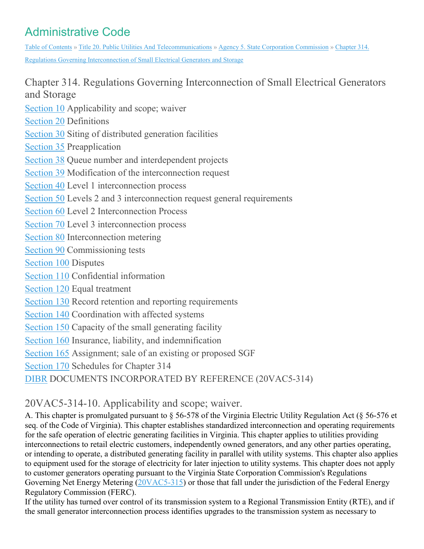# Administrative Code

Table of [Contents](https://law.lis.virginia.gov/admincode/) » Title 20. Public Utilities And [Telecommunications](https://law.lis.virginia.gov/admincode/title20/) » Agency 5. State Corporation [Commission](https://law.lis.virginia.gov/admincode/title20/agency5/) » [Chapter](https://law.lis.virginia.gov/admincode/title20/agency5/chapter314/) 314. Regulations Governing [Interconnection](https://law.lis.virginia.gov/admincode/title20/agency5/chapter314/) of Small Electrical Generators and Storage

Chapter 314. Regulations Governing Interconnection of Small Electrical Generators and Storage

[Section](https://law.lis.virginia.gov/admincode/title20/agency5/chapter314/section10/) 10 Applicability and scope; waiver

[Section](https://law.lis.virginia.gov/admincode/title20/agency5/chapter314/section20/) 20 Definitions

[Section](https://law.lis.virginia.gov/admincode/title20/agency5/chapter314/section30/) 30 Siting of distributed generation facilities

[Section](https://law.lis.virginia.gov/admincode/title20/agency5/chapter314/section35/) 35 Preapplication

[Section](https://law.lis.virginia.gov/admincode/title20/agency5/chapter314/section38/) 38 Queue number and interdependent projects

[Section](https://law.lis.virginia.gov/admincode/title20/agency5/chapter314/section39/) 39 Modification of the interconnection request

[Section](https://law.lis.virginia.gov/admincode/title20/agency5/chapter314/section40/) 40 Level 1 interconnection process

[Section](https://law.lis.virginia.gov/admincode/title20/agency5/chapter314/section50/) 50 Levels 2 and 3 interconnection request general requirements

[Section](https://law.lis.virginia.gov/admincode/title20/agency5/chapter314/section60/) 60 Level 2 Interconnection Process

[Section](https://law.lis.virginia.gov/admincode/title20/agency5/chapter314/section70/) 70 Level 3 interconnection process

[Section](https://law.lis.virginia.gov/admincode/title20/agency5/chapter314/section80/) 80 Interconnection metering

[Section](https://law.lis.virginia.gov/admincode/title20/agency5/chapter314/section90/) 90 Commissioning tests

[Section](https://law.lis.virginia.gov/admincode/title20/agency5/chapter314/section100/) 100 Disputes

[Section](https://law.lis.virginia.gov/admincode/title20/agency5/chapter314/section110/) 110 Confidential information

[Section](https://law.lis.virginia.gov/admincode/title20/agency5/chapter314/section120/) 120 Equal treatment

[Section](https://law.lis.virginia.gov/admincode/title20/agency5/chapter314/section130/) 130 Record retention and reporting requirements

[Section](https://law.lis.virginia.gov/admincode/title20/agency5/chapter314/section140/) 140 Coordination with affected systems

[Section](https://law.lis.virginia.gov/admincode/title20/agency5/chapter314/section150/) 150 Capacity of the small generating facility

[Section](https://law.lis.virginia.gov/admincode/title20/agency5/chapter314/section160/) 160 Insurance, liability, and indemnification

[Section](https://law.lis.virginia.gov/admincode/title20/agency5/chapter314/section165/) 165 Assignment; sale of an existing or proposed SGF

[Section](https://law.lis.virginia.gov/admincode/title20/agency5/chapter314/section170/) 170 Schedules for Chapter 314

[DIBR](https://law.lis.virginia.gov/admincode/title20/agency5/chapter314/section9999/) DOCUMENTS INCORPORATED BY REFERENCE (20VAC5-314)

# 20VAC5-314-10. Applicability and scope; waiver.

A. This chapter is promulgated pursuant to § 56-578 of the Virginia Electric Utility Regulation Act (§ 56-576 et seq. of the Code of Virginia). This chapter establishes standardized interconnection and operating requirements for the safe operation of electric generating facilities in Virginia. This chapter applies to utilities providing interconnections to retail electric customers, independently owned generators, and any other parties operating, or intending to operate, a distributed generating facility in parallel with utility systems. This chapter also applies to equipment used for the storage of electricity for later injection to utility systems. This chapter does not apply to customer generators operating pursuant to the Virginia State Corporation Commission's Regulations Governing Net Energy Metering [\(20VAC5-315\)](https://law.lis.virginia.gov/admincode/title20/agency5/chapter315/) or those that fall under the jurisdiction of the Federal Energy Regulatory Commission (FERC).

If the utility has turned over control of its transmission system to a Regional Transmission Entity (RTE), and if the small generator interconnection process identifies upgrades to the transmission system as necessary to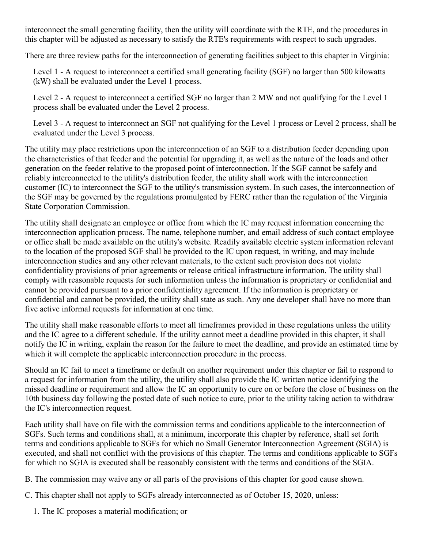interconnect the small generating facility, then the utility will coordinate with the RTE, and the procedures in this chapter will be adjusted as necessary to satisfy the RTE's requirements with respect to such upgrades.

There are three review paths for the interconnection of generating facilities subject to this chapter in Virginia:

Level 1 - A request to interconnect a certified small generating facility (SGF) no larger than 500 kilowatts (kW) shall be evaluated under the Level 1 process.

Level 2 - A request to interconnect a certified SGF no larger than 2 MW and not qualifying for the Level 1 process shall be evaluated under the Level 2 process.

Level 3 - A request to interconnect an SGF not qualifying for the Level 1 process or Level 2 process, shall be evaluated under the Level 3 process.

The utility may place restrictions upon the interconnection of an SGF to a distribution feeder depending upon the characteristics of that feeder and the potential for upgrading it, as well as the nature of the loads and other generation on the feeder relative to the proposed point of interconnection. If the SGF cannot be safely and reliably interconnected to the utility's distribution feeder, the utility shall work with the interconnection customer (IC) to interconnect the SGF to the utility's transmission system. In such cases, the interconnection of the SGF may be governed by the regulations promulgated by FERC rather than the regulation of the Virginia State Corporation Commission.

The utility shall designate an employee or office from which the IC may request information concerning the interconnection application process. The name, telephone number, and email address of such contact employee or office shall be made available on the utility's website. Readily available electric system information relevant to the location of the proposed SGF shall be provided to the IC upon request, in writing, and may include interconnection studies and any other relevant materials, to the extent such provision does not violate confidentiality provisions of prior agreements or release critical infrastructure information. The utility shall comply with reasonable requests for such information unless the information is proprietary or confidential and cannot be provided pursuant to a prior confidentiality agreement. If the information is proprietary or confidential and cannot be provided, the utility shall state as such. Any one developer shall have no more than five active informal requests for information at one time.

The utility shall make reasonable efforts to meet all timeframes provided in these regulations unless the utility and the IC agree to a different schedule. If the utility cannot meet a deadline provided in this chapter, it shall notify the IC in writing, explain the reason for the failure to meet the deadline, and provide an estimated time by which it will complete the applicable interconnection procedure in the process.

Should an IC fail to meet a timeframe or default on another requirement under this chapter or fail to respond to a request for information from the utility, the utility shall also provide the IC written notice identifying the missed deadline or requirement and allow the IC an opportunity to cure on or before the close of business on the 10th business day following the posted date of such notice to cure, prior to the utility taking action to withdraw the IC's interconnection request.

Each utility shall have on file with the commission terms and conditions applicable to the interconnection of SGFs. Such terms and conditions shall, at a minimum, incorporate this chapter by reference, shall set forth terms and conditions applicable to SGFs for which no Small Generator Interconnection Agreement (SGIA) is executed, and shall not conflict with the provisions of this chapter. The terms and conditions applicable to SGFs for which no SGIA is executed shall be reasonably consistent with the terms and conditions of the SGIA.

B. The commission may waive any or all parts of the provisions of this chapter for good cause shown.

C. This chapter shall not apply to SGFs already interconnected as of October 15, 2020, unless:

1. The IC proposes a material modification; or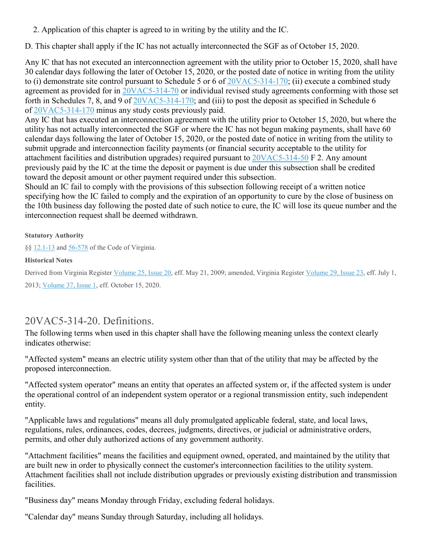2. Application of this chapter is agreed to in writing by the utility and the IC.

D. This chapter shall apply if the IC has not actually interconnected the SGF as of October 15, 2020.

Any IC that has not executed an interconnection agreement with the utility prior to October 15, 2020, shall have 30 calendar days following the later of October 15, 2020, or the posted date of notice in writing from the utility to (i) demonstrate site control pursuant to Schedule 5 or 6 of [20VAC5-314-170;](https://law.lis.virginia.gov/admincode/title20/agency5/chapter314/section170/) (ii) execute a combined study agreement as provided for in [20VAC5-314-70](https://law.lis.virginia.gov/admincode/title20/agency5/chapter314/section70/) or individual revised study agreements conforming with those set forth in Schedules 7, 8, and 9 of  $20\sqrt{AC5-314-170}$ ; and (iii) to post the deposit as specified in Schedule 6 of [20VAC5-314-170](https://law.lis.virginia.gov/admincode/title20/agency5/chapter314/section170/) minus any study costs previously paid.

Any IC that has executed an interconnection agreement with the utility prior to October 15, 2020, but where the utility has not actually interconnected the SGF or where the IC has not begun making payments, shall have 60 calendar days following the later of October 15, 2020, or the posted date of notice in writing from the utility to submit upgrade and interconnection facility payments (or financial security acceptable to the utility for attachment facilities and distribution upgrades) required pursuant to [20VAC5-314-50](https://law.lis.virginia.gov/admincode/title20/agency5/chapter314/section50/) F 2. Any amount previously paid by the IC at the time the deposit or payment is due under this subsection shall be credited toward the deposit amount or other payment required under this subsection.

Should an IC fail to comply with the provisions of this subsection following receipt of a written notice specifying how the IC failed to comply and the expiration of an opportunity to cure by the close of business on the 10th business day following the posted date of such notice to cure, the IC will lose its queue number and the interconnection request shall be deemed withdrawn.

#### **Statutory Authority**

§§ [12.1-13](https://law.lis.virginia.gov/vacode/12.1-13/) and [56-578](https://law.lis.virginia.gov/vacode/56-578/) of the Code of Virginia.

#### **Historical Notes**

Derived from Virginia Register [Volume](http://register.dls.virginia.gov/toc.aspx?voliss=25:20) 25, Issue 20, eff. May 21, 2009; amended, Virginia Register [Volume](http://register.dls.virginia.gov/toc.aspx?voliss=29:23) 29, Issue 23, eff. July 1, 2013; [Volume](http://register.dls.virginia.gov/toc.aspx?voliss=37:01) 37, Issue 1, eff. October 15, 2020.

# 20VAC5-314-20. Definitions.

The following terms when used in this chapter shall have the following meaning unless the context clearly indicates otherwise:

"Affected system" means an electric utility system other than that of the utility that may be affected by the proposed interconnection.

"Affected system operator" means an entity that operates an affected system or, if the affected system is under the operational control of an independent system operator or a regional transmission entity, such independent entity.

"Applicable laws and regulations" means all duly promulgated applicable federal, state, and local laws, regulations, rules, ordinances, codes, decrees, judgments, directives, or judicial or administrative orders, permits, and other duly authorized actions of any government authority.

"Attachment facilities" means the facilities and equipment owned, operated, and maintained by the utility that are built new in order to physically connect the customer's interconnection facilities to the utility system. Attachment facilities shall not include distribution upgrades or previously existing distribution and transmission facilities.

"Business day" means Monday through Friday, excluding federal holidays.

"Calendar day" means Sunday through Saturday, including all holidays.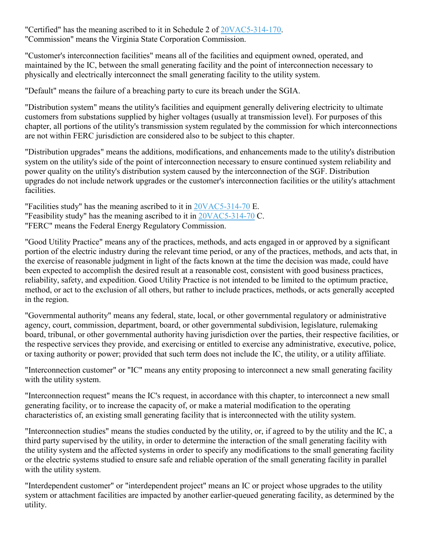"Certified" has the meaning ascribed to it in Schedule 2 of [20VAC5-314-170.](https://law.lis.virginia.gov/admincode/title20/agency5/chapter314/section170/) "Commission" means the Virginia State Corporation Commission.

"Customer's interconnection facilities" means all of the facilities and equipment owned, operated, and maintained by the IC, between the small generating facility and the point of interconnection necessary to physically and electrically interconnect the small generating facility to the utility system.

"Default" means the failure of a breaching party to cure its breach under the SGIA.

"Distribution system" means the utility's facilities and equipment generally delivering electricity to ultimate customers from substations supplied by higher voltages (usually at transmission level). For purposes of this chapter, all portions of the utility's transmission system regulated by the commission for which interconnections are not within FERC jurisdiction are considered also to be subject to this chapter.

"Distribution upgrades" means the additions, modifications, and enhancements made to the utility's distribution system on the utility's side of the point of interconnection necessary to ensure continued system reliability and power quality on the utility's distribution system caused by the interconnection of the SGF. Distribution upgrades do not include network upgrades or the customer's interconnection facilities or the utility's attachment facilities.

"Facilities study" has the meaning ascribed to it in  $20\text{VAC}5-314-70$  E. "Feasibility study" has the meaning ascribed to it in  $20\text{VAC}5-314-70 \text{ C}$ . "FERC" means the Federal Energy Regulatory Commission.

"Good Utility Practice" means any of the practices, methods, and acts engaged in or approved by a significant portion of the electric industry during the relevant time period, or any of the practices, methods, and acts that, in the exercise of reasonable judgment in light of the facts known at the time the decision was made, could have been expected to accomplish the desired result at a reasonable cost, consistent with good business practices, reliability, safety, and expedition. Good Utility Practice is not intended to be limited to the optimum practice, method, or act to the exclusion of all others, but rather to include practices, methods, or acts generally accepted in the region.

"Governmental authority" means any federal, state, local, or other governmental regulatory or administrative agency, court, commission, department, board, or other governmental subdivision, legislature, rulemaking board, tribunal, or other governmental authority having jurisdiction over the parties, their respective facilities, or the respective services they provide, and exercising or entitled to exercise any administrative, executive, police, or taxing authority or power; provided that such term does not include the IC, the utility, or a utility affiliate.

"Interconnection customer" or "IC" means any entity proposing to interconnect a new small generating facility with the utility system.

"Interconnection request" means the IC's request, in accordance with this chapter, to interconnect a new small generating facility, or to increase the capacity of, or make a material modification to the operating characteristics of, an existing small generating facility that is interconnected with the utility system.

"Interconnection studies" means the studies conducted by the utility, or, if agreed to by the utility and the IC, a third party supervised by the utility, in order to determine the interaction of the small generating facility with the utility system and the affected systems in order to specify any modifications to the small generating facility or the electric systems studied to ensure safe and reliable operation of the small generating facility in parallel with the utility system.

"Interdependent customer" or "interdependent project" means an IC or project whose upgrades to the utility system or attachment facilities are impacted by another earlier-queued generating facility, as determined by the utility.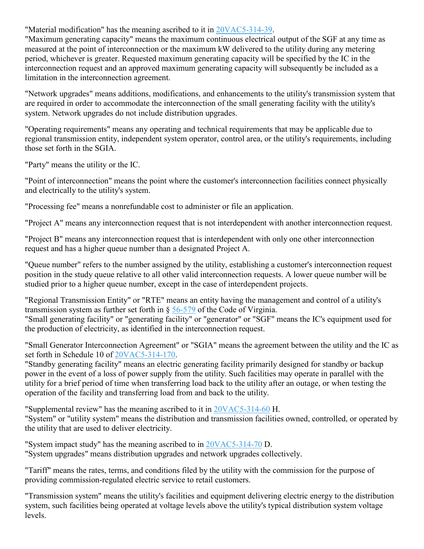"Material modification" has the meaning ascribed to it in [20VAC5-314-39.](https://law.lis.virginia.gov/admincode/title20/agency5/chapter314/section39/)

"Maximum generating capacity" means the maximum continuous electrical output of the SGF at any time as measured at the point of interconnection or the maximum kW delivered to the utility during any metering period, whichever is greater. Requested maximum generating capacity will be specified by the IC in the interconnection request and an approved maximum generating capacity will subsequently be included as a limitation in the interconnection agreement.

"Network upgrades" means additions, modifications, and enhancements to the utility's transmission system that are required in order to accommodate the interconnection of the small generating facility with the utility's system. Network upgrades do not include distribution upgrades.

"Operating requirements" means any operating and technical requirements that may be applicable due to regional transmission entity, independent system operator, control area, or the utility's requirements, including those set forth in the SGIA.

"Party" means the utility or the IC.

"Point of interconnection" means the point where the customer's interconnection facilities connect physically and electrically to the utility's system.

"Processing fee" means a nonrefundable cost to administer or file an application.

"Project A" means any interconnection request that is not interdependent with another interconnection request.

"Project B" means any interconnection request that is interdependent with only one other interconnection request and has a higher queue number than a designated Project A.

"Queue number" refers to the number assigned by the utility, establishing a customer's interconnection request position in the study queue relative to all other valid interconnection requests. A lower queue number will be studied prior to a higher queue number, except in the case of interdependent projects.

"Regional Transmission Entity" or "RTE" means an entity having the management and control of a utility's transmission system as further set forth in  $\S$  [56-579](https://law.lis.virginia.gov/vacode/56-579/) of the Code of Virginia. "Small generating facility" or "generating facility" or "generator" or "SGF" means the IC's equipment used for the production of electricity, as identified in the interconnection request.

"Small Generator Interconnection Agreement" or "SGIA" means the agreement between the utility and the IC as set forth in Schedule 10 of [20VAC5-314-170.](https://law.lis.virginia.gov/admincode/title20/agency5/chapter314/section170/)

"Standby generating facility" means an electric generating facility primarily designed for standby or backup power in the event of a loss of power supply from the utility. Such facilities may operate in parallel with the utility for a brief period of time when transferring load back to the utility after an outage, or when testing the operation of the facility and transferring load from and back to the utility.

"Supplemental review" has the meaning ascribed to it in [20VAC5-314-60](https://law.lis.virginia.gov/admincode/title20/agency5/chapter314/section60/) H. "System" or "utility system" means the distribution and transmission facilities owned, controlled, or operated by the utility that are used to deliver electricity.

"System impact study" has the meaning ascribed to in [20VAC5-314-70](https://law.lis.virginia.gov/admincode/title20/agency5/chapter314/section70/) D. "System upgrades" means distribution upgrades and network upgrades collectively.

"Tariff" means the rates, terms, and conditions filed by the utility with the commission for the purpose of providing commission-regulated electric service to retail customers.

"Transmission system" means the utility's facilities and equipment delivering electric energy to the distribution system, such facilities being operated at voltage levels above the utility's typical distribution system voltage levels.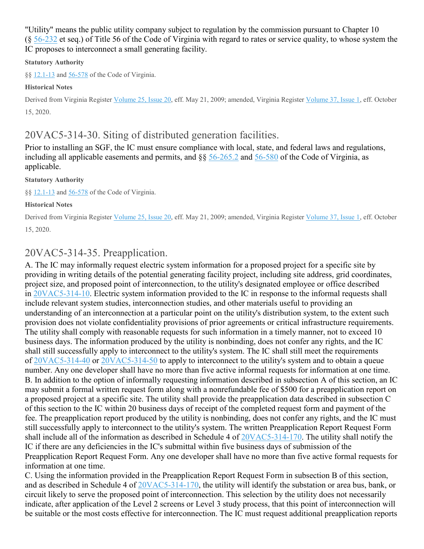"Utility" means the public utility company subject to regulation by the commission pursuant to Chapter 10 (§ [56-232](https://law.lis.virginia.gov/vacode/56-232/) et seq.) of Title 56 of the Code of Virginia with regard to rates or service quality, to whose system the IC proposes to interconnect a small generating facility.

### **Statutory Authority**

§§ [12.1-13](https://law.lis.virginia.gov/vacode/12.1-13/) and [56-578](https://law.lis.virginia.gov/vacode/56-578/) of the Code of Virginia.

#### **Historical Notes**

Derived from Virginia Register [Volume](http://register.dls.virginia.gov/toc.aspx?voliss=25:20) 25, Issue 20, eff. May 21, 2009; amended, Virginia Register [Volume](http://register.dls.virginia.gov/toc.aspx?voliss=37:01) 37, Issue 1, eff. October 15, 2020.

# 20VAC5-314-30. Siting of distributed generation facilities.

Prior to installing an SGF, the IC must ensure compliance with local, state, and federal laws and regulations, including all applicable easements and permits, and §§ [56-265.2](https://law.lis.virginia.gov/vacode/56-265.2/) and [56-580](https://law.lis.virginia.gov/vacode/56-580/) of the Code of Virginia, as applicable.

#### **Statutory Authority**

§§ [12.1-13](https://law.lis.virginia.gov/vacode/12.1-13/) and [56-578](https://law.lis.virginia.gov/vacode/56-578/) of the Code of Virginia.

#### **Historical Notes**

Derived from Virginia Register [Volume](http://register.dls.virginia.gov/toc.aspx?voliss=25:20) 25, Issue 20, eff. May 21, 2009; amended, Virginia Register [Volume](http://register.dls.virginia.gov/toc.aspx?voliss=37:01) 37, Issue 1, eff. October 15, 2020.

# 20VAC5-314-35. Preapplication.

A. The IC may informally request electric system information for a proposed project for a specific site by providing in writing details of the potential generating facility project, including site address, grid coordinates, project size, and proposed point of interconnection, to the utility's designated employee or office described in [20VAC5-314-10.](https://law.lis.virginia.gov/admincode/title20/agency5/chapter314/section10/) Electric system information provided to the IC in response to the informal requests shall include relevant system studies, interconnection studies, and other materials useful to providing an understanding of an interconnection at a particular point on the utility's distribution system, to the extent such provision does not violate confidentiality provisions of prior agreements or critical infrastructure requirements. The utility shall comply with reasonable requests for such information in a timely manner, not to exceed 10 business days. The information produced by the utility is nonbinding, does not confer any rights, and the IC shall still successfully apply to interconnect to the utility's system. The IC shall still meet the requirements of [20VAC5-314-40](https://law.lis.virginia.gov/admincode/title20/agency5/chapter314/section40/) or [20VAC5-314-50](https://law.lis.virginia.gov/admincode/title20/agency5/chapter314/section50/) to apply to interconnect to the utility's system and to obtain a queue number. Any one developer shall have no more than five active informal requests for information at one time. B. In addition to the option of informally requesting information described in subsection A of this section, an IC may submit a formal written request form along with a nonrefundable fee of \$500 for a preapplication report on a proposed project at a specific site. The utility shall provide the preapplication data described in subsection C of this section to the IC within 20 business days of receipt of the completed request form and payment of the fee. The preapplication report produced by the utility is nonbinding, does not confer any rights, and the IC must still successfully apply to interconnect to the utility's system. The written Preapplication Report Request Form shall include all of the information as described in Schedule 4 of [20VAC5-314-170.](https://law.lis.virginia.gov/admincode/title20/agency5/chapter314/section170/) The utility shall notify the IC if there are any deficiencies in the IC's submittal within five business days of submission of the Preapplication Report Request Form. Any one developer shall have no more than five active formal requests for information at one time.

C. Using the information provided in the Preapplication Report Request Form in subsection B of this section, and as described in Schedule 4 of [20VAC5-314-170,](https://law.lis.virginia.gov/admincode/title20/agency5/chapter314/section170/) the utility will identify the substation or area bus, bank, or circuit likely to serve the proposed point of interconnection. This selection by the utility does not necessarily indicate, after application of the Level 2 screens or Level 3 study process, that this point of interconnection will be suitable or the most costs effective for interconnection. The IC must request additional preapplication reports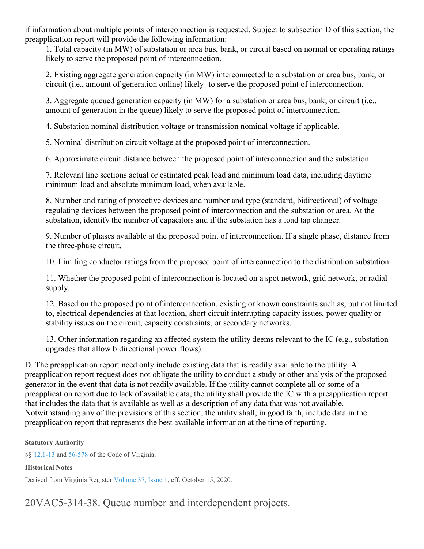if information about multiple points of interconnection is requested. Subject to subsection D of this section, the preapplication report will provide the following information:

1. Total capacity (in MW) of substation or area bus, bank, or circuit based on normal or operating ratings likely to serve the proposed point of interconnection.

2. Existing aggregate generation capacity (in MW) interconnected to a substation or area bus, bank, or circuit (i.e., amount of generation online) likely- to serve the proposed point of interconnection.

3. Aggregate queued generation capacity (in MW) for a substation or area bus, bank, or circuit (i.e., amount of generation in the queue) likely to serve the proposed point of interconnection.

4. Substation nominal distribution voltage or transmission nominal voltage if applicable.

5. Nominal distribution circuit voltage at the proposed point of interconnection.

6. Approximate circuit distance between the proposed point of interconnection and the substation.

7. Relevant line sections actual or estimated peak load and minimum load data, including daytime minimum load and absolute minimum load, when available.

8. Number and rating of protective devices and number and type (standard, bidirectional) of voltage regulating devices between the proposed point of interconnection and the substation or area. At the substation, identify the number of capacitors and if the substation has a load tap changer.

9. Number of phases available at the proposed point of interconnection. If a single phase, distance from the three-phase circuit.

10. Limiting conductor ratings from the proposed point of interconnection to the distribution substation.

11. Whether the proposed point of interconnection is located on a spot network, grid network, or radial supply.

12. Based on the proposed point of interconnection, existing or known constraints such as, but not limited to, electrical dependencies at that location, short circuit interrupting capacity issues, power quality or stability issues on the circuit, capacity constraints, or secondary networks.

13. Other information regarding an affected system the utility deems relevant to the IC (e.g., substation upgrades that allow bidirectional power flows).

D. The preapplication report need only include existing data that is readily available to the utility. A preapplication report request does not obligate the utility to conduct a study or other analysis of the proposed generator in the event that data is not readily available. If the utility cannot complete all or some of a preapplication report due to lack of available data, the utility shall provide the IC with a preapplication report that includes the data that is available as well as a description of any data that was not available. Notwithstanding any of the provisions of this section, the utility shall, in good faith, include data in the preapplication report that represents the best available information at the time of reporting.

### **Statutory Authority**

§§ [12.1-13](https://law.lis.virginia.gov/vacode/12.1-13/) and [56-578](https://law.lis.virginia.gov/vacode/56-578/) of the Code of Virginia.

## **Historical Notes**

Derived from Virginia Register [Volume](http://register.dls.virginia.gov/toc.aspx?voliss=37:01) 37, Issue 1, eff. October 15, 2020.

20VAC5-314-38. Queue number and interdependent projects.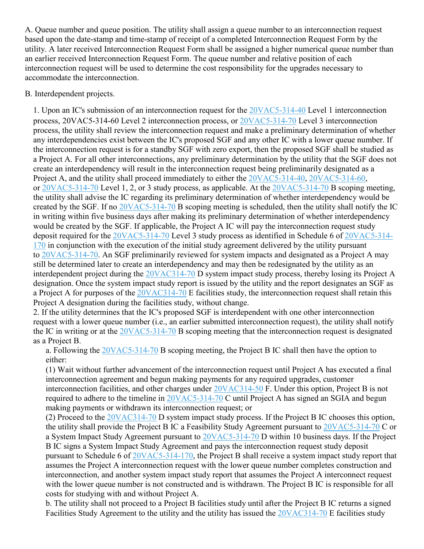A. Queue number and queue position. The utility shall assign a queue number to an interconnection request based upon the date-stamp and time-stamp of receipt of a completed Interconnection Request Form by the utility. A later received Interconnection Request Form shall be assigned a higher numerical queue number than an earlier received Interconnection Request Form. The queue number and relative position of each interconnection request will be used to determine the cost responsibility for the upgrades necessary to accommodate the interconnection.

### B. Interdependent projects.

1. Upon an IC's submission of an interconnection request for the [20VAC5-314-40](https://law.lis.virginia.gov/admincode/title20/agency5/chapter314/section40/) Level 1 interconnection process, 20VAC5-314-60 Level 2 interconnection process, or [20VAC5-314-70](https://law.lis.virginia.gov/admincode/title20/agency5/chapter314/section70/) Level 3 interconnection process, the utility shall review the interconnection request and make a preliminary determination of whether any interdependencies exist between the IC's proposed SGF and any other IC with a lower queue number. If the interconnection request is for a standby SGF with zero export, then the proposed SGF shall be studied as a Project A. For all other interconnections, any preliminary determination by the utility that the SGF does not create an interdependency will result in the interconnection request being preliminarily designated as a Project A, and the utility shall proceed immediately to either the [20VAC5-314-40,](https://law.lis.virginia.gov/admincode/title20/agency5/chapter314/section40/) [20VAC5-314-60,](https://law.lis.virginia.gov/admincode/title20/agency5/chapter314/section60/) or [20VAC5-314-70](https://law.lis.virginia.gov/admincode/title20/agency5/chapter314/section70/) Level 1, 2, or 3 study process, as applicable. At the [20VAC5-314-70](https://law.lis.virginia.gov/admincode/title20/agency5/chapter314/section70/) B scoping meeting, the utility shall advise the IC regarding its preliminary determination of whether interdependency would be created by the SGF. If no [20VAC5-314-70](https://law.lis.virginia.gov/admincode/title20/agency5/chapter314/section70/) B scoping meeting is scheduled, then the utility shall notify the IC in writing within five business days after making its preliminary determination of whether interdependency would be created by the SGF. If applicable, the Project A IC will pay the interconnection request study deposit required for the [20VAC5-314-70](https://law.lis.virginia.gov/admincode/title20/agency5/chapter314/section70/) Level 3 study process as identified in Schedule 6 of [20VAC5-314-](https://law.lis.virginia.gov/admincode/title20/agency5/chapter314/section170/) [170](https://law.lis.virginia.gov/admincode/title20/agency5/chapter314/section170/) in conjunction with the execution of the initial study agreement delivered by the utility pursuant to [20VAC5-314-70.](https://law.lis.virginia.gov/admincode/title20/agency5/chapter314/section70/) An SGF preliminarily reviewed for system impacts and designated as a Project A may still be determined later to create an interdependency and may then be redesignated by the utility as an interdependent project during the [20VAC314-70](https://law.lis.virginia.gov/admincode/title20/agency314/chapter70/) D system impact study process, thereby losing its Project A designation. Once the system impact study report is issued by the utility and the report designates an SGF as a Project A for purposes of the [20VAC314-70](https://law.lis.virginia.gov/admincode/title20/agency314/chapter70/) E facilities study, the interconnection request shall retain this Project A designation during the facilities study, without change.

2. If the utility determines that the IC's proposed SGF is interdependent with one other interconnection request with a lower queue number (i.e., an earlier submitted interconnection request), the utility shall notify the IC in writing or at the [20VAC5-314-70](https://law.lis.virginia.gov/admincode/title20/agency5/chapter314/section70/) B scoping meeting that the interconnection request is designated as a Project B.

a. Following the [20VAC5-314-70](https://law.lis.virginia.gov/admincode/title20/agency5/chapter314/section70/) B scoping meeting, the Project B IC shall then have the option to either:

(1) Wait without further advancement of the interconnection request until Project A has executed a final interconnection agreement and begun making payments for any required upgrades, customer interconnection facilities, and other charges under [20VAC314-50](https://law.lis.virginia.gov/admincode/title20/agency314/chapter50/) F. Under this option, Project B is not required to adhere to the timeline in [20VAC5-314-70](https://law.lis.virginia.gov/admincode/title20/agency5/chapter314/section70/) C until Project A has signed an SGIA and begun making payments or withdrawn its interconnection request; or

(2) Proceed to the [20VAC314-70](https://law.lis.virginia.gov/admincode/title20/agency314/chapter70/) D system impact study process. If the Project B IC chooses this option, the utility shall provide the Project B IC a Feasibility Study Agreement pursuant to [20VAC5-314-70](https://law.lis.virginia.gov/admincode/title20/agency5/chapter314/section70/) C or a System Impact Study Agreement pursuant to [20VAC5-314-70](https://law.lis.virginia.gov/admincode/title20/agency5/chapter314/section70/) D within 10 business days. If the Project B IC signs a System Impact Study Agreement and pays the interconnection request study deposit pursuant to Schedule 6 of [20VAC5-314-170,](https://law.lis.virginia.gov/admincode/title20/agency5/chapter314/section170/) the Project B shall receive a system impact study report that assumes the Project A interconnection request with the lower queue number completes construction and interconnection, and another system impact study report that assumes the Project A interconnect request with the lower queue number is not constructed and is withdrawn. The Project B IC is responsible for all costs for studying with and without Project A.

b. The utility shall not proceed to a Project B facilities study until after the Project B IC returns a signed Facilities Study Agreement to the utility and the utility has issued the [20VAC314-70](https://law.lis.virginia.gov/admincode/title20/agency314/chapter70/) E facilities study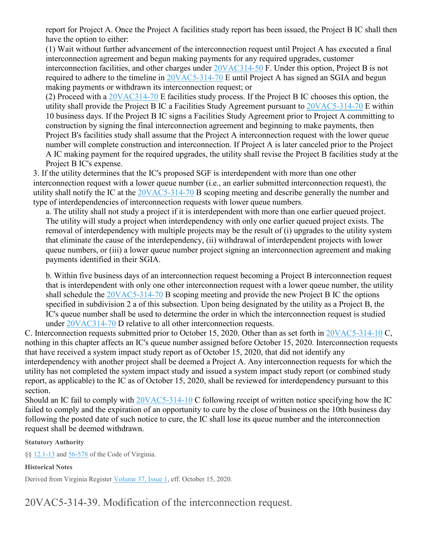report for Project A. Once the Project A facilities study report has been issued, the Project B IC shall then have the option to either:

(1) Wait without further advancement of the interconnection request until Project A has executed a final interconnection agreement and begun making payments for any required upgrades, customer interconnection facilities, and other charges under [20VAC314-50](https://law.lis.virginia.gov/admincode/title20/agency314/chapter50/) F. Under this option, Project B is not required to adhere to the timeline in [20VAC5-314-70](https://law.lis.virginia.gov/admincode/title20/agency5/chapter314/section70/) E until Project A has signed an SGIA and begun making payments or withdrawn its interconnection request; or

(2) Proceed with a [20VAC314-70](https://law.lis.virginia.gov/admincode/title20/agency314/chapter70/) E facilities study process. If the Project B IC chooses this option, the utility shall provide the Project B IC a Facilities Study Agreement pursuant to [20VAC5-314-70](https://law.lis.virginia.gov/admincode/title20/agency5/chapter314/section70/) E within 10 business days. If the Project B IC signs a Facilities Study Agreement prior to Project A committing to construction by signing the final interconnection agreement and beginning to make payments, then Project B's facilities study shall assume that the Project A interconnection request with the lower queue number will complete construction and interconnection. If Project A is later canceled prior to the Project A IC making payment for the required upgrades, the utility shall revise the Project B facilities study at the Project B IC's expense.

3. If the utility determines that the IC's proposed SGF is interdependent with more than one other interconnection request with a lower queue number (i.e., an earlier submitted interconnection request), the utility shall notify the IC at the [20VAC5-314-70](https://law.lis.virginia.gov/admincode/title20/agency5/chapter314/section70/) B scoping meeting and describe generally the number and type of interdependencies of interconnection requests with lower queue numbers.

a. The utility shall not study a project if it is interdependent with more than one earlier queued project. The utility will study a project when interdependency with only one earlier queued project exists. The removal of interdependency with multiple projects may be the result of (i) upgrades to the utility system that eliminate the cause of the interdependency, (ii) withdrawal of interdependent projects with lower queue numbers, or (iii) a lower queue number project signing an interconnection agreement and making payments identified in their SGIA.

b. Within five business days of an interconnection request becoming a Project B interconnection request that is interdependent with only one other interconnection request with a lower queue number, the utility shall schedule the [20VAC5-314-70](https://law.lis.virginia.gov/admincode/title20/agency5/chapter314/section70/) B scoping meeting and provide the new Project B IC the options specified in subdivision 2 a of this subsection. Upon being designated by the utility as a Project B, the IC's queue number shall be used to determine the order in which the interconnection request is studied under [20VAC314-70](https://law.lis.virginia.gov/admincode/title20/agency314/chapter70/) D relative to all other interconnection requests.

C. Interconnection requests submitted prior to October 15, 2020. Other than as set forth in [20VAC5-314-10](https://law.lis.virginia.gov/admincode/title20/agency5/chapter314/section10/) C, nothing in this chapter affects an IC's queue number assigned before October 15, 2020. Interconnection requests that have received a system impact study report as of October 15, 2020, that did not identify any interdependency with another project shall be deemed a Project A. Any interconnection requests for which the utility has not completed the system impact study and issued a system impact study report (or combined study report, as applicable) to the IC as of October 15, 2020, shall be reviewed for interdependency pursuant to this section.

Should an IC fail to comply with [20VAC5-314-10](https://law.lis.virginia.gov/admincode/title20/agency5/chapter314/section10/) C following receipt of written notice specifying how the IC failed to comply and the expiration of an opportunity to cure by the close of business on the 10th business day following the posted date of such notice to cure, the IC shall lose its queue number and the interconnection request shall be deemed withdrawn.

### **Statutory Authority**

§§ [12.1-13](https://law.lis.virginia.gov/vacode/12.1-13/) and [56-578](https://law.lis.virginia.gov/vacode/56-578/) of the Code of Virginia.

### **Historical Notes**

Derived from Virginia Register [Volume](http://register.dls.virginia.gov/toc.aspx?voliss=37:01) 37, Issue 1, eff. October 15, 2020.

20VAC5-314-39. Modification of the interconnection request.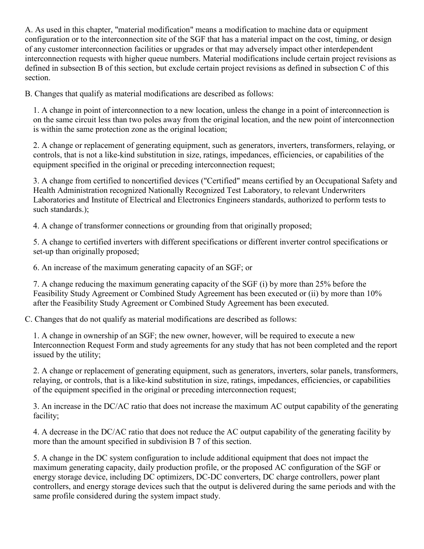A. As used in this chapter, "material modification" means a modification to machine data or equipment configuration or to the interconnection site of the SGF that has a material impact on the cost, timing, or design of any customer interconnection facilities or upgrades or that may adversely impact other interdependent interconnection requests with higher queue numbers. Material modifications include certain project revisions as defined in subsection B of this section, but exclude certain project revisions as defined in subsection C of this section.

B. Changes that qualify as material modifications are described as follows:

1. A change in point of interconnection to a new location, unless the change in a point of interconnection is on the same circuit less than two poles away from the original location, and the new point of interconnection is within the same protection zone as the original location;

2. A change or replacement of generating equipment, such as generators, inverters, transformers, relaying, or controls, that is not a like-kind substitution in size, ratings, impedances, efficiencies, or capabilities of the equipment specified in the original or preceding interconnection request;

3. A change from certified to noncertified devices ("Certified" means certified by an Occupational Safety and Health Administration recognized Nationally Recognized Test Laboratory, to relevant Underwriters Laboratories and Institute of Electrical and Electronics Engineers standards, authorized to perform tests to such standards.);

4. A change of transformer connections or grounding from that originally proposed;

5. A change to certified inverters with different specifications or different inverter control specifications or set-up than originally proposed;

6. An increase of the maximum generating capacity of an SGF; or

7. A change reducing the maximum generating capacity of the SGF (i) by more than 25% before the Feasibility Study Agreement or Combined Study Agreement has been executed or (ii) by more than 10% after the Feasibility Study Agreement or Combined Study Agreement has been executed.

C. Changes that do not qualify as material modifications are described as follows:

1. A change in ownership of an SGF; the new owner, however, will be required to execute a new Interconnection Request Form and study agreements for any study that has not been completed and the report issued by the utility;

2. A change or replacement of generating equipment, such as generators, inverters, solar panels, transformers, relaying, or controls, that is a like-kind substitution in size, ratings, impedances, efficiencies, or capabilities of the equipment specified in the original or preceding interconnection request;

3. An increase in the DC/AC ratio that does not increase the maximum AC output capability of the generating facility;

4. A decrease in the DC/AC ratio that does not reduce the AC output capability of the generating facility by more than the amount specified in subdivision B 7 of this section.

5. A change in the DC system configuration to include additional equipment that does not impact the maximum generating capacity, daily production profile, or the proposed AC configuration of the SGF or energy storage device, including DC optimizers, DC-DC converters, DC charge controllers, power plant controllers, and energy storage devices such that the output is delivered during the same periods and with the same profile considered during the system impact study.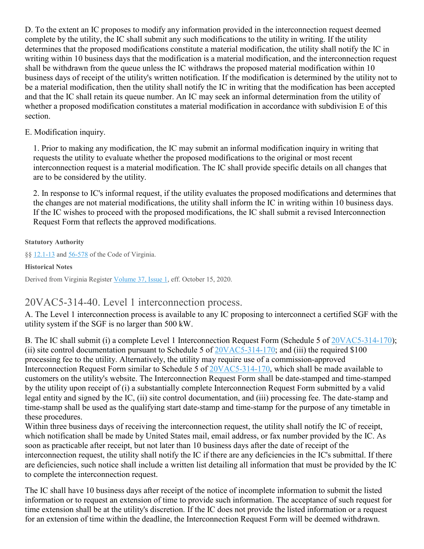D. To the extent an IC proposes to modify any information provided in the interconnection request deemed complete by the utility, the IC shall submit any such modifications to the utility in writing. If the utility determines that the proposed modifications constitute a material modification, the utility shall notify the IC in writing within 10 business days that the modification is a material modification, and the interconnection request shall be withdrawn from the queue unless the IC withdraws the proposed material modification within 10 business days of receipt of the utility's written notification. If the modification is determined by the utility not to be a material modification, then the utility shall notify the IC in writing that the modification has been accepted and that the IC shall retain its queue number. An IC may seek an informal determination from the utility of whether a proposed modification constitutes a material modification in accordance with subdivision E of this section.

### E. Modification inquiry.

1. Prior to making any modification, the IC may submit an informal modification inquiry in writing that requests the utility to evaluate whether the proposed modifications to the original or most recent interconnection request is a material modification. The IC shall provide specific details on all changes that are to be considered by the utility.

2. In response to IC's informal request, if the utility evaluates the proposed modifications and determines that the changes are not material modifications, the utility shall inform the IC in writing within 10 business days. If the IC wishes to proceed with the proposed modifications, the IC shall submit a revised Interconnection Request Form that reflects the approved modifications.

**Statutory Authority**

§§ [12.1-13](https://law.lis.virginia.gov/vacode/12.1-13/) and [56-578](https://law.lis.virginia.gov/vacode/56-578/) of the Code of Virginia.

**Historical Notes**

Derived from Virginia Register [Volume](http://register.dls.virginia.gov/toc.aspx?voliss=37:01) 37, Issue 1, eff. October 15, 2020.

# 20VAC5-314-40. Level 1 interconnection process.

A. The Level 1 interconnection process is available to any IC proposing to interconnect a certified SGF with the utility system if the SGF is no larger than 500 kW.

B. The IC shall submit (i) a complete Level 1 Interconnection Request Form (Schedule 5 of [20VAC5-314-170\)](https://law.lis.virginia.gov/admincode/title20/agency5/chapter314/section170/); (ii) site control documentation pursuant to Schedule 5 of  $20VAC5-314-170$ ; and (iii) the required \$100 processing fee to the utility. Alternatively, the utility may require use of a commission-approved Interconnection Request Form similar to Schedule 5 of [20VAC5-314-170,](https://law.lis.virginia.gov/admincode/title20/agency5/chapter314/section170/) which shall be made available to customers on the utility's website. The Interconnection Request Form shall be date-stamped and time-stamped by the utility upon receipt of (i) a substantially complete Interconnection Request Form submitted by a valid legal entity and signed by the IC, (ii) site control documentation, and (iii) processing fee. The date-stamp and time-stamp shall be used as the qualifying start date-stamp and time-stamp for the purpose of any timetable in these procedures.

Within three business days of receiving the interconnection request, the utility shall notify the IC of receipt, which notification shall be made by United States mail, email address, or fax number provided by the IC. As soon as practicable after receipt, but not later than 10 business days after the date of receipt of the interconnection request, the utility shall notify the IC if there are any deficiencies in the IC's submittal. If there are deficiencies, such notice shall include a written list detailing all information that must be provided by the IC to complete the interconnection request.

The IC shall have 10 business days after receipt of the notice of incomplete information to submit the listed information or to request an extension of time to provide such information. The acceptance of such request for time extension shall be at the utility's discretion. If the IC does not provide the listed information or a request for an extension of time within the deadline, the Interconnection Request Form will be deemed withdrawn.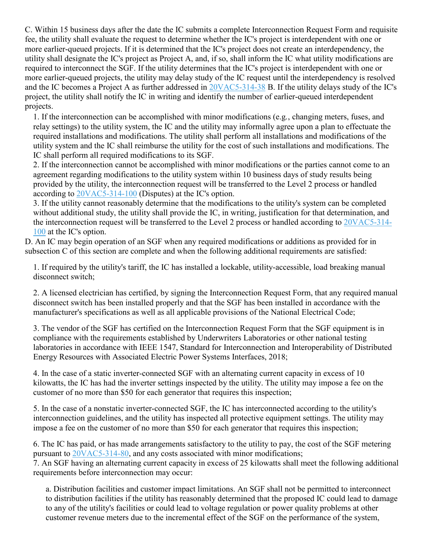C. Within 15 business days after the date the IC submits a complete Interconnection Request Form and requisite fee, the utility shall evaluate the request to determine whether the IC's project is interdependent with one or more earlier-queued projects. If it is determined that the IC's project does not create an interdependency, the utility shall designate the IC's project as Project A, and, if so, shall inform the IC what utility modifications are required to interconnect the SGF. If the utility determines that the IC's project is interdependent with one or more earlier-queued projects, the utility may delay study of the IC request until the interdependency is resolved and the IC becomes a Project A as further addressed in [20VAC5-314-38](https://law.lis.virginia.gov/admincode/title20/agency5/chapter314/section38/) B. If the utility delays study of the IC's project, the utility shall notify the IC in writing and identify the number of earlier-queued interdependent projects.

1. If the interconnection can be accomplished with minor modifications (e.g*.*, changing meters, fuses, and relay settings) to the utility system, the IC and the utility may informally agree upon a plan to effectuate the required installations and modifications. The utility shall perform all installations and modifications of the utility system and the IC shall reimburse the utility for the cost of such installations and modifications. The IC shall perform all required modifications to its SGF.

2. If the interconnection cannot be accomplished with minor modifications or the parties cannot come to an agreement regarding modifications to the utility system within 10 business days of study results being provided by the utility, the interconnection request will be transferred to the Level 2 process or handled according to [20VAC5-314-100](https://law.lis.virginia.gov/admincode/title20/agency5/chapter314/section100/) (Disputes) at the IC's option.

3. If the utility cannot reasonably determine that the modifications to the utility's system can be completed without additional study, the utility shall provide the IC, in writing, justification for that determination, and the interconnection request will be transferred to the Level 2 process or handled according to [20VAC5-314-](https://law.lis.virginia.gov/admincode/title20/agency5/chapter314/section100/) [100](https://law.lis.virginia.gov/admincode/title20/agency5/chapter314/section100/) at the IC's option.

D. An IC may begin operation of an SGF when any required modifications or additions as provided for in subsection C of this section are complete and when the following additional requirements are satisfied:

1. If required by the utility's tariff, the IC has installed a lockable, utility-accessible, load breaking manual disconnect switch;

2. A licensed electrician has certified, by signing the Interconnection Request Form, that any required manual disconnect switch has been installed properly and that the SGF has been installed in accordance with the manufacturer's specifications as well as all applicable provisions of the National Electrical Code;

3. The vendor of the SGF has certified on the Interconnection Request Form that the SGF equipment is in compliance with the requirements established by Underwriters Laboratories or other national testing laboratories in accordance with IEEE 1547, Standard for Interconnection and Interoperability of Distributed Energy Resources with Associated Electric Power Systems Interfaces, 2018;

4. In the case of a static inverter-connected SGF with an alternating current capacity in excess of 10 kilowatts, the IC has had the inverter settings inspected by the utility. The utility may impose a fee on the customer of no more than \$50 for each generator that requires this inspection;

5. In the case of a nonstatic inverter-connected SGF, the IC has interconnected according to the utility's interconnection guidelines, and the utility has inspected all protective equipment settings. The utility may impose a fee on the customer of no more than \$50 for each generator that requires this inspection;

6. The IC has paid, or has made arrangements satisfactory to the utility to pay, the cost of the SGF metering pursuant to [20VAC5-314-80,](https://law.lis.virginia.gov/admincode/title20/agency5/chapter314/section80/) and any costs associated with minor modifications; 7. An SGF having an alternating current capacity in excess of 25 kilowatts shall meet the following additional requirements before interconnection may occur:

a. Distribution facilities and customer impact limitations. An SGF shall not be permitted to interconnect to distribution facilities if the utility has reasonably determined that the proposed IC could lead to damage to any of the utility's facilities or could lead to voltage regulation or power quality problems at other customer revenue meters due to the incremental effect of the SGF on the performance of the system,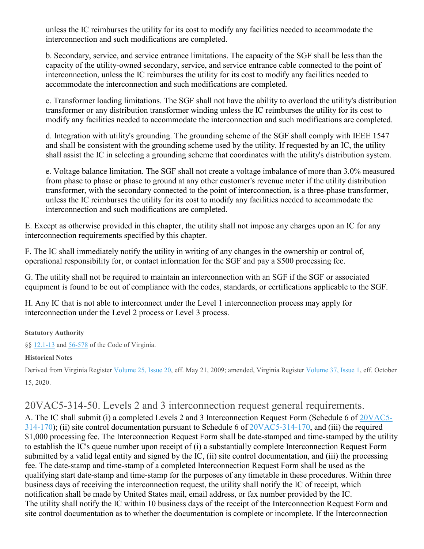unless the IC reimburses the utility for its cost to modify any facilities needed to accommodate the interconnection and such modifications are completed.

b. Secondary, service, and service entrance limitations. The capacity of the SGF shall be less than the capacity of the utility-owned secondary, service, and service entrance cable connected to the point of interconnection, unless the IC reimburses the utility for its cost to modify any facilities needed to accommodate the interconnection and such modifications are completed.

c. Transformer loading limitations. The SGF shall not have the ability to overload the utility's distribution transformer or any distribution transformer winding unless the IC reimburses the utility for its cost to modify any facilities needed to accommodate the interconnection and such modifications are completed.

d. Integration with utility's grounding. The grounding scheme of the SGF shall comply with IEEE 1547 and shall be consistent with the grounding scheme used by the utility. If requested by an IC, the utility shall assist the IC in selecting a grounding scheme that coordinates with the utility's distribution system.

e. Voltage balance limitation. The SGF shall not create a voltage imbalance of more than 3.0% measured from phase to phase or phase to ground at any other customer's revenue meter if the utility distribution transformer, with the secondary connected to the point of interconnection, is a three-phase transformer, unless the IC reimburses the utility for its cost to modify any facilities needed to accommodate the interconnection and such modifications are completed.

E. Except as otherwise provided in this chapter, the utility shall not impose any charges upon an IC for any interconnection requirements specified by this chapter.

F. The IC shall immediately notify the utility in writing of any changes in the ownership or control of, operational responsibility for, or contact information for the SGF and pay a \$500 processing fee.

G. The utility shall not be required to maintain an interconnection with an SGF if the SGF or associated equipment is found to be out of compliance with the codes, standards, or certifications applicable to the SGF.

H. Any IC that is not able to interconnect under the Level 1 interconnection process may apply for interconnection under the Level 2 process or Level 3 process.

### **Statutory Authority**

§§ [12.1-13](https://law.lis.virginia.gov/vacode/12.1-13/) and [56-578](https://law.lis.virginia.gov/vacode/56-578/) of the Code of Virginia.

### **Historical Notes**

Derived from Virginia Register [Volume](http://register.dls.virginia.gov/toc.aspx?voliss=25:20) 25, Issue 20, eff. May 21, 2009; amended, Virginia Register [Volume](http://register.dls.virginia.gov/toc.aspx?voliss=37:01) 37, Issue 1, eff. October 15, 2020.

# 20VAC5-314-50. Levels 2 and 3 interconnection request general requirements.

A. The IC shall submit (i) a completed Levels 2 and 3 Interconnection Request Form (Schedule 6 of [20VAC5-](https://law.lis.virginia.gov/admincode/title20/agency5/chapter314/section170/) [314-170\)](https://law.lis.virginia.gov/admincode/title20/agency5/chapter314/section170/); (ii) site control documentation pursuant to Schedule 6 of [20VAC5-314-170,](https://law.lis.virginia.gov/admincode/title20/agency5/chapter314/section170/) and (iii) the required \$1,000 processing fee. The Interconnection Request Form shall be date-stamped and time-stamped by the utility to establish the IC's queue number upon receipt of (i) a substantially complete Interconnection Request Form submitted by a valid legal entity and signed by the IC, (ii) site control documentation, and (iii) the processing fee. The date-stamp and time-stamp of a completed Interconnection Request Form shall be used as the qualifying start date-stamp and time-stamp for the purposes of any timetable in these procedures. Within three business days of receiving the interconnection request, the utility shall notify the IC of receipt, which notification shall be made by United States mail, email address, or fax number provided by the IC. The utility shall notify the IC within 10 business days of the receipt of the Interconnection Request Form and site control documentation as to whether the documentation is complete or incomplete. If the Interconnection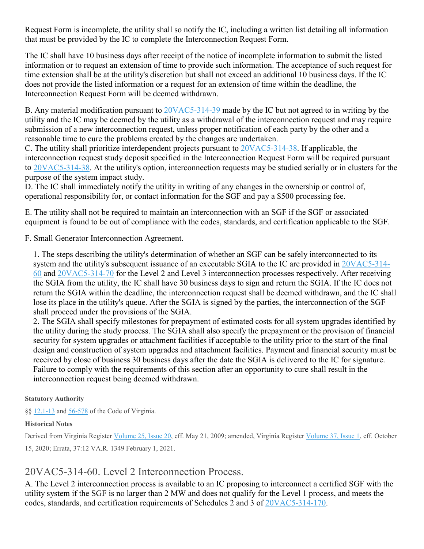Request Form is incomplete, the utility shall so notify the IC, including a written list detailing all information that must be provided by the IC to complete the Interconnection Request Form.

The IC shall have 10 business days after receipt of the notice of incomplete information to submit the listed information or to request an extension of time to provide such information. The acceptance of such request for time extension shall be at the utility's discretion but shall not exceed an additional 10 business days. If the IC does not provide the listed information or a request for an extension of time within the deadline, the Interconnection Request Form will be deemed withdrawn.

B. Any material modification pursuant to  $20VAC5-314-39$  made by the IC but not agreed to in writing by the utility and the IC may be deemed by the utility as a withdrawal of the interconnection request and may require submission of a new interconnection request, unless proper notification of each party by the other and a reasonable time to cure the problems created by the changes are undertaken.

C. The utility shall prioritize interdependent projects pursuant to [20VAC5-314-38.](https://law.lis.virginia.gov/admincode/title20/agency5/chapter314/section38/) If applicable, the interconnection request study deposit specified in the Interconnection Request Form will be required pursuant to [20VAC5-314-38.](https://law.lis.virginia.gov/admincode/title20/agency5/chapter314/section38/) At the utility's option, interconnection requests may be studied serially or in clusters for the purpose of the system impact study.

D. The IC shall immediately notify the utility in writing of any changes in the ownership or control of, operational responsibility for, or contact information for the SGF and pay a \$500 processing fee.

E. The utility shall not be required to maintain an interconnection with an SGF if the SGF or associated equipment is found to be out of compliance with the codes, standards, and certification applicable to the SGF.

F. Small Generator Interconnection Agreement.

1. The steps describing the utility's determination of whether an SGF can be safely interconnected to its system and the utility's subsequent issuance of an executable SGIA to the IC are provided in [20VAC5-314-](https://law.lis.virginia.gov/admincode/title20/agency5/chapter314/section60/) [60](https://law.lis.virginia.gov/admincode/title20/agency5/chapter314/section60/) and [20VAC5-314-70](https://law.lis.virginia.gov/admincode/title20/agency5/chapter314/section70/) for the Level 2 and Level 3 interconnection processes respectively. After receiving the SGIA from the utility, the IC shall have 30 business days to sign and return the SGIA. If the IC does not return the SGIA within the deadline, the interconnection request shall be deemed withdrawn, and the IC shall lose its place in the utility's queue. After the SGIA is signed by the parties, the interconnection of the SGF shall proceed under the provisions of the SGIA.

2. The SGIA shall specify milestones for prepayment of estimated costs for all system upgrades identified by the utility during the study process. The SGIA shall also specify the prepayment or the provision of financial security for system upgrades or attachment facilities if acceptable to the utility prior to the start of the final design and construction of system upgrades and attachment facilities. Payment and financial security must be received by close of business 30 business days after the date the SGIA is delivered to the IC for signature. Failure to comply with the requirements of this section after an opportunity to cure shall result in the interconnection request being deemed withdrawn.

### **Statutory Authority**

§§ [12.1-13](https://law.lis.virginia.gov/vacode/12.1-13/) and [56-578](https://law.lis.virginia.gov/vacode/56-578/) of the Code of Virginia.

### **Historical Notes**

Derived from Virginia Register [Volume](http://register.dls.virginia.gov/toc.aspx?voliss=25:20) 25, Issue 20, eff. May 21, 2009; amended, Virginia Register [Volume](http://register.dls.virginia.gov/toc.aspx?voliss=37:01) 37, Issue 1, eff. October 15, 2020; Errata, 37:12 VA.R. 1349 February 1, 2021.

# 20VAC5-314-60. Level 2 Interconnection Process.

A. The Level 2 interconnection process is available to an IC proposing to interconnect a certified SGF with the utility system if the SGF is no larger than 2 MW and does not qualify for the Level 1 process, and meets the codes, standards, and certification requirements of Schedules 2 and 3 of [20VAC5-314-170.](https://law.lis.virginia.gov/admincode/title20/agency5/chapter314/section170/)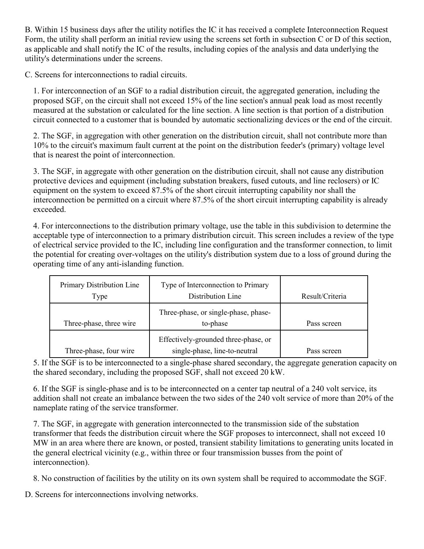B. Within 15 business days after the utility notifies the IC it has received a complete Interconnection Request Form, the utility shall perform an initial review using the screens set forth in subsection C or D of this section, as applicable and shall notify the IC of the results, including copies of the analysis and data underlying the utility's determinations under the screens.

C. Screens for interconnections to radial circuits.

1. For interconnection of an SGF to a radial distribution circuit, the aggregated generation, including the proposed SGF, on the circuit shall not exceed 15% of the line section's annual peak load as most recently measured at the substation or calculated for the line section. A line section is that portion of a distribution circuit connected to a customer that is bounded by automatic sectionalizing devices or the end of the circuit.

2. The SGF, in aggregation with other generation on the distribution circuit, shall not contribute more than 10% to the circuit's maximum fault current at the point on the distribution feeder's (primary) voltage level that is nearest the point of interconnection.

3. The SGF, in aggregate with other generation on the distribution circuit, shall not cause any distribution protective devices and equipment (including substation breakers, fused cutouts, and line reclosers) or IC equipment on the system to exceed 87.5% of the short circuit interrupting capability nor shall the interconnection be permitted on a circuit where 87.5% of the short circuit interrupting capability is already exceeded.

4. For interconnections to the distribution primary voltage, use the table in this subdivision to determine the acceptable type of interconnection to a primary distribution circuit. This screen includes a review of the type of electrical service provided to the IC, including line configuration and the transformer connection, to limit the potential for creating over-voltages on the utility's distribution system due to a loss of ground during the operating time of any anti-islanding function.

| Primary Distribution Line<br>Type | Type of Interconnection to Primary<br>Distribution Line               | Result/Criteria |
|-----------------------------------|-----------------------------------------------------------------------|-----------------|
| Three-phase, three wire           | Three-phase, or single-phase, phase-<br>to-phase                      | Pass screen     |
| Three-phase, four wire            | Effectively-grounded three-phase, or<br>single-phase, line-to-neutral | Pass screen     |

5. If the SGF is to be interconnected to a single-phase shared secondary, the aggregate generation capacity on the shared secondary, including the proposed SGF, shall not exceed 20 kW.

6. If the SGF is single-phase and is to be interconnected on a center tap neutral of a 240 volt service, its addition shall not create an imbalance between the two sides of the 240 volt service of more than 20% of the nameplate rating of the service transformer.

7. The SGF, in aggregate with generation interconnected to the transmission side of the substation transformer that feeds the distribution circuit where the SGF proposes to interconnect, shall not exceed 10 MW in an area where there are known, or posted, transient stability limitations to generating units located in the general electrical vicinity (e.g., within three or four transmission busses from the point of interconnection).

8. No construction of facilities by the utility on its own system shall be required to accommodate the SGF.

D. Screens for interconnections involving networks.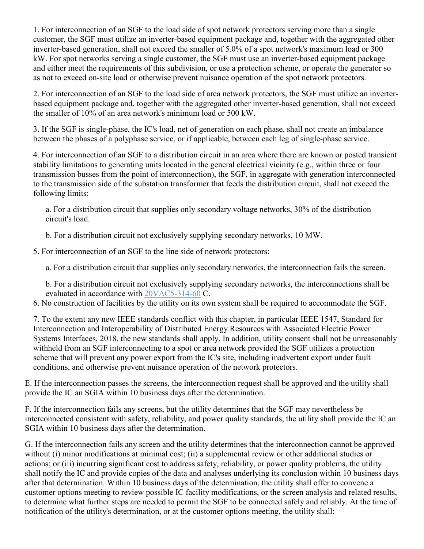1. For interconnection of an SGF to the load side of spot network protectors serving more than a single customer, the SGF must utilize an inverter-based equipment package and, together with the aggregated other inverter-based generation, shall not exceed the smaller of 5.0% of a spot network's maximum load or 300 kW. For spot networks serving a single customer, the SGF must use an inverter-based equipment package and either meet the requirements of this subdivision, or use a protection scheme, or operate the generator so as not to exceed on-site load or otherwise prevent nuisance operation of the spot network protectors.

2. For interconnection of an SGF to the load side of area network protectors, the SGF must utilize an inverterbased equipment package and, together with the aggregated other inverter-based generation, shall not exceed the smaller of 10% of an area network's minimum load or 500 kW.

3. If the SGF is single-phase, the IC's load, net of generation on each phase, shall not create an imbalance between the phases of a polyphase service, or if applicable, between each leg of single-phase service.

4. For interconnection of an SGF to a distribution circuit in an area where there are known or posted transient stability limitations to generating units located in the general electrical vicinity (e.g., within three or four transmission busses from the point of interconnection), the SGF, in aggregate with generation interconnected to the transmission side of the substation transformer that feeds the distribution circuit, shall not exceed the following limits:

a. For a distribution circuit that supplies only secondary voltage networks, 30% of the distribution circuit's load.

b. For a distribution circuit not exclusively supplying secondary networks, 10 MW.

5. For interconnection of an SGF to the line side of network protectors:

a. For a distribution circuit that supplies only secondary networks, the interconnection fails the screen.

b. For a distribution circuit not exclusively supplying secondary networks, the interconnections shall be evaluated in accordance with [20VAC5-314-60](https://law.lis.virginia.gov/admincode/title20/agency5/chapter314/section60/) C.

6. No construction of facilities by the utility on its own system shall be required to accommodate the SGF.

7. To the extent any new IEEE standards conflict with this chapter, in particular IEEE 1547, Standard for Interconnection and Interoperability of Distributed Energy Resources with Associated Electric Power Systems Interfaces, 2018, the new standards shall apply. In addition, utility consent shall not be unreasonably withheld from an SGF interconnecting to a spot or area network provided the SGF utilizes a protection scheme that will prevent any power export from the IC's site, including inadvertent export under fault conditions, and otherwise prevent nuisance operation of the network protectors.

E. If the interconnection passes the screens, the interconnection request shall be approved and the utility shall provide the IC an SGIA within 10 business days after the determination.

F. If the interconnection fails any screens, but the utility determines that the SGF may nevertheless be interconnected consistent with safety, reliability, and power quality standards, the utility shall provide the IC an SGIA within 10 business days after the determination.

G. If the interconnection fails any screen and the utility determines that the interconnection cannot be approved without (i) minor modifications at minimal cost; (ii) a supplemental review or other additional studies or actions; or (iii) incurring significant cost to address safety, reliability, or power quality problems, the utility shall notify the IC and provide copies of the data and analyses underlying its conclusion within 10 business days after that determination. Within 10 business days of the determination, the utility shall offer to convene a customer options meeting to review possible IC facility modifications, or the screen analysis and related results, to determine what further steps are needed to permit the SGF to be connected safely and reliably. At the time of notification of the utility's determination, or at the customer options meeting, the utility shall: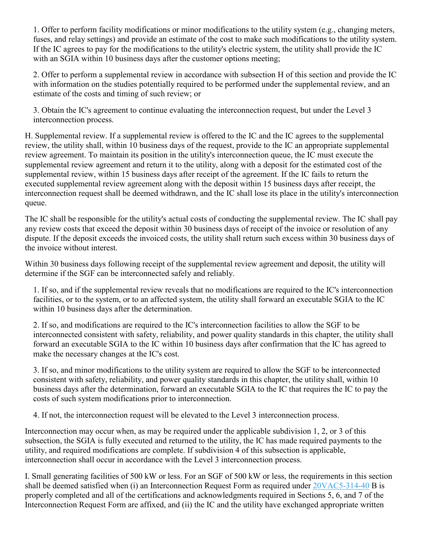1. Offer to perform facility modifications or minor modifications to the utility system (e.g., changing meters, fuses, and relay settings) and provide an estimate of the cost to make such modifications to the utility system. If the IC agrees to pay for the modifications to the utility's electric system, the utility shall provide the IC with an SGIA within 10 business days after the customer options meeting;

2. Offer to perform a supplemental review in accordance with subsection H of this section and provide the IC with information on the studies potentially required to be performed under the supplemental review, and an estimate of the costs and timing of such review; or

3. Obtain the IC's agreement to continue evaluating the interconnection request, but under the Level 3 interconnection process.

H. Supplemental review. If a supplemental review is offered to the IC and the IC agrees to the supplemental review, the utility shall, within 10 business days of the request, provide to the IC an appropriate supplemental review agreement. To maintain its position in the utility's interconnection queue, the IC must execute the supplemental review agreement and return it to the utility, along with a deposit for the estimated cost of the supplemental review, within 15 business days after receipt of the agreement. If the IC fails to return the executed supplemental review agreement along with the deposit within 15 business days after receipt, the interconnection request shall be deemed withdrawn, and the IC shall lose its place in the utility's interconnection queue.

The IC shall be responsible for the utility's actual costs of conducting the supplemental review. The IC shall pay any review costs that exceed the deposit within 30 business days of receipt of the invoice or resolution of any dispute. If the deposit exceeds the invoiced costs, the utility shall return such excess within 30 business days of the invoice without interest.

Within 30 business days following receipt of the supplemental review agreement and deposit, the utility will determine if the SGF can be interconnected safely and reliably.

1. If so, and if the supplemental review reveals that no modifications are required to the IC's interconnection facilities, or to the system, or to an affected system, the utility shall forward an executable SGIA to the IC within 10 business days after the determination.

2. If so, and modifications are required to the IC's interconnection facilities to allow the SGF to be interconnected consistent with safety, reliability, and power quality standards in this chapter, the utility shall forward an executable SGIA to the IC within 10 business days after confirmation that the IC has agreed to make the necessary changes at the IC's cost.

3. If so, and minor modifications to the utility system are required to allow the SGF to be interconnected consistent with safety, reliability, and power quality standards in this chapter, the utility shall, within 10 business days after the determination, forward an executable SGIA to the IC that requires the IC to pay the costs of such system modifications prior to interconnection.

4. If not, the interconnection request will be elevated to the Level 3 interconnection process.

Interconnection may occur when, as may be required under the applicable subdivision 1, 2, or 3 of this subsection, the SGIA is fully executed and returned to the utility, the IC has made required payments to the utility, and required modifications are complete. If subdivision 4 of this subsection is applicable, interconnection shall occur in accordance with the Level 3 interconnection process.

I. Small generating facilities of 500 kW or less. For an SGF of 500 kW or less, the requirements in this section shall be deemed satisfied when (i) an Interconnection Request Form as required under [20VAC5-314-40](https://law.lis.virginia.gov/admincode/title20/agency5/chapter314/section40/) B is properly completed and all of the certifications and acknowledgments required in Sections 5, 6, and 7 of the Interconnection Request Form are affixed, and (ii) the IC and the utility have exchanged appropriate written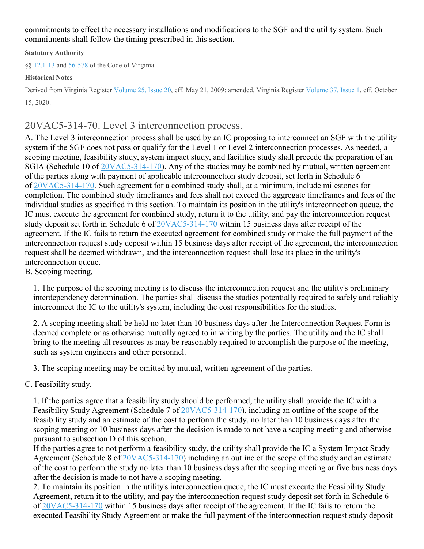commitments to effect the necessary installations and modifications to the SGF and the utility system. Such commitments shall follow the timing prescribed in this section.

#### **Statutory Authority**

§§ [12.1-13](https://law.lis.virginia.gov/vacode/12.1-13/) and [56-578](https://law.lis.virginia.gov/vacode/56-578/) of the Code of Virginia.

### **Historical Notes**

Derived from Virginia Register [Volume](http://register.dls.virginia.gov/toc.aspx?voliss=37:01) 25, Issue 20, eff. May 21, 2009; amended, Virginia Register Volume 37, Issue 1, eff. October 15, 2020.

# 20VAC5-314-70. Level 3 interconnection process.

A. The Level 3 interconnection process shall be used by an IC proposing to interconnect an SGF with the utility system if the SGF does not pass or qualify for the Level 1 or Level 2 interconnection processes. As needed, a scoping meeting, feasibility study, system impact study, and facilities study shall precede the preparation of an SGIA (Schedule 10 of [20VAC5-314-170\)](https://law.lis.virginia.gov/admincode/title20/agency5/chapter314/section170/). Any of the studies may be combined by mutual, written agreement of the parties along with payment of applicable interconnection study deposit, set forth in Schedule 6 of [20VAC5-314-170.](https://law.lis.virginia.gov/admincode/title20/agency5/chapter314/section170/) Such agreement for a combined study shall, at a minimum, include milestones for completion. The combined study timeframes and fees shall not exceed the aggregate timeframes and fees of the individual studies as specified in this section. To maintain its position in the utility's interconnection queue, the IC must execute the agreement for combined study, return it to the utility, and pay the interconnection request study deposit set forth in Schedule 6 of [20VAC5-314-170](https://law.lis.virginia.gov/admincode/title20/agency5/chapter314/section170/) within 15 business days after receipt of the agreement. If the IC fails to return the executed agreement for combined study or make the full payment of the interconnection request study deposit within 15 business days after receipt of the agreement, the interconnection request shall be deemed withdrawn, and the interconnection request shall lose its place in the utility's interconnection queue.

B. Scoping meeting.

1. The purpose of the scoping meeting is to discuss the interconnection request and the utility's preliminary interdependency determination. The parties shall discuss the studies potentially required to safely and reliably interconnect the IC to the utility's system, including the cost responsibilities for the studies.

2. A scoping meeting shall be held no later than 10 business days after the Interconnection Request Form is deemed complete or as otherwise mutually agreed to in writing by the parties. The utility and the IC shall bring to the meeting all resources as may be reasonably required to accomplish the purpose of the meeting, such as system engineers and other personnel.

3. The scoping meeting may be omitted by mutual, written agreement of the parties.

C. Feasibility study.

1. If the parties agree that a feasibility study should be performed, the utility shall provide the IC with a Feasibility Study Agreement (Schedule 7 of [20VAC5-314-170\)](https://law.lis.virginia.gov/admincode/title20/agency5/chapter314/section170/), including an outline of the scope of the feasibility study and an estimate of the cost to perform the study, no later than 10 business days after the scoping meeting or 10 business days after the decision is made to not have a scoping meeting and otherwise pursuant to subsection D of this section.

If the parties agree to not perform a feasibility study, the utility shall provide the IC a System Impact Study Agreement (Schedule 8 of [20VAC5-314-170\)](https://law.lis.virginia.gov/admincode/title20/agency5/chapter314/section170/) including an outline of the scope of the study and an estimate of the cost to perform the study no later than 10 business days after the scoping meeting or five business days after the decision is made to not have a scoping meeting.

2. To maintain its position in the utility's interconnection queue, the IC must execute the Feasibility Study Agreement, return it to the utility, and pay the interconnection request study deposit set forth in Schedule 6 of [20VAC5-314-170](https://law.lis.virginia.gov/admincode/title20/agency5/chapter314/section170/) within 15 business days after receipt of the agreement. If the IC fails to return the executed Feasibility Study Agreement or make the full payment of the interconnection request study deposit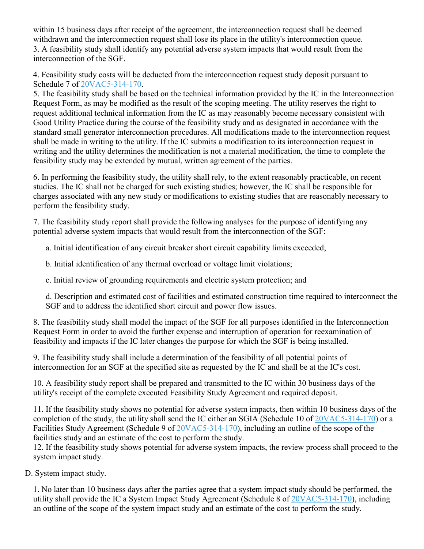within 15 business days after receipt of the agreement, the interconnection request shall be deemed withdrawn and the interconnection request shall lose its place in the utility's interconnection queue. 3. A feasibility study shall identify any potential adverse system impacts that would result from the interconnection of the SGF.

4. Feasibility study costs will be deducted from the interconnection request study deposit pursuant to Schedule 7 of [20VAC5-314-170.](https://law.lis.virginia.gov/admincode/title20/agency5/chapter314/section170/)

5. The feasibility study shall be based on the technical information provided by the IC in the Interconnection Request Form, as may be modified as the result of the scoping meeting. The utility reserves the right to request additional technical information from the IC as may reasonably become necessary consistent with Good Utility Practice during the course of the feasibility study and as designated in accordance with the standard small generator interconnection procedures. All modifications made to the interconnection request shall be made in writing to the utility. If the IC submits a modification to its interconnection request in writing and the utility determines the modification is not a material modification, the time to complete the feasibility study may be extended by mutual, written agreement of the parties.

6. In performing the feasibility study, the utility shall rely, to the extent reasonably practicable, on recent studies. The IC shall not be charged for such existing studies; however, the IC shall be responsible for charges associated with any new study or modifications to existing studies that are reasonably necessary to perform the feasibility study.

7. The feasibility study report shall provide the following analyses for the purpose of identifying any potential adverse system impacts that would result from the interconnection of the SGF:

a. Initial identification of any circuit breaker short circuit capability limits exceeded;

b. Initial identification of any thermal overload or voltage limit violations;

c. Initial review of grounding requirements and electric system protection; and

d. Description and estimated cost of facilities and estimated construction time required to interconnect the SGF and to address the identified short circuit and power flow issues.

8. The feasibility study shall model the impact of the SGF for all purposes identified in the Interconnection Request Form in order to avoid the further expense and interruption of operation for reexamination of feasibility and impacts if the IC later changes the purpose for which the SGF is being installed.

9. The feasibility study shall include a determination of the feasibility of all potential points of interconnection for an SGF at the specified site as requested by the IC and shall be at the IC's cost.

10. A feasibility study report shall be prepared and transmitted to the IC within 30 business days of the utility's receipt of the complete executed Feasibility Study Agreement and required deposit.

11. If the feasibility study shows no potential for adverse system impacts, then within 10 business days of the completion of the study, the utility shall send the IC either an SGIA (Schedule 10 of [20VAC5-314-170\)](https://law.lis.virginia.gov/admincode/title20/agency5/chapter314/section170/) or a Facilities Study Agreement (Schedule 9 of [20VAC5-314-170\)](https://law.lis.virginia.gov/admincode/title20/agency5/chapter314/section170/), including an outline of the scope of the facilities study and an estimate of the cost to perform the study.

12. If the feasibility study shows potential for adverse system impacts, the review process shall proceed to the system impact study.

D. System impact study.

1. No later than 10 business days after the parties agree that a system impact study should be performed, the utility shall provide the IC a System Impact Study Agreement (Schedule 8 of [20VAC5-314-170\)](https://law.lis.virginia.gov/admincode/title20/agency5/chapter314/section170/), including an outline of the scope of the system impact study and an estimate of the cost to perform the study.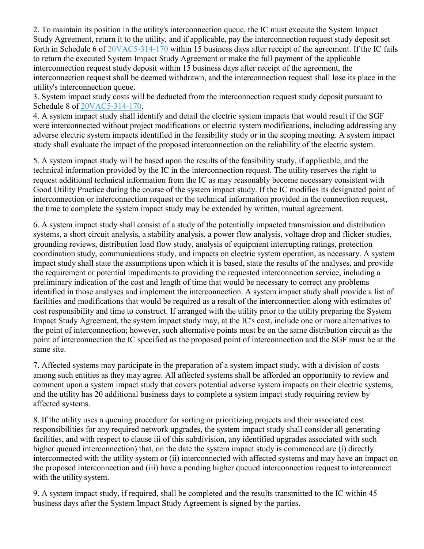2. To maintain its position in the utility's interconnection queue, the IC must execute the System Impact Study Agreement, return it to the utility, and if applicable, pay the interconnection request study deposit set forth in Schedule 6 of [20VAC5-314-170](https://law.lis.virginia.gov/admincode/title20/agency5/chapter314/section170/) within 15 business days after receipt of the agreement. If the IC fails to return the executed System Impact Study Agreement or make the full payment of the applicable interconnection request study deposit within 15 business days after receipt of the agreement, the interconnection request shall be deemed withdrawn, and the interconnection request shall lose its place in the utility's interconnection queue.

3. System impact study costs will be deducted from the interconnection request study deposit pursuant to Schedule 8 of [20VAC5-314-170.](https://law.lis.virginia.gov/admincode/title20/agency5/chapter314/section170/)

4. A system impact study shall identify and detail the electric system impacts that would result if the SGF were interconnected without project modifications or electric system modifications, including addressing any adverse electric system impacts identified in the feasibility study or in the scoping meeting. A system impact study shall evaluate the impact of the proposed interconnection on the reliability of the electric system.

5. A system impact study will be based upon the results of the feasibility study, if applicable, and the technical information provided by the IC in the interconnection request. The utility reserves the right to request additional technical information from the IC as may reasonably become necessary consistent with Good Utility Practice during the course of the system impact study. If the IC modifies its designated point of interconnection or interconnection request or the technical information provided in the connection request, the time to complete the system impact study may be extended by written, mutual agreement.

6. A system impact study shall consist of a study of the potentially impacted transmission and distribution systems, a short circuit analysis, a stability analysis, a power flow analysis, voltage drop and flicker studies, grounding reviews, distribution load flow study, analysis of equipment interrupting ratings, protection coordination study, communications study, and impacts on electric system operation, as necessary. A system impact study shall state the assumptions upon which it is based, state the results of the analyses, and provide the requirement or potential impediments to providing the requested interconnection service, including a preliminary indication of the cost and length of time that would be necessary to correct any problems identified in those analyses and implement the interconnection. A system impact study shall provide a list of facilities and modifications that would be required as a result of the interconnection along with estimates of cost responsibility and time to construct. If arranged with the utility prior to the utility preparing the System Impact Study Agreement, the system impact study may, at the IC's cost, include one or more alternatives to the point of interconnection; however, such alternative points must be on the same distribution circuit as the point of interconnection the IC specified as the proposed point of interconnection and the SGF must be at the same site.

7. Affected systems may participate in the preparation of a system impact study, with a division of costs among such entities as they may agree. All affected systems shall be afforded an opportunity to review and comment upon a system impact study that covers potential adverse system impacts on their electric systems, and the utility has 20 additional business days to complete a system impact study requiring review by affected systems.

8. If the utility uses a queuing procedure for sorting or prioritizing projects and their associated cost responsibilities for any required network upgrades, the system impact study shall consider all generating facilities, and with respect to clause iii of this subdivision, any identified upgrades associated with such higher queued interconnection) that, on the date the system impact study is commenced are (i) directly interconnected with the utility system or (ii) interconnected with affected systems and may have an impact on the proposed interconnection and (iii) have a pending higher queued interconnection request to interconnect with the utility system.

9. A system impact study, if required, shall be completed and the results transmitted to the IC within 45 business days after the System Impact Study Agreement is signed by the parties.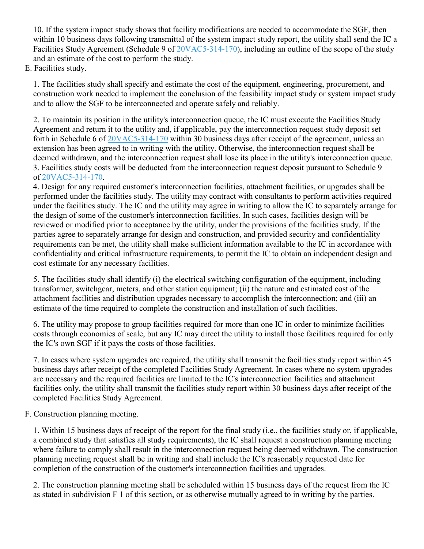10. If the system impact study shows that facility modifications are needed to accommodate the SGF, then within 10 business days following transmittal of the system impact study report, the utility shall send the IC a Facilities Study Agreement (Schedule 9 of  $20VAC5-314-170$ ), including an outline of the scope of the study and an estimate of the cost to perform the study.

# E. Facilities study.

1. The facilities study shall specify and estimate the cost of the equipment, engineering, procurement, and construction work needed to implement the conclusion of the feasibility impact study or system impact study and to allow the SGF to be interconnected and operate safely and reliably.

2. To maintain its position in the utility's interconnection queue, the IC must execute the Facilities Study Agreement and return it to the utility and, if applicable, pay the interconnection request study deposit set forth in Schedule 6 of [20VAC5-314-170](https://law.lis.virginia.gov/admincode/title20/agency5/chapter314/section170/) within 30 business days after receipt of the agreement, unless an extension has been agreed to in writing with the utility. Otherwise, the interconnection request shall be deemed withdrawn, and the interconnection request shall lose its place in the utility's interconnection queue. 3. Facilities study costs will be deducted from the interconnection request deposit pursuant to Schedule 9 of [20VAC5-314-170.](https://law.lis.virginia.gov/admincode/title20/agency5/chapter314/section170/)

4. Design for any required customer's interconnection facilities, attachment facilities, or upgrades shall be performed under the facilities study. The utility may contract with consultants to perform activities required under the facilities study. The IC and the utility may agree in writing to allow the IC to separately arrange for the design of some of the customer's interconnection facilities. In such cases, facilities design will be reviewed or modified prior to acceptance by the utility, under the provisions of the facilities study. If the parties agree to separately arrange for design and construction, and provided security and confidentiality requirements can be met, the utility shall make sufficient information available to the IC in accordance with confidentiality and critical infrastructure requirements, to permit the IC to obtain an independent design and cost estimate for any necessary facilities.

5. The facilities study shall identify (i) the electrical switching configuration of the equipment, including transformer, switchgear, meters, and other station equipment; (ii) the nature and estimated cost of the attachment facilities and distribution upgrades necessary to accomplish the interconnection; and (iii) an estimate of the time required to complete the construction and installation of such facilities.

6. The utility may propose to group facilities required for more than one IC in order to minimize facilities costs through economies of scale, but any IC may direct the utility to install those facilities required for only the IC's own SGF if it pays the costs of those facilities.

7. In cases where system upgrades are required, the utility shall transmit the facilities study report within 45 business days after receipt of the completed Facilities Study Agreement. In cases where no system upgrades are necessary and the required facilities are limited to the IC's interconnection facilities and attachment facilities only, the utility shall transmit the facilities study report within 30 business days after receipt of the completed Facilities Study Agreement.

F. Construction planning meeting.

1. Within 15 business days of receipt of the report for the final study (i.e., the facilities study or, if applicable, a combined study that satisfies all study requirements), the IC shall request a construction planning meeting where failure to comply shall result in the interconnection request being deemed withdrawn. The construction planning meeting request shall be in writing and shall include the IC's reasonably requested date for completion of the construction of the customer's interconnection facilities and upgrades.

2. The construction planning meeting shall be scheduled within 15 business days of the request from the IC as stated in subdivision F 1 of this section, or as otherwise mutually agreed to in writing by the parties.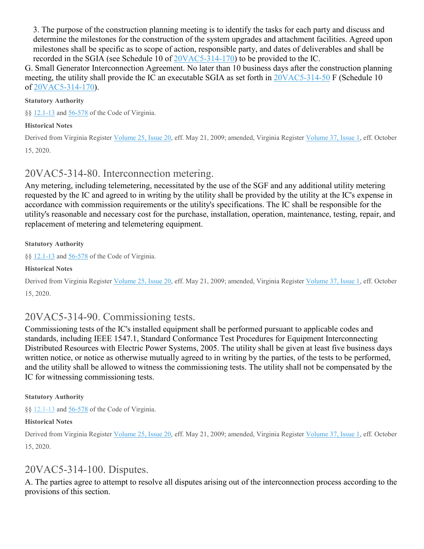3. The purpose of the construction planning meeting is to identify the tasks for each party and discuss and determine the milestones for the construction of the system upgrades and attachment facilities. Agreed upon milestones shall be specific as to scope of action, responsible party, and dates of deliverables and shall be recorded in the SGIA (see Schedule 10 of [20VAC5-314-170\)](https://law.lis.virginia.gov/admincode/title20/agency5/chapter314/section170/) to be provided to the IC.

G. Small Generator Interconnection Agreement. No later than 10 business days after the construction planning meeting, the utility shall provide the IC an executable SGIA as set forth in [20VAC5-314-50](https://law.lis.virginia.gov/admincode/title20/agency5/chapter314/section50/) F (Schedule 10 of [20VAC5-314-170\)](https://law.lis.virginia.gov/admincode/title20/agency5/chapter314/section170/).

### **Statutory Authority**

§§ [12.1-13](https://law.lis.virginia.gov/vacode/12.1-13/) and [56-578](https://law.lis.virginia.gov/vacode/56-578/) of the Code of Virginia.

#### **Historical Notes**

Derived from Virginia Register [Volume](http://register.dls.virginia.gov/toc.aspx?voliss=25:20) 25, Issue 20, eff. May 21, 2009; amended, Virginia Register [Volume](http://register.dls.virginia.gov/toc.aspx?voliss=37:01) 37, Issue 1, eff. October 15, 2020.

# 20VAC5-314-80. Interconnection metering.

Any metering, including telemetering, necessitated by the use of the SGF and any additional utility metering requested by the IC and agreed to in writing by the utility shall be provided by the utility at the IC's expense in accordance with commission requirements or the utility's specifications. The IC shall be responsible for the utility's reasonable and necessary cost for the purchase, installation, operation, maintenance, testing, repair, and replacement of metering and telemetering equipment.

#### **Statutory Authority**

§§ [12.1-13](https://law.lis.virginia.gov/vacode/12.1-13/) and [56-578](https://law.lis.virginia.gov/vacode/56-578/) of the Code of Virginia.

#### **Historical Notes**

Derived from Virginia Register [Volume](http://register.dls.virginia.gov/toc.aspx?voliss=37:01) 25, Issue 20, eff. May 21, 2009; amended, Virginia Register Volume 37, Issue 1, eff. October 15, 2020.

# 20VAC5-314-90. Commissioning tests.

Commissioning tests of the IC's installed equipment shall be performed pursuant to applicable codes and standards, including IEEE 1547.1, Standard Conformance Test Procedures for Equipment Interconnecting Distributed Resources with Electric Power Systems, 2005. The utility shall be given at least five business days written notice, or notice as otherwise mutually agreed to in writing by the parties, of the tests to be performed, and the utility shall be allowed to witness the commissioning tests. The utility shall not be compensated by the IC for witnessing commissioning tests.

#### **Statutory Authority**

§§ [12.1-13](https://law.lis.virginia.gov/vacode/12.1-13/) and [56-578](https://law.lis.virginia.gov/vacode/56-578/) of the Code of Virginia.

#### **Historical Notes**

Derived from Virginia Register [Volume](http://register.dls.virginia.gov/toc.aspx?voliss=37:01) 25, Issue 20, eff. May 21, 2009; amended, Virginia Register Volume 37, Issue 1, eff. October 15, 2020.

# 20VAC5-314-100. Disputes.

A. The parties agree to attempt to resolve all disputes arising out of the interconnection process according to the provisions of this section.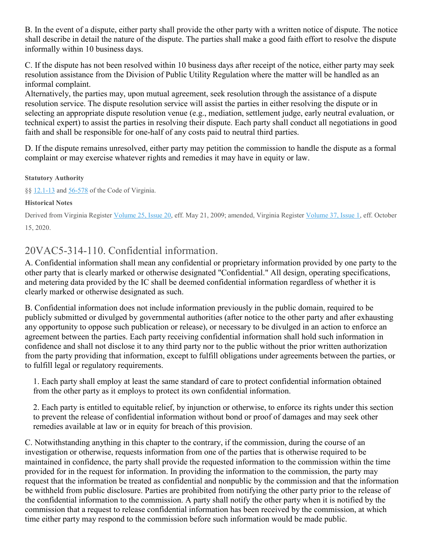B. In the event of a dispute, either party shall provide the other party with a written notice of dispute. The notice shall describe in detail the nature of the dispute. The parties shall make a good faith effort to resolve the dispute informally within 10 business days.

C. If the dispute has not been resolved within 10 business days after receipt of the notice, either party may seek resolution assistance from the Division of Public Utility Regulation where the matter will be handled as an informal complaint.

Alternatively, the parties may, upon mutual agreement, seek resolution through the assistance of a dispute resolution service. The dispute resolution service will assist the parties in either resolving the dispute or in selecting an appropriate dispute resolution venue (e.g., mediation, settlement judge, early neutral evaluation, or technical expert) to assist the parties in resolving their dispute. Each party shall conduct all negotiations in good faith and shall be responsible for one-half of any costs paid to neutral third parties.

D. If the dispute remains unresolved, either party may petition the commission to handle the dispute as a formal complaint or may exercise whatever rights and remedies it may have in equity or law.

### **Statutory Authority**

§§ [12.1-13](https://law.lis.virginia.gov/vacode/12.1-13/) and [56-578](https://law.lis.virginia.gov/vacode/56-578/) of the Code of Virginia.

### **Historical Notes**

Derived from Virginia Register [Volume](http://register.dls.virginia.gov/toc.aspx?voliss=25:20) 25, Issue 20, eff. May 21, 2009; amended, Virginia Register [Volume](http://register.dls.virginia.gov/toc.aspx?voliss=37:01) 37, Issue 1, eff. October 15, 2020.

# 20VAC5-314-110. Confidential information.

A. Confidential information shall mean any confidential or proprietary information provided by one party to the other party that is clearly marked or otherwise designated "Confidential." All design, operating specifications, and metering data provided by the IC shall be deemed confidential information regardless of whether it is clearly marked or otherwise designated as such.

B. Confidential information does not include information previously in the public domain, required to be publicly submitted or divulged by governmental authorities (after notice to the other party and after exhausting any opportunity to oppose such publication or release), or necessary to be divulged in an action to enforce an agreement between the parties. Each party receiving confidential information shall hold such information in confidence and shall not disclose it to any third party nor to the public without the prior written authorization from the party providing that information, except to fulfill obligations under agreements between the parties, or to fulfill legal or regulatory requirements.

1. Each party shall employ at least the same standard of care to protect confidential information obtained from the other party as it employs to protect its own confidential information.

2. Each party is entitled to equitable relief, by injunction or otherwise, to enforce its rights under this section to prevent the release of confidential information without bond or proof of damages and may seek other remedies available at law or in equity for breach of this provision.

C. Notwithstanding anything in this chapter to the contrary, if the commission, during the course of an investigation or otherwise, requests information from one of the parties that is otherwise required to be maintained in confidence, the party shall provide the requested information to the commission within the time provided for in the request for information. In providing the information to the commission, the party may request that the information be treated as confidential and nonpublic by the commission and that the information be withheld from public disclosure. Parties are prohibited from notifying the other party prior to the release of the confidential information to the commission. A party shall notify the other party when it is notified by the commission that a request to release confidential information has been received by the commission, at which time either party may respond to the commission before such information would be made public.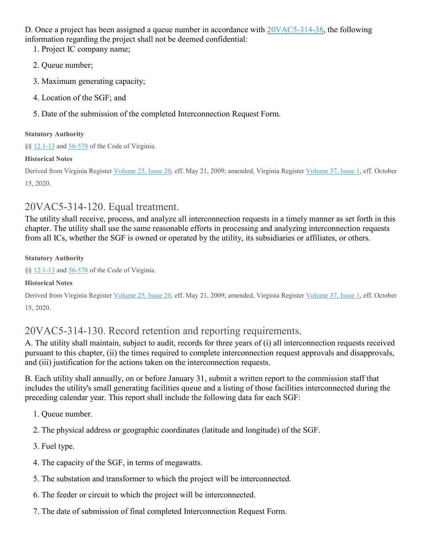D. Once a project has been assigned a queue number in accordance with  $20\sqrt{AC5-314-38}$ , the following information regarding the project shall not be deemed confidential:

1. Project IC company name;

- 2. Queue number;
- 3. Maximum generating capacity;
- 4. Location of the SGF; and
- 5. Date of the submission of the completed Interconnection Request Form.

### **Statutory Authority**

§§ [12.1-13](https://law.lis.virginia.gov/vacode/12.1-13/) and [56-578](https://law.lis.virginia.gov/vacode/56-578/) of the Code of Virginia.

### **Historical Notes**

Derived from Virginia Register [Volume](http://register.dls.virginia.gov/toc.aspx?voliss=37:01) 25, Issue 20, eff. May 21, 2009; amended, Virginia Register Volume 37, Issue 1, eff. October 15, 2020.

# 20VAC5-314-120. Equal treatment.

The utility shall receive, process, and analyze all interconnection requests in a timely manner as set forth in this chapter. The utility shall use the same reasonable efforts in processing and analyzing interconnection requests from all ICs, whether the SGF is owned or operated by the utility, its subsidiaries or affiliates, or others.

### **Statutory Authority**

§§ [12.1-13](https://law.lis.virginia.gov/vacode/12.1-13/) and [56-578](https://law.lis.virginia.gov/vacode/56-578/) of the Code of Virginia.

## **Historical Notes**

Derived from Virginia Register [Volume](http://register.dls.virginia.gov/toc.aspx?voliss=37:01) 25, Issue 20, eff. May 21, 2009; amended, Virginia Register Volume 37, Issue 1, eff. October 15, 2020.

# 20VAC5-314-130. Record retention and reporting requirements.

A. The utility shall maintain, subject to audit, records for three years of (i) all interconnection requests received pursuant to this chapter, (ii) the times required to complete interconnection request approvals and disapprovals, and (iii) justification for the actions taken on the interconnection requests.

B. Each utility shall annually, on or before January 31, submit a written report to the commission staff that includes the utility's small generating facilities queue and a listing of those facilities interconnected during the preceding calendar year. This report shall include the following data for each SGF:

- 1. Queue number.
- 2. The physical address or geographic coordinates (latitude and longitude) of the SGF.
- 3. Fuel type.
- 4. The capacity of the SGF, in terms of megawatts.
- 5. The substation and transformer to which the project will be interconnected.
- 6. The feeder or circuit to which the project will be interconnected.
- 7. The date of submission of final completed Interconnection Request Form.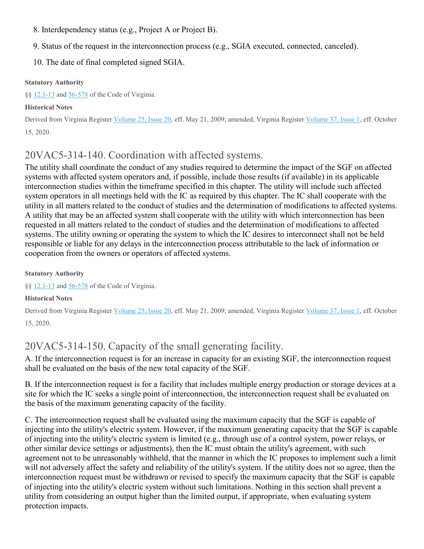- 8. Interdependency status (e.g., Project A or Project B).
- 9. Status of the request in the interconnection process (e.g., SGIA executed, connected, canceled).
- 10. The date of final completed signed SGIA.

#### **Statutory Authority**

§§ [12.1-13](https://law.lis.virginia.gov/vacode/12.1-13/) and [56-578](https://law.lis.virginia.gov/vacode/56-578/) of the Code of Virginia.

### **Historical Notes**

Derived from Virginia Register [Volume](http://register.dls.virginia.gov/toc.aspx?voliss=25:20) 25, Issue 20, eff. May 21, 2009; amended, Virginia Register [Volume](http://register.dls.virginia.gov/toc.aspx?voliss=37:01) 37, Issue 1, eff. October 15, 2020.

# 20VAC5-314-140. Coordination with affected systems.

The utility shall coordinate the conduct of any studies required to determine the impact of the SGF on affected systems with affected system operators and, if possible, include those results (if available) in its applicable interconnection studies within the timeframe specified in this chapter. The utility will include such affected system operators in all meetings held with the IC as required by this chapter. The IC shall cooperate with the utility in all matters related to the conduct of studies and the determination of modifications to affected systems. A utility that may be an affected system shall cooperate with the utility with which interconnection has been requested in all matters related to the conduct of studies and the determination of modifications to affected systems. The utility owning or operating the system to which the IC desires to interconnect shall not be held responsible or liable for any delays in the interconnection process attributable to the lack of information or cooperation from the owners or operators of affected systems.

#### **Statutory Authority**

§§ [12.1-13](https://law.lis.virginia.gov/vacode/12.1-13/) and [56-578](https://law.lis.virginia.gov/vacode/56-578/) of the Code of Virginia.

### **Historical Notes**

Derived from Virginia Register [Volume](http://register.dls.virginia.gov/toc.aspx?voliss=25:20) 25, Issue 20, eff. May 21, 2009; amended, Virginia Register [Volume](http://register.dls.virginia.gov/toc.aspx?voliss=37:01) 37, Issue 1, eff. October 15, 2020.

# 20VAC5-314-150. Capacity of the small generating facility.

A. If the interconnection request is for an increase in capacity for an existing SGF, the interconnection request shall be evaluated on the basis of the new total capacity of the SGF.

B. If the interconnection request is for a facility that includes multiple energy production or storage devices at a site for which the IC seeks a single point of interconnection, the interconnection request shall be evaluated on the basis of the maximum generating capacity of the facility.

C. The interconnection request shall be evaluated using the maximum capacity that the SGF is capable of injecting into the utility's electric system. However, if the maximum generating capacity that the SGF is capable of injecting into the utility's electric system is limited (e.g., through use of a control system, power relays, or other similar device settings or adjustments), then the IC must obtain the utility's agreement, with such agreement not to be unreasonably withheld, that the manner in which the IC proposes to implement such a limit will not adversely affect the safety and reliability of the utility's system. If the utility does not so agree, then the interconnection request must be withdrawn or revised to specify the maximum capacity that the SGF is capable of injecting into the utility's electric system without such limitations. Nothing in this section shall prevent a utility from considering an output higher than the limited output, if appropriate, when evaluating system protection impacts.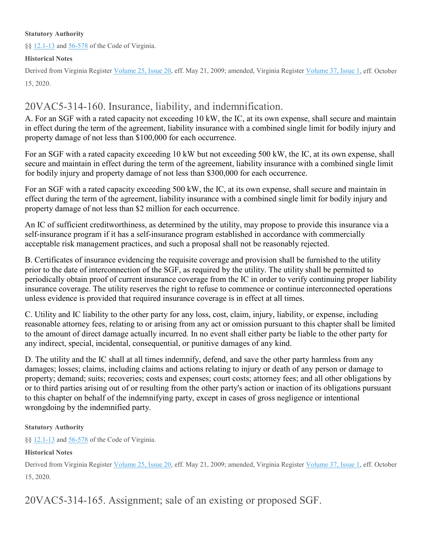#### **Statutory Authority**

§§ [12.1-13](https://law.lis.virginia.gov/vacode/12.1-13/) and [56-578](https://law.lis.virginia.gov/vacode/56-578/) of the Code of Virginia.

#### **Historical Notes**

Derived from Virginia Register [Volume](http://register.dls.virginia.gov/toc.aspx?voliss=25:20) 25, Issue 20, eff. May 21, 2009; amended, Virginia Register [Volume](http://register.dls.virginia.gov/toc.aspx?voliss=37:01) 37, Issue 1, eff. October 15, 2020.

# 20VAC5-314-160. Insurance, liability, and indemnification.

A. For an SGF with a rated capacity not exceeding 10 kW, the IC, at its own expense, shall secure and maintain in effect during the term of the agreement, liability insurance with a combined single limit for bodily injury and property damage of not less than \$100,000 for each occurrence.

For an SGF with a rated capacity exceeding 10 kW but not exceeding 500 kW, the IC, at its own expense, shall secure and maintain in effect during the term of the agreement, liability insurance with a combined single limit for bodily injury and property damage of not less than \$300,000 for each occurrence.

For an SGF with a rated capacity exceeding 500 kW, the IC, at its own expense, shall secure and maintain in effect during the term of the agreement, liability insurance with a combined single limit for bodily injury and property damage of not less than \$2 million for each occurrence.

An IC of sufficient creditworthiness, as determined by the utility, may propose to provide this insurance via a self-insurance program if it has a self-insurance program established in accordance with commercially acceptable risk management practices, and such a proposal shall not be reasonably rejected.

B. Certificates of insurance evidencing the requisite coverage and provision shall be furnished to the utility prior to the date of interconnection of the SGF, as required by the utility. The utility shall be permitted to periodically obtain proof of current insurance coverage from the IC in order to verify continuing proper liability insurance coverage. The utility reserves the right to refuse to commence or continue interconnected operations unless evidence is provided that required insurance coverage is in effect at all times.

C. Utility and IC liability to the other party for any loss, cost, claim, injury, liability, or expense, including reasonable attorney fees, relating to or arising from any act or omission pursuant to this chapter shall be limited to the amount of direct damage actually incurred. In no event shall either party be liable to the other party for any indirect, special, incidental, consequential, or punitive damages of any kind.

D. The utility and the IC shall at all times indemnify, defend, and save the other party harmless from any damages; losses; claims, including claims and actions relating to injury or death of any person or damage to property; demand; suits; recoveries; costs and expenses; court costs; attorney fees; and all other obligations by or to third parties arising out of or resulting from the other party's action or inaction of its obligations pursuant to this chapter on behalf of the indemnifying party, except in cases of gross negligence or intentional wrongdoing by the indemnified party.

### **Statutory Authority**

§§ [12.1-13](https://law.lis.virginia.gov/vacode/12.1-13/) and [56-578](https://law.lis.virginia.gov/vacode/56-578/) of the Code of Virginia.

#### **Historical Notes**

Derived from Virginia Register [Volume](http://register.dls.virginia.gov/toc.aspx?voliss=25:20) 25, Issue 20, eff. May 21, 2009; amended, Virginia Register [Volume](http://register.dls.virginia.gov/toc.aspx?voliss=37:01) 37, Issue 1, eff. October 15, 2020.

20VAC5-314-165. Assignment; sale of an existing or proposed SGF.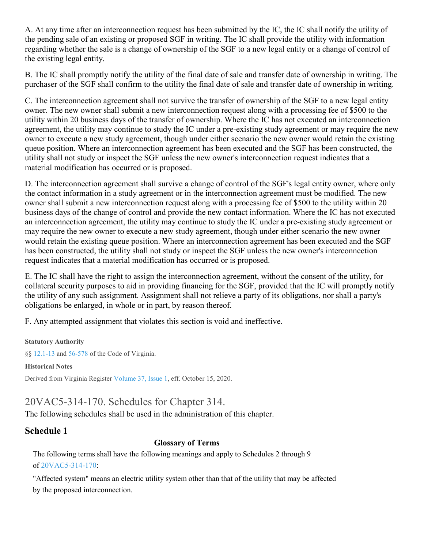A. At any time after an interconnection request has been submitted by the IC, the IC shall notify the utility of the pending sale of an existing or proposed SGF in writing. The IC shall provide the utility with information regarding whether the sale is a change of ownership of the SGF to a new legal entity or a change of control of the existing legal entity.

B. The IC shall promptly notify the utility of the final date of sale and transfer date of ownership in writing. The purchaser of the SGF shall confirm to the utility the final date of sale and transfer date of ownership in writing.

C. The interconnection agreement shall not survive the transfer of ownership of the SGF to a new legal entity owner. The new owner shall submit a new interconnection request along with a processing fee of \$500 to the utility within 20 business days of the transfer of ownership. Where the IC has not executed an interconnection agreement, the utility may continue to study the IC under a pre-existing study agreement or may require the new owner to execute a new study agreement, though under either scenario the new owner would retain the existing queue position. Where an interconnection agreement has been executed and the SGF has been constructed, the utility shall not study or inspect the SGF unless the new owner's interconnection request indicates that a material modification has occurred or is proposed.

D. The interconnection agreement shall survive a change of control of the SGF's legal entity owner, where only the contact information in a study agreement or in the interconnection agreement must be modified. The new owner shall submit a new interconnection request along with a processing fee of \$500 to the utility within 20 business days of the change of control and provide the new contact information. Where the IC has not executed an interconnection agreement, the utility may continue to study the IC under a pre-existing study agreement or may require the new owner to execute a new study agreement, though under either scenario the new owner would retain the existing queue position. Where an interconnection agreement has been executed and the SGF has been constructed, the utility shall not study or inspect the SGF unless the new owner's interconnection request indicates that a material modification has occurred or is proposed.

E. The IC shall have the right to assign the interconnection agreement, without the consent of the utility, for collateral security purposes to aid in providing financing for the SGF, provided that the IC will promptly notify the utility of any such assignment. Assignment shall not relieve a party of its obligations, nor shall a party's obligations be enlarged, in whole or in part, by reason thereof.

F. Any attempted assignment that violates this section is void and ineffective.

**Statutory Authority**

§§ [12.1-13](https://law.lis.virginia.gov/vacode/12.1-13/) and [56-578](https://law.lis.virginia.gov/vacode/56-578/) of the Code of Virginia.

**Historical Notes**

Derived from Virginia Register [Volume](http://register.dls.virginia.gov/toc.aspx?voliss=37:01) 37, Issue 1, eff. October 15, 2020.

# 20VAC5-314-170. Schedules for Chapter 314.

The following schedules shall be used in the administration of this chapter.

# **Schedule 1**

# **Glossary of Terms**

The following terms shall have the following meanings and apply to Schedules 2 through 9 of [20VAC5-314-170:](https://law.lis.virginia.gov/admincode/title20/agency5/chapter314/section170/)

"Affected system" means an electric utility system other than that of the utility that may be affected by the proposed interconnection.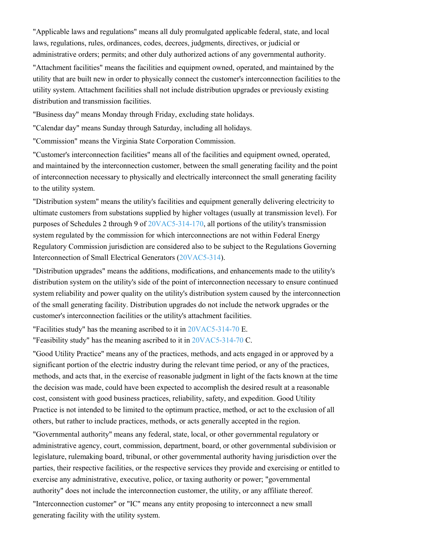"Applicable laws and regulations" means all duly promulgated applicable federal, state, and local laws, regulations, rules, ordinances, codes, decrees, judgments, directives, or judicial or administrative orders; permits; and other duly authorized actions of any governmental authority.

"Attachment facilities" means the facilities and equipment owned, operated, and maintained by the utility that are built new in order to physically connect the customer's interconnection facilities to the utility system. Attachment facilities shall not include distribution upgrades or previously existing distribution and transmission facilities.

"Business day" means Monday through Friday, excluding state holidays.

"Calendar day" means Sunday through Saturday, including all holidays.

"Commission" means the Virginia State Corporation Commission.

"Customer's interconnection facilities" means all of the facilities and equipment owned, operated, and maintained by the interconnection customer, between the small generating facility and the point of interconnection necessary to physically and electrically interconnect the small generating facility to the utility system.

"Distribution system" means the utility's facilities and equipment generally delivering electricity to ultimate customers from substations supplied by higher voltages (usually at transmission level). For purposes of Schedules 2 through 9 of [20VAC5-314-170,](https://law.lis.virginia.gov/admincode/title20/agency5/chapter314/section170/) all portions of the utility's transmission system regulated by the commission for which interconnections are not within Federal Energy Regulatory Commission jurisdiction are considered also to be subject to the Regulations Governing Interconnection of Small Electrical Generators [\(20VAC5-314\)](https://law.lis.virginia.gov/admincode/title20/agency5/chapter314/).

"Distribution upgrades" means the additions, modifications, and enhancements made to the utility's distribution system on the utility's side of the point of interconnection necessary to ensure continued system reliability and power quality on the utility's distribution system caused by the interconnection of the small generating facility. Distribution upgrades do not include the network upgrades or the customer's interconnection facilities or the utility's attachment facilities.

"Facilities study" has the meaning ascribed to it in [20VAC5-314-70](https://law.lis.virginia.gov/admincode/title20/agency5/chapter314/section70/) E.

"Feasibility study" has the meaning ascribed to it in [20VAC5-314-70](https://law.lis.virginia.gov/admincode/title20/agency5/chapter314/section70/) C.

"Good Utility Practice" means any of the practices, methods, and acts engaged in or approved by a significant portion of the electric industry during the relevant time period, or any of the practices, methods, and acts that, in the exercise of reasonable judgment in light of the facts known at the time the decision was made, could have been expected to accomplish the desired result at a reasonable cost, consistent with good business practices, reliability, safety, and expedition. Good Utility Practice is not intended to be limited to the optimum practice, method, or act to the exclusion of all others, but rather to include practices, methods, or acts generally accepted in the region.

"Governmental authority" means any federal, state, local, or other governmental regulatory or administrative agency, court, commission, department, board, or other governmental subdivision or legislature, rulemaking board, tribunal, or other governmental authority having jurisdiction over the parties, their respective facilities, or the respective services they provide and exercising or entitled to exercise any administrative, executive, police, or taxing authority or power; "governmental authority" does not include the interconnection customer, the utility, or any affiliate thereof.

"Interconnection customer" or "IC" means any entity proposing to interconnect a new small generating facility with the utility system.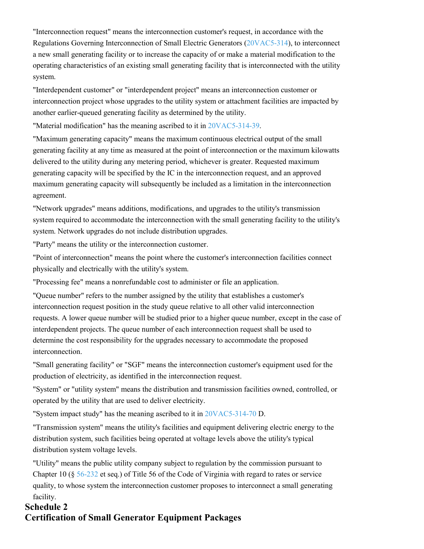"Interconnection request" means the interconnection customer's request, in accordance with the Regulations Governing Interconnection of Small Electric Generators [\(20VAC5-314\)](https://law.lis.virginia.gov/admincode/title20/agency5/chapter314/), to interconnect a new small generating facility or to increase the capacity of or make a material modification to the operating characteristics of an existing small generating facility that is interconnected with the utility system.

"Interdependent customer" or "interdependent project" means an interconnection customer or interconnection project whose upgrades to the utility system or attachment facilities are impacted by another earlier-queued generating facility as determined by the utility.

"Material modification" has the meaning ascribed to it in [20VAC5-314-39.](https://law.lis.virginia.gov/admincode/title20/agency5/chapter314/section39/)

"Maximum generating capacity" means the maximum continuous electrical output of the small generating facility at any time as measured at the point of interconnection or the maximum kilowatts delivered to the utility during any metering period, whichever is greater. Requested maximum generating capacity will be specified by the IC in the interconnection request, and an approved maximum generating capacity will subsequently be included as a limitation in the interconnection agreement.

"Network upgrades" means additions, modifications, and upgrades to the utility's transmission system required to accommodate the interconnection with the small generating facility to the utility's system. Network upgrades do not include distribution upgrades.

"Party" means the utility or the interconnection customer.

"Point of interconnection" means the point where the customer's interconnection facilities connect physically and electrically with the utility's system.

"Processing fee" means a nonrefundable cost to administer or file an application.

"Queue number" refers to the number assigned by the utility that establishes a customer's interconnection request position in the study queue relative to all other valid interconnection requests. A lower queue number will be studied prior to a higher queue number, except in the case of interdependent projects. The queue number of each interconnection request shall be used to determine the cost responsibility for the upgrades necessary to accommodate the proposed interconnection.

"Small generating facility" or "SGF" means the interconnection customer's equipment used for the production of electricity, as identified in the interconnection request.

"System" or "utility system" means the distribution and transmission facilities owned, controlled, or operated by the utility that are used to deliver electricity.

"System impact study" has the meaning ascribed to it in [20VAC5-314-70](https://law.lis.virginia.gov/admincode/title20/agency5/chapter314/section70/) D.

"Transmission system" means the utility's facilities and equipment delivering electric energy to the distribution system, such facilities being operated at voltage levels above the utility's typical distribution system voltage levels.

"Utility" means the public utility company subject to regulation by the commission pursuant to Chapter 10 (§ [56-232](https://law.lis.virginia.gov/vacode/56-232/) et seq.) of Title 56 of the Code of Virginia with regard to rates or service quality, to whose system the interconnection customer proposes to interconnect a small generating facility.

# **Schedule 2 Certification of Small Generator Equipment Packages**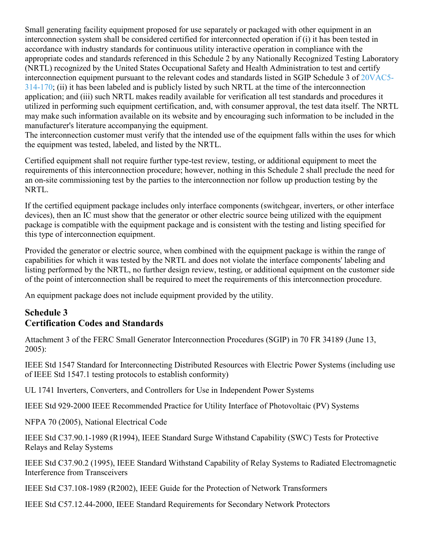Small generating facility equipment proposed for use separately or packaged with other equipment in an interconnection system shall be considered certified for interconnected operation if (i) it has been tested in accordance with industry standards for continuous utility interactive operation in compliance with the appropriate codes and standards referenced in this Schedule 2 by any Nationally Recognized Testing Laboratory (NRTL) recognized by the United States Occupational Safety and Health Administration to test and certify interconnection equipment pursuant to the relevant codes and standards listed in SGIP Schedule 3 of [20VAC5-](https://law.lis.virginia.gov/admincode/title20/agency5/chapter314/section170/) [314-170;](https://law.lis.virginia.gov/admincode/title20/agency5/chapter314/section170/) (ii) it has been labeled and is publicly listed by such NRTL at the time of the interconnection application; and (iii) such NRTL makes readily available for verification all test standards and procedures it utilized in performing such equipment certification, and, with consumer approval, the test data itself. The NRTL may make such information available on its website and by encouraging such information to be included in the manufacturer's literature accompanying the equipment.

The interconnection customer must verify that the intended use of the equipment falls within the uses for which the equipment was tested, labeled, and listed by the NRTL.

Certified equipment shall not require further type-test review, testing, or additional equipment to meet the requirements of this interconnection procedure; however, nothing in this Schedule 2 shall preclude the need for an on-site commissioning test by the parties to the interconnection nor follow up production testing by the NRTL.

If the certified equipment package includes only interface components (switchgear, inverters, or other interface devices), then an IC must show that the generator or other electric source being utilized with the equipment package is compatible with the equipment package and is consistent with the testing and listing specified for this type of interconnection equipment.

Provided the generator or electric source, when combined with the equipment package is within the range of capabilities for which it was tested by the NRTL and does not violate the interface components' labeling and listing performed by the NRTL, no further design review, testing, or additional equipment on the customer side of the point of interconnection shall be required to meet the requirements of this interconnection procedure.

An equipment package does not include equipment provided by the utility.

# **Schedule 3 Certification Codes and Standards**

Attachment 3 of the FERC Small Generator Interconnection Procedures (SGIP) in 70 FR 34189 (June 13, 2005):

IEEE Std 1547 Standard for Interconnecting Distributed Resources with Electric Power Systems (including use of IEEE Std 1547.1 testing protocols to establish conformity)

UL 1741 Inverters, Converters, and Controllers for Use in Independent Power Systems

IEEE Std 929-2000 IEEE Recommended Practice for Utility Interface of Photovoltaic (PV) Systems

NFPA 70 (2005), National Electrical Code

IEEE Std C37.90.1-1989 (R1994), IEEE Standard Surge Withstand Capability (SWC) Tests for Protective Relays and Relay Systems

IEEE Std C37.90.2 (1995), IEEE Standard Withstand Capability of Relay Systems to Radiated Electromagnetic Interference from Transceivers

IEEE Std C37.108-1989 (R2002), IEEE Guide for the Protection of Network Transformers

IEEE Std C57.12.44-2000, IEEE Standard Requirements for Secondary Network Protectors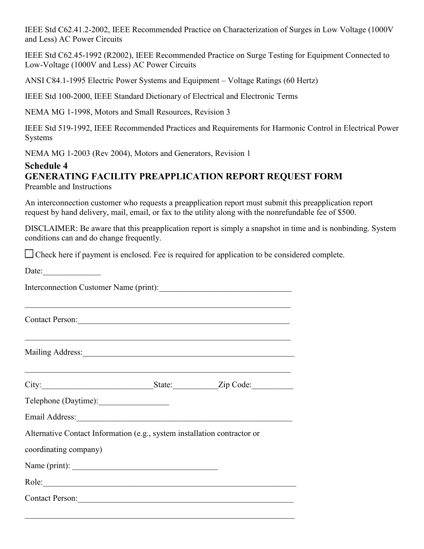IEEE Std C62.41.2-2002, IEEE Recommended Practice on Characterization of Surges in Low Voltage (1000V and Less) AC Power Circuits

IEEE Std C62.45-1992 (R2002), IEEE Recommended Practice on Surge Testing for Equipment Connected to Low-Voltage (1000V and Less) AC Power Circuits

ANSI C84.1-1995 Electric Power Systems and Equipment – Voltage Ratings (60 Hertz)

IEEE Std 100-2000, IEEE Standard Dictionary of Electrical and Electronic Terms

NEMA MG 1-1998, Motors and Small Resources, Revision 3

IEEE Std 519-1992, IEEE Recommended Practices and Requirements for Harmonic Control in Electrical Power Systems

NEMA MG 1-2003 (Rev 2004), Motors and Generators, Revision 1

### **Schedule 4 GENERATING FACILITY PREAPPLICATION REPORT REQUEST FORM** Preamble and Instructions

An interconnection customer who requests a preapplication report must submit this preapplication report request by hand delivery, mail, email, or fax to the utility along with the nonrefundable fee of \$500.

DISCLAIMER: Be aware that this preapplication report is simply a snapshot in time and is nonbinding. System conditions can and do change frequently.

Check here if payment is enclosed. Fee is required for application to be considered complete.

| Date:                                                                    |  |
|--------------------------------------------------------------------------|--|
| Interconnection Customer Name (print):                                   |  |
| Contact Person:                                                          |  |
|                                                                          |  |
|                                                                          |  |
| Telephone (Daytime):                                                     |  |
|                                                                          |  |
| Alternative Contact Information (e.g., system installation contractor or |  |
| coordinating company)                                                    |  |
|                                                                          |  |
| Role: Note:                                                              |  |
| Contact Person:                                                          |  |
|                                                                          |  |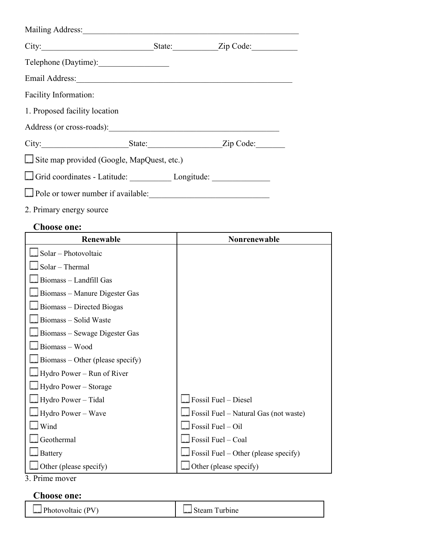| Mailing Address:                           |  |                  |  |
|--------------------------------------------|--|------------------|--|
| City:                                      |  | State: Zip Code: |  |
| Telephone (Daytime):                       |  |                  |  |
| Email Address:                             |  |                  |  |
| Facility Information:                      |  |                  |  |
| 1. Proposed facility location              |  |                  |  |
| Address (or cross-roads):                  |  |                  |  |
| City:                                      |  | State: Zip Code: |  |
| Site map provided (Google, MapQuest, etc.) |  |                  |  |
|                                            |  |                  |  |
| Pole or tower number if available:         |  |                  |  |

2. Primary energy source

# **Choose one:**

| Renewable                        | <b>Nonrenewable</b>                          |
|----------------------------------|----------------------------------------------|
| $\Box$ Solar – Photovoltaic      |                                              |
| Solar - Thermal                  |                                              |
| Biomass - Landfill Gas           |                                              |
| Biomass - Manure Digester Gas    |                                              |
| Biomass - Directed Biogas        |                                              |
| Biomass - Solid Waste            |                                              |
| Biomass – Sewage Digester Gas    |                                              |
| Biomass-Wood                     |                                              |
| Biomass – Other (please specify) |                                              |
| Hydro Power – Run of River       |                                              |
| Hydro Power – Storage            |                                              |
| Hydro Power - Tidal              | $\Box$ Fossil Fuel – Diesel                  |
| Hydro Power – Wave               | $\Box$ Fossil Fuel – Natural Gas (not waste) |
| Wind                             | $\Box$ Fossil Fuel – Oil                     |
| $\log$ Geothermal                | $\Box$ Fossil Fuel – Coal                    |
| Battery                          | $\Box$ Fossil Fuel – Other (please specify)  |
| Other (please specify)           | $\Box$ Other (please specify)                |

3. Prime mover

# **Choose one:**

**Example 1** Photovoltaic (PV) **Contained A** Steam Turbine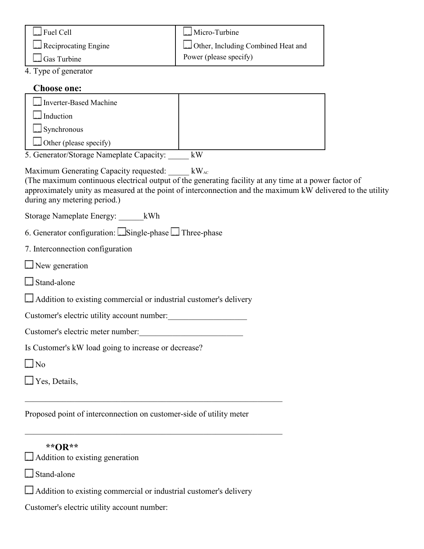| $\Box$ Fuel Cell     | Micro-Turbine                      |
|----------------------|------------------------------------|
| Reciprocating Engine | Other, Including Combined Heat and |
| $\Box$ Gas Turbine   | Power (please specify)             |

4. Type of generator

# **Choose one:**

| Inverter-Based Machine        |  |
|-------------------------------|--|
| $\Box$ Induction              |  |
| Synchronous                   |  |
| $\Box$ Other (please specify) |  |

5. Generator/Storage Nameplate Capacity: \_\_\_\_\_ kW

Maximum Generating Capacity requested: kWAC

(The maximum continuous electrical output of the generating facility at any time at a power factor of approximately unity as measured at the point of interconnection and the maximum kW delivered to the utility during any metering period.)

Storage Nameplate Energy: \_\_\_\_\_\_kWh

6. Generator configuration:  $\Box$  Single-phase  $\Box$  Three-phase

|  | 7. Interconnection configuration |  |
|--|----------------------------------|--|
|--|----------------------------------|--|

New generation

Stand-alone

Addition to existing commercial or industrial customer's delivery

Customer's electric utility account number:

Customer's electric meter number:

Is Customer's kW load going to increase or decrease?

No

**Yes**, Details,

Proposed point of interconnection on customer-side of utility meter

\_\_\_\_\_\_\_\_\_\_\_\_\_\_\_\_\_\_\_\_\_\_\_\_\_\_\_\_\_\_\_\_\_\_\_\_\_\_\_\_\_\_\_\_\_\_\_\_\_\_\_\_\_\_\_\_\_\_\_\_\_\_

\_\_\_\_\_\_\_\_\_\_\_\_\_\_\_\_\_\_\_\_\_\_\_\_\_\_\_\_\_\_\_\_\_\_\_\_\_\_\_\_\_\_\_\_\_\_\_\_\_\_\_\_\_\_\_\_\_\_\_\_\_\_

| ** $OR**$ |  |
|-----------|--|
|-----------|--|

 $\Box$  Addition to existing generation

Stand-alone

Addition to existing commercial or industrial customer's delivery

Customer's electric utility account number: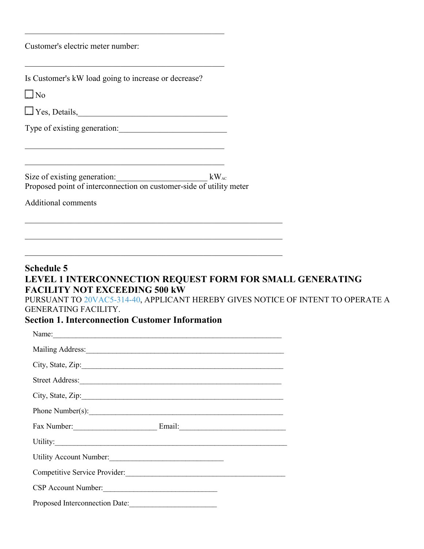Customer's electric meter number:

| Is Customer's kW load going to increase or decrease?                                                                                                                                                                                                                          |  |
|-------------------------------------------------------------------------------------------------------------------------------------------------------------------------------------------------------------------------------------------------------------------------------|--|
| $\Box$ No                                                                                                                                                                                                                                                                     |  |
|                                                                                                                                                                                                                                                                               |  |
| Type of existing generation:                                                                                                                                                                                                                                                  |  |
| <u> 1989 - Johann John Stone, Amerikaansk politiker (d. 1989)</u><br>Size of existing generation: $kW_{AC}$<br>Proposed point of interconnection on customer-side of utility meter                                                                                            |  |
| <b>Additional comments</b>                                                                                                                                                                                                                                                    |  |
|                                                                                                                                                                                                                                                                               |  |
| <u> 1990 - Johann John Stoff, deutscher Stoff, der Stoff, der Stoff, der Stoff, der Stoff, der Stoff, der Stoff, d</u>                                                                                                                                                        |  |
| <u> 1989 - Jan James James James James James James James James James James James James James James James James J</u>                                                                                                                                                          |  |
| LEVEL 1 INTERCONNECTION REQUEST FORM FOR SMALL GENERATING<br><b>FACILITY NOT EXCEEDING 500 kW</b><br>PURSUANT TO 20VAC5-314-40, APPLICANT HEREBY GIVES NOTICE OF INTENT TO OPERATE A<br><b>GENERATING FACILITY.</b><br><b>Section 1. Interconnection Customer Information</b> |  |
|                                                                                                                                                                                                                                                                               |  |
|                                                                                                                                                                                                                                                                               |  |
| City, State, Zip:                                                                                                                                                                                                                                                             |  |
|                                                                                                                                                                                                                                                                               |  |
|                                                                                                                                                                                                                                                                               |  |
| Phone Number(s):                                                                                                                                                                                                                                                              |  |
|                                                                                                                                                                                                                                                                               |  |
|                                                                                                                                                                                                                                                                               |  |
| Utility Account Number:                                                                                                                                                                                                                                                       |  |
| Competitive Service Provider:                                                                                                                                                                                                                                                 |  |
| CSP Account Number:                                                                                                                                                                                                                                                           |  |
| Proposed Interconnection Date:                                                                                                                                                                                                                                                |  |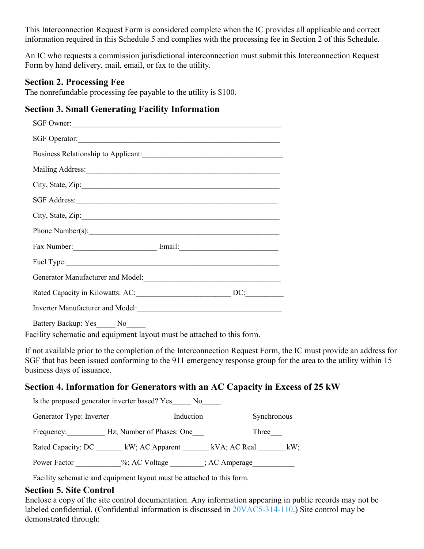This Interconnection Request Form is considered complete when the IC provides all applicable and correct information required in this Schedule 5 and complies with the processing fee in Section 2 of this Schedule.

An IC who requests a commission jurisdictional interconnection must submit this Interconnection Request Form by hand delivery, mail, email, or fax to the utility.

# **Section 2. Processing Fee**

The nonrefundable processing fee payable to the utility is \$100.

# **Section 3. Small Generating Facility Information**

| SGF Owner:                                             |     |
|--------------------------------------------------------|-----|
|                                                        |     |
| Business Relationship to Applicant:                    |     |
|                                                        |     |
| City, State, Zip:                                      |     |
|                                                        |     |
| City, State, Zip:                                      |     |
| Phone Number(s):                                       |     |
|                                                        |     |
|                                                        |     |
| Generator Manufacturer and Model:<br><u>Contractor</u> |     |
|                                                        | DC: |
|                                                        |     |
|                                                        |     |

Battery Backup: Yes No

Facility schematic and equipment layout must be attached to this form.

If not available prior to the completion of the Interconnection Request Form, the IC must provide an address for SGF that has been issued conforming to the 911 emergency response group for the area to the utility within 15 business days of issuance.

# **Section 4. Information for Generators with an AC Capacity in Excess of 25 kW**

| Is the proposed generator inverter based? Yes<br>No. |                           |                        |  |  |
|------------------------------------------------------|---------------------------|------------------------|--|--|
| Induction<br>Synchronous<br>Generator Type: Inverter |                           |                        |  |  |
| Frequency:                                           | Hz; Number of Phases: One | Three                  |  |  |
| Rated Capacity: DC                                   | kW; AC Apparent           | kVA; AC Real<br>$kW$ ; |  |  |
| Power Factor                                         | %; AC Voltage             | ; AC Amperage          |  |  |

Facility schematic and equipment layout must be attached to this form.

## **Section 5. Site Control**

Enclose a copy of the site control documentation. Any information appearing in public records may not be labeled confidential. (Confidential information is discussed in [20VAC5-314-110.](https://law.lis.virginia.gov/admincode/title20/agency5/chapter314/section110/)) Site control may be demonstrated through: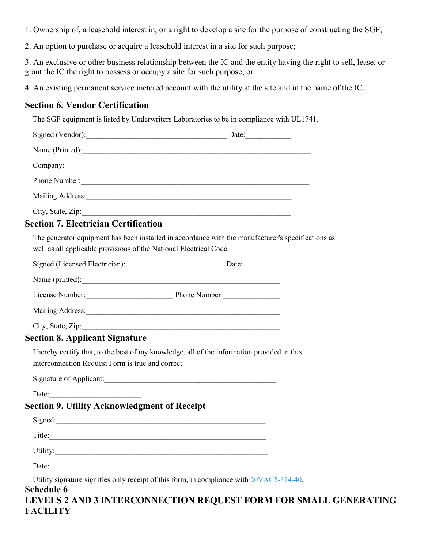1. Ownership of, a leasehold interest in, or a right to develop a site for the purpose of constructing the SGF;

2. An option to purchase or acquire a leasehold interest in a site for such purpose;

3. An exclusive or other business relationship between the IC and the entity having the right to sell, lease, or grant the IC the right to possess or occupy a site for such purpose; or

4. An existing permanent service metered account with the utility at the site and in the name of the IC.

# **Section 6. Vendor Certification**

The SGF equipment is listed by Underwriters Laboratories to be in compliance with UL1741.

| Name (Printed):                                                                                                                                                          |  |
|--------------------------------------------------------------------------------------------------------------------------------------------------------------------------|--|
| Company: Company:                                                                                                                                                        |  |
|                                                                                                                                                                          |  |
|                                                                                                                                                                          |  |
| City, State, Zip:                                                                                                                                                        |  |
| <b>Section 7. Electrician Certification</b>                                                                                                                              |  |
| The generator equipment has been installed in accordance with the manufacturer's specifications as<br>well as all applicable provisions of the National Electrical Code. |  |
| Signed (Licensed Electrician): Date: Date:                                                                                                                               |  |
| Name (printed):                                                                                                                                                          |  |
| License Number: Phone Number:                                                                                                                                            |  |
|                                                                                                                                                                          |  |
| City, State, Zip:                                                                                                                                                        |  |

## **Section 8. Applicant Signature**

I hereby certify that, to the best of my knowledge, all of the information provided in this Interconnection Request Form is true and correct.

Signature of Applicant:

Date:

# **Section 9. Utility Acknowledgment of Receipt**

| Signed:  |  |  |
|----------|--|--|
| Title:   |  |  |
| Utility: |  |  |
| Date:    |  |  |

Utility signature signifies only receipt of this form, in compliance with [20VAC5-314-40.](https://law.lis.virginia.gov/admincode/title20/agency5/chapter314/section40/)

# **Schedule 6**

**LEVELS 2 AND 3 INTERCONNECTION REQUEST FORM FOR SMALL GENERATING FACILITY**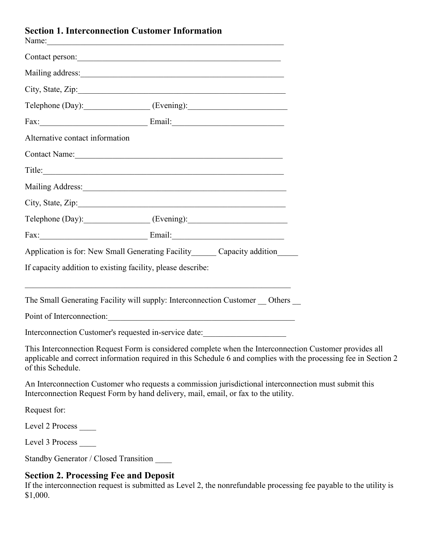## **Section 1. Interconnection Customer Information**

|                                       | Contact person:                                                                                                                                                                                                                |                                                                                                                                                                                                                             |
|---------------------------------------|--------------------------------------------------------------------------------------------------------------------------------------------------------------------------------------------------------------------------------|-----------------------------------------------------------------------------------------------------------------------------------------------------------------------------------------------------------------------------|
|                                       |                                                                                                                                                                                                                                |                                                                                                                                                                                                                             |
|                                       |                                                                                                                                                                                                                                |                                                                                                                                                                                                                             |
|                                       | Telephone (Day): (Evening):                                                                                                                                                                                                    |                                                                                                                                                                                                                             |
|                                       |                                                                                                                                                                                                                                |                                                                                                                                                                                                                             |
| Alternative contact information       |                                                                                                                                                                                                                                |                                                                                                                                                                                                                             |
|                                       | Contact Name: Name and Solid Contact Name and Solid Contact Name and Solid Contact Name and Solid Contact Name and Solid Contact Name and Solid Contact Name and Solid Contact Name and Solid Contact Name and Solid Contact N |                                                                                                                                                                                                                             |
|                                       | Title:                                                                                                                                                                                                                         |                                                                                                                                                                                                                             |
|                                       |                                                                                                                                                                                                                                |                                                                                                                                                                                                                             |
|                                       |                                                                                                                                                                                                                                |                                                                                                                                                                                                                             |
|                                       | Telephone (Day): (Evening):                                                                                                                                                                                                    |                                                                                                                                                                                                                             |
|                                       | Fax: Email: Email: Email: Email: Email: Email: Email: Email: Email: Email: Email: Email: Email: Email: Email: Email: Email: Email: Email: Email: Email: Email: Email: Email: Email: Email: Email: Email: Email: Email: Email:  |                                                                                                                                                                                                                             |
|                                       | Application is for: New Small Generating Facility_______ Capacity addition______                                                                                                                                               |                                                                                                                                                                                                                             |
|                                       | If capacity addition to existing facility, please describe:                                                                                                                                                                    |                                                                                                                                                                                                                             |
|                                       | and the control of the control of the control of the control of the control of the control of the control of the<br>The Small Generating Facility will supply: Interconnection Customer _ Others _                             |                                                                                                                                                                                                                             |
|                                       |                                                                                                                                                                                                                                |                                                                                                                                                                                                                             |
|                                       | Interconnection Customer's requested in-service date:                                                                                                                                                                          |                                                                                                                                                                                                                             |
| of this Schedule.                     |                                                                                                                                                                                                                                | This Interconnection Request Form is considered complete when the Interconnection Customer provides all<br>applicable and correct information required in this Schedule 6 and complies with the processing fee in Section 2 |
|                                       | Interconnection Request Form by hand delivery, mail, email, or fax to the utility.                                                                                                                                             | An Interconnection Customer who requests a commission jurisdictional interconnection must submit this                                                                                                                       |
| Request for:                          |                                                                                                                                                                                                                                |                                                                                                                                                                                                                             |
| Level 2 Process                       |                                                                                                                                                                                                                                |                                                                                                                                                                                                                             |
| Level 3 Process                       |                                                                                                                                                                                                                                |                                                                                                                                                                                                                             |
| Standby Generator / Closed Transition |                                                                                                                                                                                                                                |                                                                                                                                                                                                                             |

## **Section 2. Processing Fee and Deposit**

If the interconnection request is submitted as Level 2, the nonrefundable processing fee payable to the utility is \$1,000.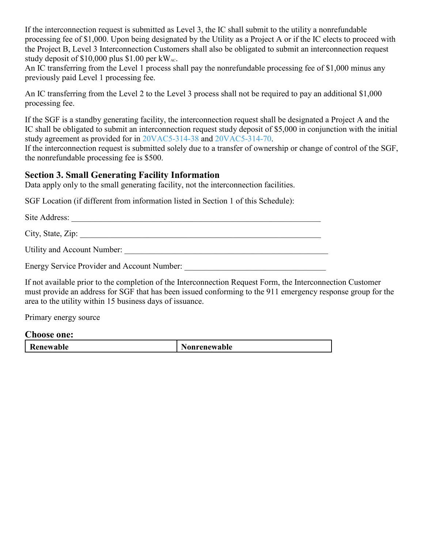If the interconnection request is submitted as Level 3, the IC shall submit to the utility a nonrefundable processing fee of \$1,000. Upon being designated by the Utility as a Project A or if the IC elects to proceed with the Project B, Level 3 Interconnection Customers shall also be obligated to submit an interconnection request study deposit of \$10,000 plus \$1.00 per  $kW_{AC}$ .

An IC transferring from the Level 1 process shall pay the nonrefundable processing fee of \$1,000 minus any previously paid Level 1 processing fee.

An IC transferring from the Level 2 to the Level 3 process shall not be required to pay an additional \$1,000 processing fee.

If the SGF is a standby generating facility, the interconnection request shall be designated a Project A and the IC shall be obligated to submit an interconnection request study deposit of \$5,000 in conjunction with the initial study agreement as provided for in [20VAC5-314-38](https://law.lis.virginia.gov/admincode/title20/agency5/chapter314/section38/) and [20VAC5-314-70.](https://law.lis.virginia.gov/admincode/title20/agency5/chapter314/section70/)

If the interconnection request is submitted solely due to a transfer of ownership or change of control of the SGF, the nonrefundable processing fee is \$500.

#### **Section 3. Small Generating Facility Information**

Data apply only to the small generating facility, not the interconnection facilities.

SGF Location (if different from information listed in Section 1 of this Schedule):

Site Address: \_\_\_\_\_\_\_\_\_\_\_\_\_\_\_\_\_\_\_\_\_\_\_\_\_\_\_\_\_\_\_\_\_\_\_\_\_\_\_\_\_\_\_\_\_\_\_\_\_\_\_\_\_\_\_\_\_\_\_\_

City, State, Zip: \_\_\_\_\_\_\_\_\_\_\_\_\_\_\_\_\_\_\_\_\_\_\_\_\_\_\_\_\_\_\_\_\_\_\_\_\_\_\_\_\_\_\_\_\_\_\_\_\_\_\_\_\_\_\_\_\_\_

Utility and Account Number: \_\_\_\_\_\_\_\_\_\_\_\_\_\_\_\_\_\_\_\_\_\_\_\_\_\_\_\_\_\_\_\_\_\_\_\_\_\_\_\_\_\_\_\_\_\_\_\_\_

Energy Service Provider and Account Number:

If not available prior to the completion of the Interconnection Request Form, the Interconnection Customer must provide an address for SGF that has been issued conforming to the 911 emergency response group for the area to the utility within 15 business days of issuance.

Primary energy source

#### **Choose one:**

| Renewable<br><b>Nonrenewable</b> |
|----------------------------------|
|----------------------------------|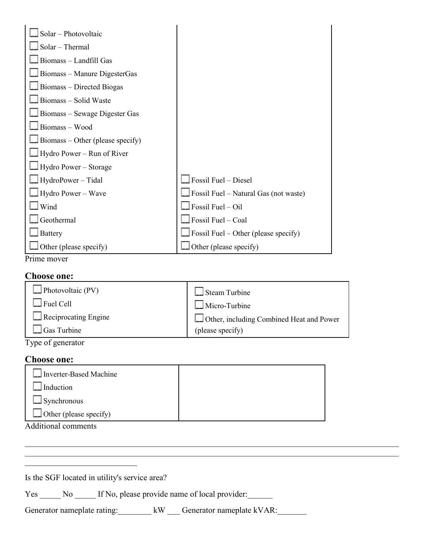| Solar - Photovoltaic                    |                                              |
|-----------------------------------------|----------------------------------------------|
| Solar - Thermal                         |                                              |
| Biomass - Landfill Gas                  |                                              |
| Biomass – Manure DigesterGas            |                                              |
| Biomass – Directed Biogas               |                                              |
| Biomass – Solid Waste                   |                                              |
| $\Box$ Biomass – Sewage Digester Gas    |                                              |
| Biomass - Wood                          |                                              |
| $\Box$ Biomass – Other (please specify) |                                              |
| Hydro Power – Run of River              |                                              |
| $\Box$ Hydro Power – Storage            |                                              |
| HydroPower – Tidal                      | Fossil Fuel - Diesel                         |
| $\Box$ Hydro Power – Wave               | $\Box$ Fossil Fuel – Natural Gas (not waste) |
| $\lfloor \cdot \rfloor$ Wind            | Fossil Fuel - Oil                            |
| Geothermal                              | $\Box$ Fossil Fuel – Coal                    |
| <b>Battery</b>                          | $\Box$ Fossil Fuel – Other (please specify)  |
| $\Box$ Other (please specify)           | $\Box$ Other (please specify)                |

Prime mover

#### **Choose one:**

| $\Box$ Photovoltaic (PV) | Steam Turbine                            |
|--------------------------|------------------------------------------|
| $\Box$ Fuel Cell         | $\Box$ Micro-Turbine                     |
| Reciprocating Engine     | Other, including Combined Heat and Power |
| Luice Cas Turbine        | (please specify)                         |

Type of generator

#### **Choose one:**

| Inverter-Based Machine        |  |
|-------------------------------|--|
| $\Box$ Induction              |  |
| $\Box$ Synchronous            |  |
| $\Box$ Other (please specify) |  |
| .                             |  |

 $\mathcal{L}_\mathcal{L} = \{ \mathcal{L}_\mathcal{L} = \{ \mathcal{L}_\mathcal{L} = \{ \mathcal{L}_\mathcal{L} = \{ \mathcal{L}_\mathcal{L} = \{ \mathcal{L}_\mathcal{L} = \{ \mathcal{L}_\mathcal{L} = \{ \mathcal{L}_\mathcal{L} = \{ \mathcal{L}_\mathcal{L} = \{ \mathcal{L}_\mathcal{L} = \{ \mathcal{L}_\mathcal{L} = \{ \mathcal{L}_\mathcal{L} = \{ \mathcal{L}_\mathcal{L} = \{ \mathcal{L}_\mathcal{L} = \{ \mathcal{L}_\mathcal{$ 

Additional comments

Is the SGF located in utility's service area?

\_\_\_\_\_\_\_\_\_\_\_\_\_\_\_\_\_\_\_\_\_\_\_\_\_\_\_

Yes \_\_\_\_\_ No \_\_\_\_\_ If No, please provide name of local provider:

Generator nameplate rating: kW Generator nameplate kVAR: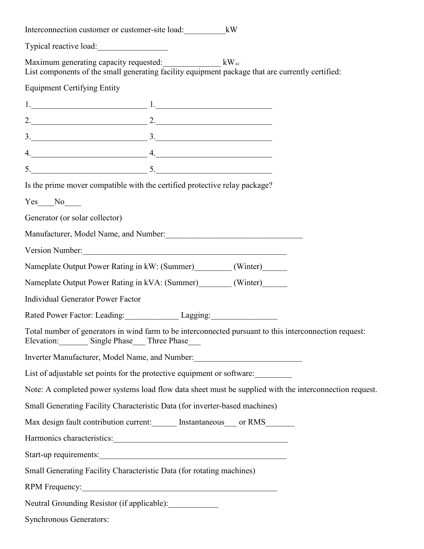|                                          | Interconnection customer or customer-site load: kW                          |                                                                                                                                                           |  |
|------------------------------------------|-----------------------------------------------------------------------------|-----------------------------------------------------------------------------------------------------------------------------------------------------------|--|
| Typical reactive load:                   |                                                                             |                                                                                                                                                           |  |
|                                          |                                                                             | Maximum generating capacity requested: kWAC kWAC kWAC<br>List components of the small generating facility equipment package that are currently certified: |  |
| <b>Equipment Certifying Entity</b>       |                                                                             |                                                                                                                                                           |  |
|                                          | $1.$ $1.$                                                                   |                                                                                                                                                           |  |
|                                          | 2.                                                                          |                                                                                                                                                           |  |
|                                          | $3.$ $3.$                                                                   |                                                                                                                                                           |  |
|                                          | $4.$ 4.                                                                     |                                                                                                                                                           |  |
|                                          | $5.$ 5.                                                                     |                                                                                                                                                           |  |
|                                          | Is the prime mover compatible with the certified protective relay package?  |                                                                                                                                                           |  |
| $Yes$ No $N$                             |                                                                             |                                                                                                                                                           |  |
| Generator (or solar collector)           |                                                                             |                                                                                                                                                           |  |
|                                          |                                                                             | Manufacturer, Model Name, and Number: Manufacturer and Mumber and Mumber and Mumber and Mumber and Mumber and Mumber                                      |  |
|                                          | Version Number:                                                             |                                                                                                                                                           |  |
|                                          | Nameplate Output Power Rating in kW: (Summer) (Winter)                      |                                                                                                                                                           |  |
|                                          | Nameplate Output Power Rating in kVA: (Summer) (Winter)                     |                                                                                                                                                           |  |
| <b>Individual Generator Power Factor</b> |                                                                             |                                                                                                                                                           |  |
|                                          | Rated Power Factor: Leading: Lagging: Lagging:                              |                                                                                                                                                           |  |
|                                          | Elevation: Single Phase Three Phase                                         | Total number of generators in wind farm to be interconnected pursuant to this interconnection request:                                                    |  |
|                                          |                                                                             | Inverter Manufacturer, Model Name, and Number: 1997                                                                                                       |  |
|                                          |                                                                             | List of adjustable set points for the protective equipment or software:                                                                                   |  |
|                                          |                                                                             | Note: A completed power systems load flow data sheet must be supplied with the interconnection request.                                                   |  |
|                                          | Small Generating Facility Characteristic Data (for inverter-based machines) |                                                                                                                                                           |  |
|                                          |                                                                             | Max design fault contribution current: Instantaneous ___ or RMS                                                                                           |  |
|                                          |                                                                             |                                                                                                                                                           |  |
|                                          |                                                                             |                                                                                                                                                           |  |
|                                          | Small Generating Facility Characteristic Data (for rotating machines)       |                                                                                                                                                           |  |
|                                          |                                                                             |                                                                                                                                                           |  |
|                                          | Neutral Grounding Resistor (if applicable):                                 |                                                                                                                                                           |  |
| <b>Synchronous Generators:</b>           |                                                                             |                                                                                                                                                           |  |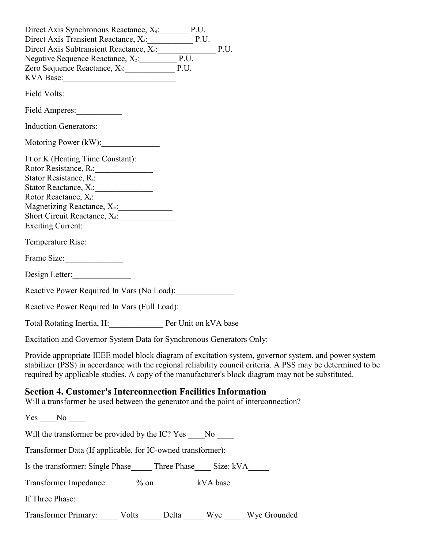| Direct Axis Synchronous Reactance, X <sub>d</sub> : P.U.<br>Direct Axis Transient Reactance, X <sub>d</sub> : P.U.<br>Direct Axis Subtransient Reactance, X <sub>d</sub> : P.U.<br>Negative Sequence Reactance, X <sub>2</sub> : P.U.<br>Zero Sequence Reactance, X <sub>0</sub> : P.U.                                    |
|----------------------------------------------------------------------------------------------------------------------------------------------------------------------------------------------------------------------------------------------------------------------------------------------------------------------------|
|                                                                                                                                                                                                                                                                                                                            |
| Field Amperes:                                                                                                                                                                                                                                                                                                             |
| <b>Induction Generators:</b>                                                                                                                                                                                                                                                                                               |
| Motoring Power (kW):                                                                                                                                                                                                                                                                                                       |
| I <sup>2</sup> t or K (Heating Time Constant):<br>Rotor Resistance, R.: 1997<br>Stator Reactance, X <sub>s</sub> : 1997<br>Rotor Reactance, X <sub>i</sub> :<br>Short Circuit Reactance, X <sub>d</sub> :<br>Exciting Current:                                                                                             |
| Temperature Rise:                                                                                                                                                                                                                                                                                                          |
| Frame Size:                                                                                                                                                                                                                                                                                                                |
| Design Letter:                                                                                                                                                                                                                                                                                                             |
| Reactive Power Required In Vars (No Load):                                                                                                                                                                                                                                                                                 |
| Reactive Power Required In Vars (Full Load):                                                                                                                                                                                                                                                                               |
| Total Rotating Inertia, H: Per Unit on kVA base                                                                                                                                                                                                                                                                            |
| Excitation and Governor System Data for Synchronous Generators Only:                                                                                                                                                                                                                                                       |
| Provide appropriate IEEE model block diagram of excitation system, governor system, and power system<br>stabilizer (PSS) in accordance with the regional reliability council criteria. A PSS may be determined to be<br>required by applicable studies. A copy of the manufacturer's block diagram may not be substituted. |
| <b>Section 4. Customer's Interconnection Facilities Information</b><br>Will a transformer be used between the generator and the point of interconnection?                                                                                                                                                                  |
| $Yes$ No $\_\_$                                                                                                                                                                                                                                                                                                            |
| Will the transformer be provided by the IC? Yes ____No ____                                                                                                                                                                                                                                                                |
| Transformer Data (If applicable, for IC-owned transformer):                                                                                                                                                                                                                                                                |
| Is the transformer: Single Phase_______ Three Phase______ Size: kVA_______                                                                                                                                                                                                                                                 |
| Transformer Impedance: 10% on kVA base                                                                                                                                                                                                                                                                                     |
| If Three Phase:                                                                                                                                                                                                                                                                                                            |
| Transformer Primary: Volts ______ Delta ______ Wye ______ Wye Grounded                                                                                                                                                                                                                                                     |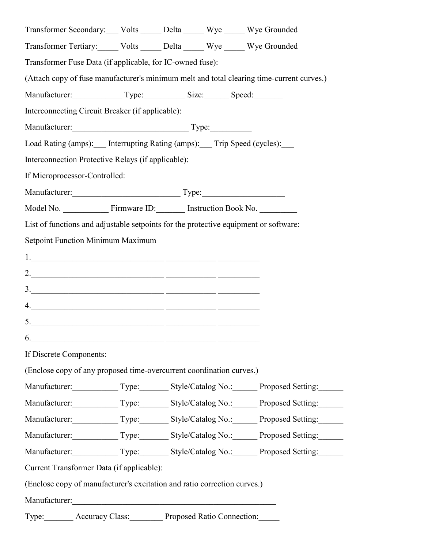| Transformer Secondary: Volts _____ Delta _____ Wye _____ Wye Grounded                                                                                                                                                                                                                                                                                                                                                                                                  |                                                          |  |                                                                                           |
|------------------------------------------------------------------------------------------------------------------------------------------------------------------------------------------------------------------------------------------------------------------------------------------------------------------------------------------------------------------------------------------------------------------------------------------------------------------------|----------------------------------------------------------|--|-------------------------------------------------------------------------------------------|
| Transformer Tertiary: Volts _____ Delta _____ Wye _____ Wye Grounded                                                                                                                                                                                                                                                                                                                                                                                                   |                                                          |  |                                                                                           |
| Transformer Fuse Data (if applicable, for IC-owned fuse):                                                                                                                                                                                                                                                                                                                                                                                                              |                                                          |  |                                                                                           |
|                                                                                                                                                                                                                                                                                                                                                                                                                                                                        |                                                          |  | (Attach copy of fuse manufacturer's minimum melt and total clearing time-current curves.) |
| Manufacturer: Type: Size: Speed:                                                                                                                                                                                                                                                                                                                                                                                                                                       |                                                          |  |                                                                                           |
| Interconnecting Circuit Breaker (if applicable):                                                                                                                                                                                                                                                                                                                                                                                                                       |                                                          |  |                                                                                           |
| Manufacturer: Type:                                                                                                                                                                                                                                                                                                                                                                                                                                                    |                                                          |  |                                                                                           |
| Load Rating (amps): Interrupting Rating (amps): Trip Speed (cycles):                                                                                                                                                                                                                                                                                                                                                                                                   |                                                          |  |                                                                                           |
| Interconnection Protective Relays (if applicable):                                                                                                                                                                                                                                                                                                                                                                                                                     |                                                          |  |                                                                                           |
| If Microprocessor-Controlled:                                                                                                                                                                                                                                                                                                                                                                                                                                          |                                                          |  |                                                                                           |
| Manufacturer: Type: Type:                                                                                                                                                                                                                                                                                                                                                                                                                                              |                                                          |  |                                                                                           |
|                                                                                                                                                                                                                                                                                                                                                                                                                                                                        |                                                          |  |                                                                                           |
| List of functions and adjustable setpoints for the protective equipment or software:                                                                                                                                                                                                                                                                                                                                                                                   |                                                          |  |                                                                                           |
| Setpoint Function Minimum Maximum                                                                                                                                                                                                                                                                                                                                                                                                                                      |                                                          |  |                                                                                           |
| $1.$ $\overline{\phantom{a}}$ $\overline{\phantom{a}}$ $\overline{\phantom{a}}$ $\overline{\phantom{a}}$ $\overline{\phantom{a}}$ $\overline{\phantom{a}}$ $\overline{\phantom{a}}$ $\overline{\phantom{a}}$ $\overline{\phantom{a}}$ $\overline{\phantom{a}}$ $\overline{\phantom{a}}$ $\overline{\phantom{a}}$ $\overline{\phantom{a}}$ $\overline{\phantom{a}}$ $\overline{\phantom{a}}$ $\overline{\phantom{a}}$ $\overline{\phantom{a}}$ $\overline{\phantom{a}}$ |                                                          |  |                                                                                           |
|                                                                                                                                                                                                                                                                                                                                                                                                                                                                        |                                                          |  |                                                                                           |
|                                                                                                                                                                                                                                                                                                                                                                                                                                                                        |                                                          |  |                                                                                           |
| 4.                                                                                                                                                                                                                                                                                                                                                                                                                                                                     |                                                          |  |                                                                                           |
|                                                                                                                                                                                                                                                                                                                                                                                                                                                                        |                                                          |  |                                                                                           |
| 6.                                                                                                                                                                                                                                                                                                                                                                                                                                                                     | <u> 1980 - Jan Stein Stein, fransk politik (f. 1980)</u> |  |                                                                                           |
| If Discrete Components:                                                                                                                                                                                                                                                                                                                                                                                                                                                |                                                          |  |                                                                                           |
| (Enclose copy of any proposed time-overcurrent coordination curves.)                                                                                                                                                                                                                                                                                                                                                                                                   |                                                          |  |                                                                                           |
|                                                                                                                                                                                                                                                                                                                                                                                                                                                                        |                                                          |  | Manufacturer: Type: Style/Catalog No.: Proposed Setting:                                  |
|                                                                                                                                                                                                                                                                                                                                                                                                                                                                        |                                                          |  | Manufacturer: Type: Style/Catalog No.: Proposed Setting:                                  |
|                                                                                                                                                                                                                                                                                                                                                                                                                                                                        |                                                          |  | Manufacturer: Type: Style/Catalog No.: Proposed Setting:                                  |
|                                                                                                                                                                                                                                                                                                                                                                                                                                                                        |                                                          |  | Manufacturer: Type: Style/Catalog No.: Proposed Setting:                                  |
|                                                                                                                                                                                                                                                                                                                                                                                                                                                                        |                                                          |  | Manufacturer: Type: Style/Catalog No.: Proposed Setting:                                  |
| Current Transformer Data (if applicable):                                                                                                                                                                                                                                                                                                                                                                                                                              |                                                          |  |                                                                                           |
| (Enclose copy of manufacturer's excitation and ratio correction curves.)                                                                                                                                                                                                                                                                                                                                                                                               |                                                          |  |                                                                                           |
|                                                                                                                                                                                                                                                                                                                                                                                                                                                                        |                                                          |  |                                                                                           |
| Type: Accuracy Class: Proposed Ratio Connection:                                                                                                                                                                                                                                                                                                                                                                                                                       |                                                          |  |                                                                                           |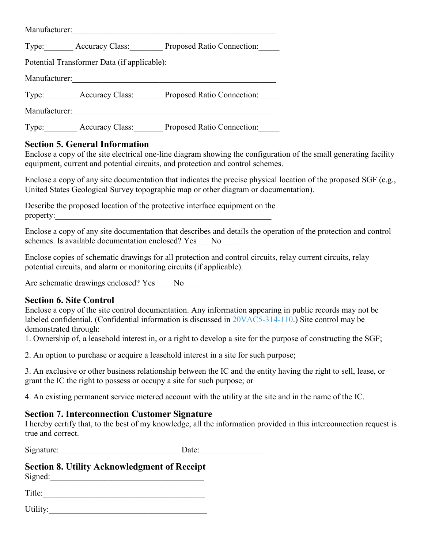| Manufacturer:                               |                        |                                                  |  |  |
|---------------------------------------------|------------------------|--------------------------------------------------|--|--|
|                                             |                        | Type: Accuracy Class: Proposed Ratio Connection: |  |  |
| Potential Transformer Data (if applicable): |                        |                                                  |  |  |
| Manufacturer:                               |                        |                                                  |  |  |
|                                             |                        | Type: Accuracy Class: Proposed Ratio Connection: |  |  |
| Manufacturer:                               |                        |                                                  |  |  |
| Type:                                       | <b>Accuracy Class:</b> | Proposed Ratio Connection:                       |  |  |

### **Section 5. General Information**

Enclose a copy of the site electrical one-line diagram showing the configuration of the small generating facility equipment, current and potential circuits, and protection and control schemes.

Enclose a copy of any site documentation that indicates the precise physical location of the proposed SGF (e.g., United States Geological Survey topographic map or other diagram or documentation).

Describe the proposed location of the protective interface equipment on the property:

Enclose a copy of any site documentation that describes and details the operation of the protection and control schemes. Is available documentation enclosed? Yes No

Enclose copies of schematic drawings for all protection and control circuits, relay current circuits, relay potential circuits, and alarm or monitoring circuits (if applicable).

Are schematic drawings enclosed? Yes No

#### **Section 6. Site Control**

Enclose a copy of the site control documentation. Any information appearing in public records may not be labeled confidential. (Confidential information is discussed in [20VAC5-314-110.](https://law.lis.virginia.gov/admincode/title20/agency5/chapter314/section110/)) Site control may be demonstrated through:

1. Ownership of, a leasehold interest in, or a right to develop a site for the purpose of constructing the SGF;

2. An option to purchase or acquire a leasehold interest in a site for such purpose;

3. An exclusive or other business relationship between the IC and the entity having the right to sell, lease, or grant the IC the right to possess or occupy a site for such purpose; or

4. An existing permanent service metered account with the utility at the site and in the name of the IC.

#### **Section 7. Interconnection Customer Signature**

I hereby certify that, to the best of my knowledge, all the information provided in this interconnection request is true and correct.

Signature:\_\_\_\_\_\_\_\_\_\_\_\_\_\_\_\_\_\_\_\_\_\_\_\_\_\_\_\_\_ Date:\_\_\_\_\_\_\_\_\_\_\_\_\_\_\_\_

# **Section 8. Utility Acknowledgment of Receipt** Signed:\_\_\_\_\_\_\_\_\_\_\_\_\_\_\_\_\_\_\_\_\_\_\_\_\_\_\_\_\_\_\_\_\_\_\_\_\_

Title:\_\_\_\_\_\_\_\_\_\_\_\_\_\_\_\_\_\_\_\_\_\_\_\_\_\_\_\_\_\_\_\_\_\_\_\_\_\_\_

Utility: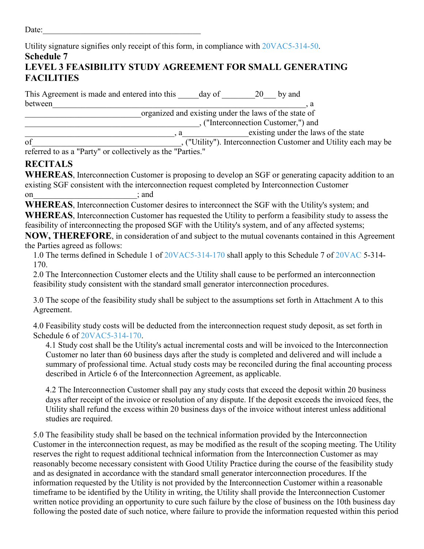Utility signature signifies only receipt of this form, in compliance with [20VAC5-314-50.](https://law.lis.virginia.gov/admincode/title20/agency5/chapter314/section50/) **Schedule 7 LEVEL 3 FEASIBILITY STUDY AGREEMENT FOR SMALL GENERATING FACILITIES**

This Agreement is made and entered into this day of 20 by and between\_\_\_\_\_\_\_\_\_\_\_\_\_\_\_\_\_\_\_\_\_\_\_\_\_\_\_\_\_\_\_\_\_\_\_\_\_\_\_\_\_\_\_\_\_\_\_\_\_\_\_\_\_\_\_\_\_\_\_\_\_, a \_\_\_\_\_\_\_\_\_\_\_\_\_\_\_\_\_\_\_\_\_\_\_\_\_\_\_\_organized and existing under the laws of the state of \_\_\_\_\_\_\_\_\_\_\_\_\_\_\_\_\_\_\_\_\_\_\_\_\_\_\_\_\_\_\_\_\_\_\_\_\_\_\_\_\_\_, ("Interconnection Customer,") and \_\_\_\_\_\_\_\_\_\_\_\_\_\_\_\_\_\_\_\_\_\_\_\_\_\_\_\_\_\_\_\_\_\_\_\_, a\_\_\_\_\_\_\_\_\_\_\_\_\_\_\_\_existing under the laws of the state

of\_\_\_\_\_\_\_\_\_\_\_\_\_\_\_\_\_\_\_\_\_\_\_\_\_\_\_\_\_\_\_\_\_\_\_\_, ("Utility"). Interconnection Customer and Utility each may be

referred to as a "Party" or collectively as the "Parties."

## **RECITALS**

**WHEREAS**, Interconnection Customer is proposing to develop an SGF or generating capacity addition to an existing SGF consistent with the interconnection request completed by Interconnection Customer on contract and contract on  $\mathcal{L}$  and  $\mathcal{L}$ 

**WHEREAS**, Interconnection Customer desires to interconnect the SGF with the Utility's system; and **WHEREAS**, Interconnection Customer has requested the Utility to perform a feasibility study to assess the feasibility of interconnecting the proposed SGF with the Utility's system, and of any affected systems;

**NOW, THEREFORE**, in consideration of and subject to the mutual covenants contained in this Agreement the Parties agreed as follows:

1.0 The terms defined in Schedule 1 of [20VAC5-314-170](https://law.lis.virginia.gov/admincode/title20/agency5/chapter314/section170/) shall apply to this Schedule 7 of [20VAC](https://law.lis.virginia.gov/admincode/title20/agency/) 5-314- 170.

2.0 The Interconnection Customer elects and the Utility shall cause to be performed an interconnection feasibility study consistent with the standard small generator interconnection procedures.

3.0 The scope of the feasibility study shall be subject to the assumptions set forth in Attachment A to this Agreement.

4.0 Feasibility study costs will be deducted from the interconnection request study deposit, as set forth in Schedule 6 of [20VAC5-314-170.](https://law.lis.virginia.gov/admincode/title20/agency5/chapter314/section170/)

4.1 Study cost shall be the Utility's actual incremental costs and will be invoiced to the Interconnection Customer no later than 60 business days after the study is completed and delivered and will include a summary of professional time. Actual study costs may be reconciled during the final accounting process described in Article 6 of the Interconnection Agreement, as applicable.

4.2 The Interconnection Customer shall pay any study costs that exceed the deposit within 20 business days after receipt of the invoice or resolution of any dispute. If the deposit exceeds the invoiced fees, the Utility shall refund the excess within 20 business days of the invoice without interest unless additional studies are required.

5.0 The feasibility study shall be based on the technical information provided by the Interconnection Customer in the interconnection request, as may be modified as the result of the scoping meeting. The Utility reserves the right to request additional technical information from the Interconnection Customer as may reasonably become necessary consistent with Good Utility Practice during the course of the feasibility study and as designated in accordance with the standard small generator interconnection procedures. If the information requested by the Utility is not provided by the Interconnection Customer within a reasonable timeframe to be identified by the Utility in writing, the Utility shall provide the Interconnection Customer written notice providing an opportunity to cure such failure by the close of business on the 10th business day following the posted date of such notice, where failure to provide the information requested within this period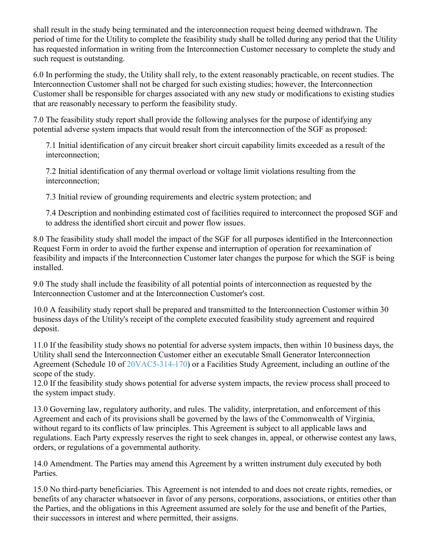shall result in the study being terminated and the interconnection request being deemed withdrawn. The period of time for the Utility to complete the feasibility study shall be tolled during any period that the Utility has requested information in writing from the Interconnection Customer necessary to complete the study and such request is outstanding.

6.0 In performing the study, the Utility shall rely, to the extent reasonably practicable, on recent studies. The Interconnection Customer shall not be charged for such existing studies; however, the Interconnection Customer shall be responsible for charges associated with any new study or modifications to existing studies that are reasonably necessary to perform the feasibility study.

7.0 The feasibility study report shall provide the following analyses for the purpose of identifying any potential adverse system impacts that would result from the interconnection of the SGF as proposed:

7.1 Initial identification of any circuit breaker short circuit capability limits exceeded as a result of the interconnection;

7.2 Initial identification of any thermal overload or voltage limit violations resulting from the interconnection;

7.3 Initial review of grounding requirements and electric system protection; and

7.4 Description and nonbinding estimated cost of facilities required to interconnect the proposed SGF and to address the identified short circuit and power flow issues.

8.0 The feasibility study shall model the impact of the SGF for all purposes identified in the Interconnection Request Form in order to avoid the further expense and interruption of operation for reexamination of feasibility and impacts if the Interconnection Customer later changes the purpose for which the SGF is being installed.

9.0 The study shall include the feasibility of all potential points of interconnection as requested by the Interconnection Customer and at the Interconnection Customer's cost.

10.0 A feasibility study report shall be prepared and transmitted to the Interconnection Customer within 30 business days of the Utility's receipt of the complete executed feasibility study agreement and required deposit.

11.0 If the feasibility study shows no potential for adverse system impacts, then within 10 business days, the Utility shall send the Interconnection Customer either an executable Small Generator Interconnection Agreement (Schedule 10 of [20VAC5-314-170\)](https://law.lis.virginia.gov/admincode/title20/agency5/chapter314/section170/) or a Facilities Study Agreement, including an outline of the scope of the study.

12.0 If the feasibility study shows potential for adverse system impacts, the review process shall proceed to the system impact study.

13.0 Governing law, regulatory authority, and rules. The validity, interpretation, and enforcement of this Agreement and each of its provisions shall be governed by the laws of the Commonwealth of Virginia, without regard to its conflicts of law principles. This Agreement is subject to all applicable laws and regulations. Each Party expressly reserves the right to seek changes in, appeal, or otherwise contest any laws, orders, or regulations of a governmental authority.

14.0 Amendment. The Parties may amend this Agreement by a written instrument duly executed by both Parties.

15.0 No third-party beneficiaries. This Agreement is not intended to and does not create rights, remedies, or benefits of any character whatsoever in favor of any persons, corporations, associations, or entities other than the Parties, and the obligations in this Agreement assumed are solely for the use and benefit of the Parties, their successors in interest and where permitted, their assigns.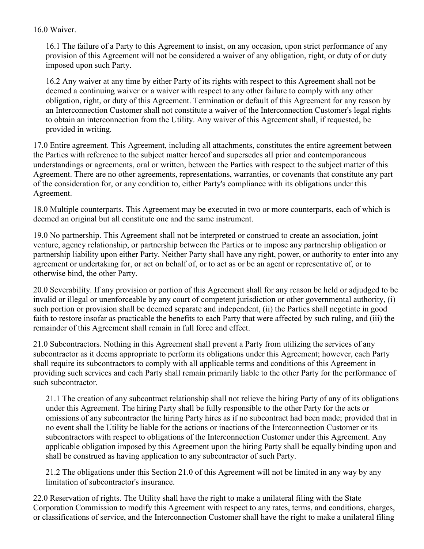#### 16.0 Waiver.

16.1 The failure of a Party to this Agreement to insist, on any occasion, upon strict performance of any provision of this Agreement will not be considered a waiver of any obligation, right, or duty of or duty imposed upon such Party.

16.2 Any waiver at any time by either Party of its rights with respect to this Agreement shall not be deemed a continuing waiver or a waiver with respect to any other failure to comply with any other obligation, right, or duty of this Agreement. Termination or default of this Agreement for any reason by an Interconnection Customer shall not constitute a waiver of the Interconnection Customer's legal rights to obtain an interconnection from the Utility. Any waiver of this Agreement shall, if requested, be provided in writing.

17.0 Entire agreement. This Agreement, including all attachments, constitutes the entire agreement between the Parties with reference to the subject matter hereof and supersedes all prior and contemporaneous understandings or agreements, oral or written, between the Parties with respect to the subject matter of this Agreement. There are no other agreements, representations, warranties, or covenants that constitute any part of the consideration for, or any condition to, either Party's compliance with its obligations under this Agreement.

18.0 Multiple counterparts. This Agreement may be executed in two or more counterparts, each of which is deemed an original but all constitute one and the same instrument.

19.0 No partnership. This Agreement shall not be interpreted or construed to create an association, joint venture, agency relationship, or partnership between the Parties or to impose any partnership obligation or partnership liability upon either Party. Neither Party shall have any right, power, or authority to enter into any agreement or undertaking for, or act on behalf of, or to act as or be an agent or representative of, or to otherwise bind, the other Party.

20.0 Severability. If any provision or portion of this Agreement shall for any reason be held or adjudged to be invalid or illegal or unenforceable by any court of competent jurisdiction or other governmental authority, (i) such portion or provision shall be deemed separate and independent, (ii) the Parties shall negotiate in good faith to restore insofar as practicable the benefits to each Party that were affected by such ruling, and (iii) the remainder of this Agreement shall remain in full force and effect.

21.0 Subcontractors. Nothing in this Agreement shall prevent a Party from utilizing the services of any subcontractor as it deems appropriate to perform its obligations under this Agreement; however, each Party shall require its subcontractors to comply with all applicable terms and conditions of this Agreement in providing such services and each Party shall remain primarily liable to the other Party for the performance of such subcontractor.

21.1 The creation of any subcontract relationship shall not relieve the hiring Party of any of its obligations under this Agreement. The hiring Party shall be fully responsible to the other Party for the acts or omissions of any subcontractor the hiring Party hires as if no subcontract had been made; provided that in no event shall the Utility be liable for the actions or inactions of the Interconnection Customer or its subcontractors with respect to obligations of the Interconnection Customer under this Agreement. Any applicable obligation imposed by this Agreement upon the hiring Party shall be equally binding upon and shall be construed as having application to any subcontractor of such Party.

21.2 The obligations under this Section 21.0 of this Agreement will not be limited in any way by any limitation of subcontractor's insurance.

22.0 Reservation of rights. The Utility shall have the right to make a unilateral filing with the State Corporation Commission to modify this Agreement with respect to any rates, terms, and conditions, charges, or classifications of service, and the Interconnection Customer shall have the right to make a unilateral filing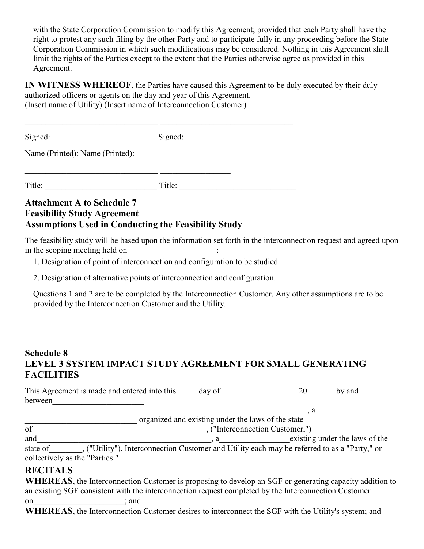with the State Corporation Commission to modify this Agreement; provided that each Party shall have the right to protest any such filing by the other Party and to participate fully in any proceeding before the State Corporation Commission in which such modifications may be considered. Nothing in this Agreement shall limit the rights of the Parties except to the extent that the Parties otherwise agree as provided in this Agreement.

**IN WITNESS WHEREOF**, the Parties have caused this Agreement to be duly executed by their duly authorized officers or agents on the day and year of this Agreement. (Insert name of Utility) (Insert name of Interconnection Customer)

| Signed: | Signed: |
|---------|---------|
|         |         |

Name (Printed): Name (Printed):

Title: Title:

## **Attachment A to Schedule 7 Feasibility Study Agreement Assumptions Used in Conducting the Feasibility Study**

\_\_\_\_\_\_\_\_\_\_\_\_\_\_\_\_\_\_\_\_\_\_\_\_\_\_\_\_\_\_\_\_ \_\_\_\_\_\_\_\_\_\_\_\_\_\_\_\_\_

The feasibility study will be based upon the information set forth in the interconnection request and agreed upon in the scoping meeting held on \_\_\_\_\_\_\_\_\_\_\_\_\_\_\_\_\_\_\_\_:

1. Designation of point of interconnection and configuration to be studied.

2. Designation of alternative points of interconnection and configuration.

 $\_$ 

Questions 1 and 2 are to be completed by the Interconnection Customer. Any other assumptions are to be provided by the Interconnection Customer and the Utility.

## **Schedule 8 LEVEL 3 SYSTEM IMPACT STUDY AGREEMENT FOR SMALL GENERATING FACILITIES**

| This Agreement is made and entered into this day of |  | by and |
|-----------------------------------------------------|--|--------|
| between                                             |  |        |

|     | organized and existing under the laws of the state |
|-----|----------------------------------------------------|
| оt  | ("Interconnection Customer,")                      |
| and | existing under the laws of the                     |
|     | .                                                  |

state of\_\_\_\_\_\_\_\_, ("Utility"). Interconnection Customer and Utility each may be referred to as a "Party," or collectively as the "Parties."

## **RECITALS**

**WHEREAS**, the Interconnection Customer is proposing to develop an SGF or generating capacity addition to an existing SGF consistent with the interconnection request completed by the Interconnection Customer on  $;$  and  $;$ 

**WHEREAS**, the Interconnection Customer desires to interconnect the SGF with the Utility's system; and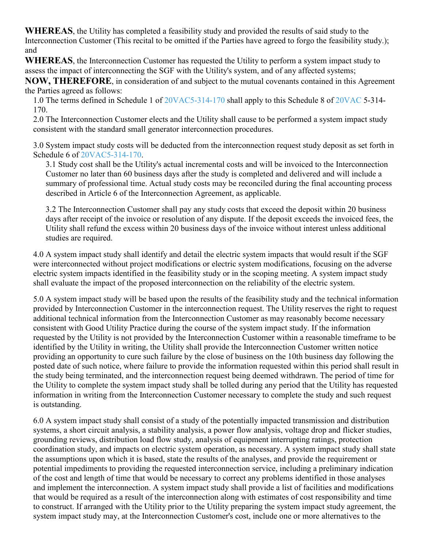**WHEREAS**, the Utility has completed a feasibility study and provided the results of said study to the Interconnection Customer (This recital to be omitted if the Parties have agreed to forgo the feasibility study.); and

**WHEREAS**, the Interconnection Customer has requested the Utility to perform a system impact study to assess the impact of interconnecting the SGF with the Utility's system, and of any affected systems;

**NOW, THEREFORE**, in consideration of and subject to the mutual covenants contained in this Agreement the Parties agreed as follows:

1.0 The terms defined in Schedule 1 of [20VAC5-314-170](https://law.lis.virginia.gov/admincode/title20/agency5/chapter314/section170/) shall apply to this Schedule 8 of [20VAC](https://law.lis.virginia.gov/admincode/title20/agency/) 5-314- 170.

2.0 The Interconnection Customer elects and the Utility shall cause to be performed a system impact study consistent with the standard small generator interconnection procedures.

3.0 System impact study costs will be deducted from the interconnection request study deposit as set forth in Schedule 6 of [20VAC5-314-170.](https://law.lis.virginia.gov/admincode/title20/agency5/chapter314/section170/)

3.1 Study cost shall be the Utility's actual incremental costs and will be invoiced to the Interconnection Customer no later than 60 business days after the study is completed and delivered and will include a summary of professional time. Actual study costs may be reconciled during the final accounting process described in Article 6 of the Interconnection Agreement, as applicable.

3.2 The Interconnection Customer shall pay any study costs that exceed the deposit within 20 business days after receipt of the invoice or resolution of any dispute. If the deposit exceeds the invoiced fees, the Utility shall refund the excess within 20 business days of the invoice without interest unless additional studies are required.

4.0 A system impact study shall identify and detail the electric system impacts that would result if the SGF were interconnected without project modifications or electric system modifications, focusing on the adverse electric system impacts identified in the feasibility study or in the scoping meeting. A system impact study shall evaluate the impact of the proposed interconnection on the reliability of the electric system.

5.0 A system impact study will be based upon the results of the feasibility study and the technical information provided by Interconnection Customer in the interconnection request. The Utility reserves the right to request additional technical information from the Interconnection Customer as may reasonably become necessary consistent with Good Utility Practice during the course of the system impact study. If the information requested by the Utility is not provided by the Interconnection Customer within a reasonable timeframe to be identified by the Utility in writing, the Utility shall provide the Interconnection Customer written notice providing an opportunity to cure such failure by the close of business on the 10th business day following the posted date of such notice, where failure to provide the information requested within this period shall result in the study being terminated, and the interconnection request being deemed withdrawn. The period of time for the Utility to complete the system impact study shall be tolled during any period that the Utility has requested information in writing from the Interconnection Customer necessary to complete the study and such request is outstanding.

6.0 A system impact study shall consist of a study of the potentially impacted transmission and distribution systems, a short circuit analysis, a stability analysis, a power flow analysis, voltage drop and flicker studies, grounding reviews, distribution load flow study, analysis of equipment interrupting ratings, protection coordination study, and impacts on electric system operation, as necessary. A system impact study shall state the assumptions upon which it is based, state the results of the analyses, and provide the requirement or potential impediments to providing the requested interconnection service, including a preliminary indication of the cost and length of time that would be necessary to correct any problems identified in those analyses and implement the interconnection. A system impact study shall provide a list of facilities and modifications that would be required as a result of the interconnection along with estimates of cost responsibility and time to construct. If arranged with the Utility prior to the Utility preparing the system impact study agreement, the system impact study may, at the Interconnection Customer's cost, include one or more alternatives to the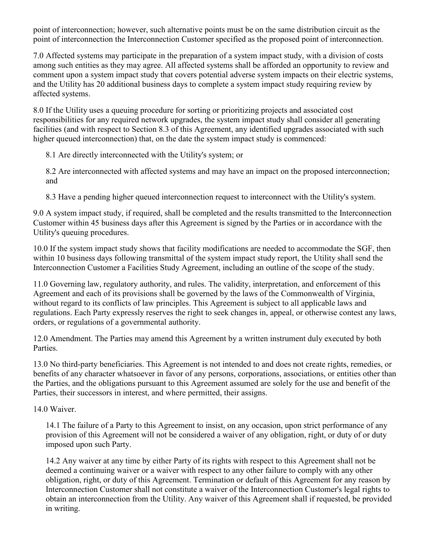point of interconnection; however, such alternative points must be on the same distribution circuit as the point of interconnection the Interconnection Customer specified as the proposed point of interconnection.

7.0 Affected systems may participate in the preparation of a system impact study, with a division of costs among such entities as they may agree. All affected systems shall be afforded an opportunity to review and comment upon a system impact study that covers potential adverse system impacts on their electric systems, and the Utility has 20 additional business days to complete a system impact study requiring review by affected systems.

8.0 If the Utility uses a queuing procedure for sorting or prioritizing projects and associated cost responsibilities for any required network upgrades, the system impact study shall consider all generating facilities (and with respect to Section 8.3 of this Agreement, any identified upgrades associated with such higher queued interconnection) that, on the date the system impact study is commenced:

8.1 Are directly interconnected with the Utility's system; or

8.2 Are interconnected with affected systems and may have an impact on the proposed interconnection; and

8.3 Have a pending higher queued interconnection request to interconnect with the Utility's system.

9.0 A system impact study, if required, shall be completed and the results transmitted to the Interconnection Customer within 45 business days after this Agreement is signed by the Parties or in accordance with the Utility's queuing procedures.

10.0 If the system impact study shows that facility modifications are needed to accommodate the SGF, then within 10 business days following transmittal of the system impact study report, the Utility shall send the Interconnection Customer a Facilities Study Agreement, including an outline of the scope of the study.

11.0 Governing law, regulatory authority, and rules. The validity, interpretation, and enforcement of this Agreement and each of its provisions shall be governed by the laws of the Commonwealth of Virginia, without regard to its conflicts of law principles. This Agreement is subject to all applicable laws and regulations. Each Party expressly reserves the right to seek changes in, appeal, or otherwise contest any laws, orders, or regulations of a governmental authority.

12.0 Amendment. The Parties may amend this Agreement by a written instrument duly executed by both Parties.

13.0 No third-party beneficiaries. This Agreement is not intended to and does not create rights, remedies, or benefits of any character whatsoever in favor of any persons, corporations, associations, or entities other than the Parties, and the obligations pursuant to this Agreement assumed are solely for the use and benefit of the Parties, their successors in interest, and where permitted, their assigns.

14.0 Waiver.

14.1 The failure of a Party to this Agreement to insist, on any occasion, upon strict performance of any provision of this Agreement will not be considered a waiver of any obligation, right, or duty of or duty imposed upon such Party.

14.2 Any waiver at any time by either Party of its rights with respect to this Agreement shall not be deemed a continuing waiver or a waiver with respect to any other failure to comply with any other obligation, right, or duty of this Agreement. Termination or default of this Agreement for any reason by Interconnection Customer shall not constitute a waiver of the Interconnection Customer's legal rights to obtain an interconnection from the Utility. Any waiver of this Agreement shall if requested, be provided in writing.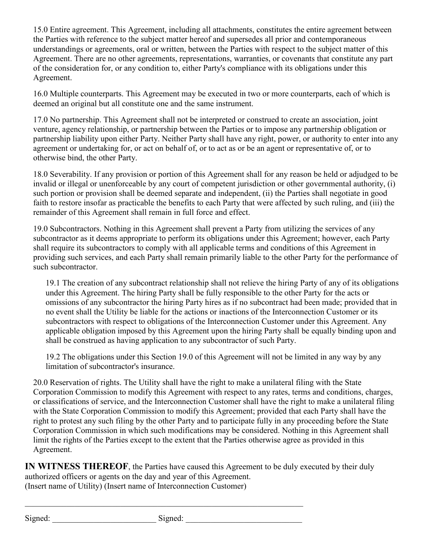15.0 Entire agreement. This Agreement, including all attachments, constitutes the entire agreement between the Parties with reference to the subject matter hereof and supersedes all prior and contemporaneous understandings or agreements, oral or written, between the Parties with respect to the subject matter of this Agreement. There are no other agreements, representations, warranties, or covenants that constitute any part of the consideration for, or any condition to, either Party's compliance with its obligations under this Agreement.

16.0 Multiple counterparts. This Agreement may be executed in two or more counterparts, each of which is deemed an original but all constitute one and the same instrument.

17.0 No partnership. This Agreement shall not be interpreted or construed to create an association, joint venture, agency relationship, or partnership between the Parties or to impose any partnership obligation or partnership liability upon either Party. Neither Party shall have any right, power, or authority to enter into any agreement or undertaking for, or act on behalf of, or to act as or be an agent or representative of, or to otherwise bind, the other Party.

18.0 Severability. If any provision or portion of this Agreement shall for any reason be held or adjudged to be invalid or illegal or unenforceable by any court of competent jurisdiction or other governmental authority, (i) such portion or provision shall be deemed separate and independent, (ii) the Parties shall negotiate in good faith to restore insofar as practicable the benefits to each Party that were affected by such ruling, and (iii) the remainder of this Agreement shall remain in full force and effect.

19.0 Subcontractors. Nothing in this Agreement shall prevent a Party from utilizing the services of any subcontractor as it deems appropriate to perform its obligations under this Agreement; however, each Party shall require its subcontractors to comply with all applicable terms and conditions of this Agreement in providing such services, and each Party shall remain primarily liable to the other Party for the performance of such subcontractor.

19.1 The creation of any subcontract relationship shall not relieve the hiring Party of any of its obligations under this Agreement. The hiring Party shall be fully responsible to the other Party for the acts or omissions of any subcontractor the hiring Party hires as if no subcontract had been made; provided that in no event shall the Utility be liable for the actions or inactions of the Interconnection Customer or its subcontractors with respect to obligations of the Interconnection Customer under this Agreement. Any applicable obligation imposed by this Agreement upon the hiring Party shall be equally binding upon and shall be construed as having application to any subcontractor of such Party.

19.2 The obligations under this Section 19.0 of this Agreement will not be limited in any way by any limitation of subcontractor's insurance.

20.0 Reservation of rights. The Utility shall have the right to make a unilateral filing with the State Corporation Commission to modify this Agreement with respect to any rates, terms and conditions, charges, or classifications of service, and the Interconnection Customer shall have the right to make a unilateral filing with the State Corporation Commission to modify this Agreement; provided that each Party shall have the right to protest any such filing by the other Party and to participate fully in any proceeding before the State Corporation Commission in which such modifications may be considered. Nothing in this Agreement shall limit the rights of the Parties except to the extent that the Parties otherwise agree as provided in this Agreement.

**IN WITNESS THEREOF**, the Parties have caused this Agreement to be duly executed by their duly authorized officers or agents on the day and year of this Agreement. (Insert name of Utility) (Insert name of Interconnection Customer)

Signed: Signed:

 $\_$  , and the set of the set of the set of the set of the set of the set of the set of the set of the set of the set of the set of the set of the set of the set of the set of the set of the set of the set of the set of th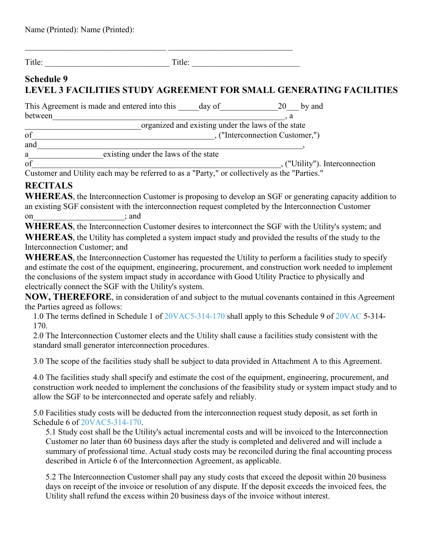Title:

## **Schedule 9 LEVEL 3 FACILITIES STUDY AGREEMENT FOR SMALL GENERATING FACILITIES**

| This Agreement is made and entered into this | day of                      | 20 by and |
|----------------------------------------------|-----------------------------|-----------|
| between                                      |                             |           |
|                                              | $1 \quad 1 \quad 1 \quad 1$ |           |

\_\_\_\_\_\_\_\_\_\_\_\_\_\_\_\_\_\_\_\_\_\_\_\_\_\_\_\_organized and existing under the laws of the state

of contraction Customer, ("Interconnection Customer,") and  $\overline{\phantom{a}}$ 

a existing under the laws of the state

of settled the contract of the contract of the contract of the connection of  $\mathcal{L}$ , ("Utility"). Interconnection

Customer and Utility each may be referred to as a "Party," or collectively as the "Parties."

# **RECITALS**

**WHEREAS**, the Interconnection Customer is proposing to develop an SGF or generating capacity addition to an existing SGF consistent with the interconnection request completed by the Interconnection Customer on  $:$  and

**WHEREAS**, the Interconnection Customer desires to interconnect the SGF with the Utility's system; and **WHEREAS**, the Utility has completed a system impact study and provided the results of the study to the Interconnection Customer; and

WHEREAS, the Interconnection Customer has requested the Utility to perform a facilities study to specify and estimate the cost of the equipment, engineering, procurement, and construction work needed to implement the conclusions of the system impact study in accordance with Good Utility Practice to physically and electrically connect the SGF with the Utility's system.

**NOW, THEREFORE**, in consideration of and subject to the mutual covenants contained in this Agreement the Parties agreed as follows:

1.0 The terms defined in Schedule 1 of [20VAC5-314-170](https://law.lis.virginia.gov/admincode/title20/agency5/chapter314/section170/) shall apply to this Schedule 9 of [20VAC](https://law.lis.virginia.gov/admincode/title20/agency/) 5-314- 170.

2.0 The Interconnection Customer elects and the Utility shall cause a facilities study consistent with the standard small generator interconnection procedures.

3.0 The scope of the facilities study shall be subject to data provided in Attachment A to this Agreement.

4.0 The facilities study shall specify and estimate the cost of the equipment, engineering, procurement, and construction work needed to implement the conclusions of the feasibility study or system impact study and to allow the SGF to be interconnected and operate safely and reliably.

5.0 Facilities study costs will be deducted from the interconnection request study deposit, as set forth in Schedule 6 of [20VAC5-314-170.](https://law.lis.virginia.gov/admincode/title20/agency5/chapter314/section170/)

5.1 Study cost shall be the Utility's actual incremental costs and will be invoiced to the Interconnection Customer no later than 60 business days after the study is completed and delivered and will include a summary of professional time. Actual study costs may be reconciled during the final accounting process described in Article 6 of the Interconnection Agreement, as applicable.

5.2 The Interconnection Customer shall pay any study costs that exceed the deposit within 20 business days on receipt of the invoice or resolution of any dispute. If the deposit exceeds the invoiced fees, the Utility shall refund the excess within 20 business days of the invoice without interest.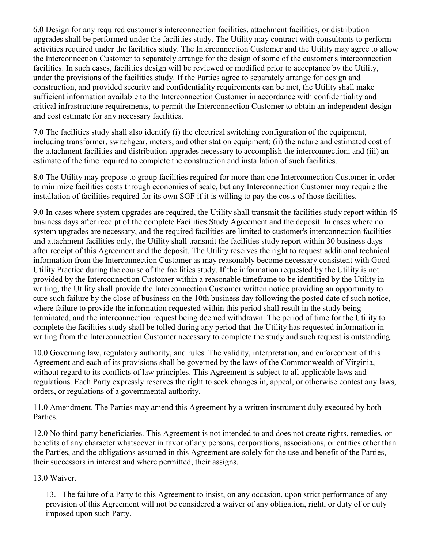6.0 Design for any required customer's interconnection facilities, attachment facilities, or distribution upgrades shall be performed under the facilities study. The Utility may contract with consultants to perform activities required under the facilities study. The Interconnection Customer and the Utility may agree to allow the Interconnection Customer to separately arrange for the design of some of the customer's interconnection facilities. In such cases, facilities design will be reviewed or modified prior to acceptance by the Utility, under the provisions of the facilities study. If the Parties agree to separately arrange for design and construction, and provided security and confidentiality requirements can be met, the Utility shall make sufficient information available to the Interconnection Customer in accordance with confidentiality and critical infrastructure requirements, to permit the Interconnection Customer to obtain an independent design and cost estimate for any necessary facilities.

7.0 The facilities study shall also identify (i) the electrical switching configuration of the equipment, including transformer, switchgear, meters, and other station equipment; (ii) the nature and estimated cost of the attachment facilities and distribution upgrades necessary to accomplish the interconnection; and (iii) an estimate of the time required to complete the construction and installation of such facilities.

8.0 The Utility may propose to group facilities required for more than one Interconnection Customer in order to minimize facilities costs through economies of scale, but any Interconnection Customer may require the installation of facilities required for its own SGF if it is willing to pay the costs of those facilities.

9.0 In cases where system upgrades are required, the Utility shall transmit the facilities study report within 45 business days after receipt of the complete Facilities Study Agreement and the deposit. In cases where no system upgrades are necessary, and the required facilities are limited to customer's interconnection facilities and attachment facilities only, the Utility shall transmit the facilities study report within 30 business days after receipt of this Agreement and the deposit. The Utility reserves the right to request additional technical information from the Interconnection Customer as may reasonably become necessary consistent with Good Utility Practice during the course of the facilities study. If the information requested by the Utility is not provided by the Interconnection Customer within a reasonable timeframe to be identified by the Utility in writing, the Utility shall provide the Interconnection Customer written notice providing an opportunity to cure such failure by the close of business on the 10th business day following the posted date of such notice, where failure to provide the information requested within this period shall result in the study being terminated, and the interconnection request being deemed withdrawn. The period of time for the Utility to complete the facilities study shall be tolled during any period that the Utility has requested information in writing from the Interconnection Customer necessary to complete the study and such request is outstanding.

10.0 Governing law, regulatory authority, and rules. The validity, interpretation, and enforcement of this Agreement and each of its provisions shall be governed by the laws of the Commonwealth of Virginia, without regard to its conflicts of law principles. This Agreement is subject to all applicable laws and regulations. Each Party expressly reserves the right to seek changes in, appeal, or otherwise contest any laws, orders, or regulations of a governmental authority.

11.0 Amendment. The Parties may amend this Agreement by a written instrument duly executed by both Parties.

12.0 No third-party beneficiaries. This Agreement is not intended to and does not create rights, remedies, or benefits of any character whatsoever in favor of any persons, corporations, associations, or entities other than the Parties, and the obligations assumed in this Agreement are solely for the use and benefit of the Parties, their successors in interest and where permitted, their assigns.

#### 13.0 Waiver.

13.1 The failure of a Party to this Agreement to insist, on any occasion, upon strict performance of any provision of this Agreement will not be considered a waiver of any obligation, right, or duty of or duty imposed upon such Party.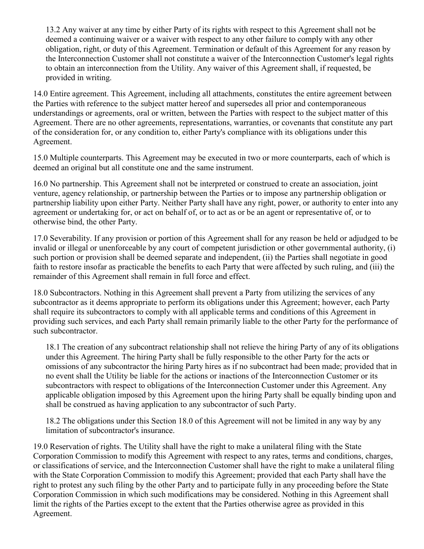13.2 Any waiver at any time by either Party of its rights with respect to this Agreement shall not be deemed a continuing waiver or a waiver with respect to any other failure to comply with any other obligation, right, or duty of this Agreement. Termination or default of this Agreement for any reason by the Interconnection Customer shall not constitute a waiver of the Interconnection Customer's legal rights to obtain an interconnection from the Utility. Any waiver of this Agreement shall, if requested, be provided in writing.

14.0 Entire agreement. This Agreement, including all attachments, constitutes the entire agreement between the Parties with reference to the subject matter hereof and supersedes all prior and contemporaneous understandings or agreements, oral or written, between the Parties with respect to the subject matter of this Agreement. There are no other agreements, representations, warranties, or covenants that constitute any part of the consideration for, or any condition to, either Party's compliance with its obligations under this Agreement.

15.0 Multiple counterparts. This Agreement may be executed in two or more counterparts, each of which is deemed an original but all constitute one and the same instrument.

16.0 No partnership. This Agreement shall not be interpreted or construed to create an association, joint venture, agency relationship, or partnership between the Parties or to impose any partnership obligation or partnership liability upon either Party. Neither Party shall have any right, power, or authority to enter into any agreement or undertaking for, or act on behalf of, or to act as or be an agent or representative of, or to otherwise bind, the other Party.

17.0 Severability. If any provision or portion of this Agreement shall for any reason be held or adjudged to be invalid or illegal or unenforceable by any court of competent jurisdiction or other governmental authority, (i) such portion or provision shall be deemed separate and independent, (ii) the Parties shall negotiate in good faith to restore insofar as practicable the benefits to each Party that were affected by such ruling, and (iii) the remainder of this Agreement shall remain in full force and effect.

18.0 Subcontractors. Nothing in this Agreement shall prevent a Party from utilizing the services of any subcontractor as it deems appropriate to perform its obligations under this Agreement; however, each Party shall require its subcontractors to comply with all applicable terms and conditions of this Agreement in providing such services, and each Party shall remain primarily liable to the other Party for the performance of such subcontractor.

18.1 The creation of any subcontract relationship shall not relieve the hiring Party of any of its obligations under this Agreement. The hiring Party shall be fully responsible to the other Party for the acts or omissions of any subcontractor the hiring Party hires as if no subcontract had been made; provided that in no event shall the Utility be liable for the actions or inactions of the Interconnection Customer or its subcontractors with respect to obligations of the Interconnection Customer under this Agreement. Any applicable obligation imposed by this Agreement upon the hiring Party shall be equally binding upon and shall be construed as having application to any subcontractor of such Party.

18.2 The obligations under this Section 18.0 of this Agreement will not be limited in any way by any limitation of subcontractor's insurance.

19.0 Reservation of rights. The Utility shall have the right to make a unilateral filing with the State Corporation Commission to modify this Agreement with respect to any rates, terms and conditions, charges, or classifications of service, and the Interconnection Customer shall have the right to make a unilateral filing with the State Corporation Commission to modify this Agreement; provided that each Party shall have the right to protest any such filing by the other Party and to participate fully in any proceeding before the State Corporation Commission in which such modifications may be considered. Nothing in this Agreement shall limit the rights of the Parties except to the extent that the Parties otherwise agree as provided in this Agreement.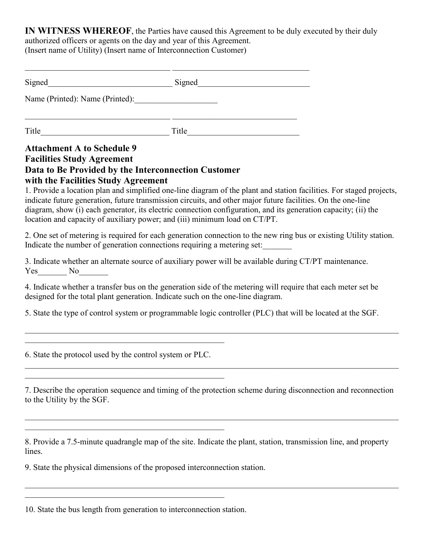**IN WITNESS WHEREOF**, the Parties have caused this Agreement to be duly executed by their duly authorized officers or agents on the day and year of this Agreement.

(Insert name of Utility) (Insert name of Interconnection Customer)

| Signed                          | Signed |  |
|---------------------------------|--------|--|
| Name (Printed): Name (Printed): |        |  |
| Title                           | Title  |  |

### **Attachment A to Schedule 9 Facilities Study Agreement Data to Be Provided by the Interconnection Customer with the Facilities Study Agreement**

1. Provide a location plan and simplified one-line diagram of the plant and station facilities. For staged projects, indicate future generation, future transmission circuits, and other major future facilities. On the one-line diagram, show (i) each generator, its electric connection configuration, and its generation capacity; (ii) the location and capacity of auxiliary power; and (iii) minimum load on CT/PT.

2. One set of metering is required for each generation connection to the new ring bus or existing Utility station. Indicate the number of generation connections requiring a metering set:

3. Indicate whether an alternate source of auxiliary power will be available during CT/PT maintenance. Yes No

4. Indicate whether a transfer bus on the generation side of the metering will require that each meter set be designed for the total plant generation. Indicate such on the one-line diagram.

5. State the type of control system or programmable logic controller (PLC) that will be located at the SGF.

 $\mathcal{L}_\mathcal{L} = \{ \mathcal{L}_\mathcal{L} = \{ \mathcal{L}_\mathcal{L} = \{ \mathcal{L}_\mathcal{L} = \{ \mathcal{L}_\mathcal{L} = \{ \mathcal{L}_\mathcal{L} = \{ \mathcal{L}_\mathcal{L} = \{ \mathcal{L}_\mathcal{L} = \{ \mathcal{L}_\mathcal{L} = \{ \mathcal{L}_\mathcal{L} = \{ \mathcal{L}_\mathcal{L} = \{ \mathcal{L}_\mathcal{L} = \{ \mathcal{L}_\mathcal{L} = \{ \mathcal{L}_\mathcal{L} = \{ \mathcal{L}_\mathcal{$ 

 $\mathcal{L}_\mathcal{L} = \{ \mathcal{L}_\mathcal{L} = \{ \mathcal{L}_\mathcal{L} = \{ \mathcal{L}_\mathcal{L} = \{ \mathcal{L}_\mathcal{L} = \{ \mathcal{L}_\mathcal{L} = \{ \mathcal{L}_\mathcal{L} = \{ \mathcal{L}_\mathcal{L} = \{ \mathcal{L}_\mathcal{L} = \{ \mathcal{L}_\mathcal{L} = \{ \mathcal{L}_\mathcal{L} = \{ \mathcal{L}_\mathcal{L} = \{ \mathcal{L}_\mathcal{L} = \{ \mathcal{L}_\mathcal{L} = \{ \mathcal{L}_\mathcal{$ 

6. State the protocol used by the control system or PLC.

 $\mathcal{L}_\mathcal{L}$ 

 $\mathcal{L}_\mathcal{L}$ 

7. Describe the operation sequence and timing of the protection scheme during disconnection and reconnection to the Utility by the SGF.

 $\mathcal{L}_\mathcal{L} = \mathcal{L}_\mathcal{L} = \mathcal{L}_\mathcal{L} = \mathcal{L}_\mathcal{L} = \mathcal{L}_\mathcal{L} = \mathcal{L}_\mathcal{L} = \mathcal{L}_\mathcal{L} = \mathcal{L}_\mathcal{L} = \mathcal{L}_\mathcal{L} = \mathcal{L}_\mathcal{L} = \mathcal{L}_\mathcal{L} = \mathcal{L}_\mathcal{L} = \mathcal{L}_\mathcal{L} = \mathcal{L}_\mathcal{L} = \mathcal{L}_\mathcal{L} = \mathcal{L}_\mathcal{L} = \mathcal{L}_\mathcal{L}$ 

8. Provide a 7.5-minute quadrangle map of the site. Indicate the plant, station, transmission line, and property lines.

9. State the physical dimensions of the proposed interconnection station.

 $\mathcal{L}_\mathcal{L}$ 

<sup>10.</sup> State the bus length from generation to interconnection station.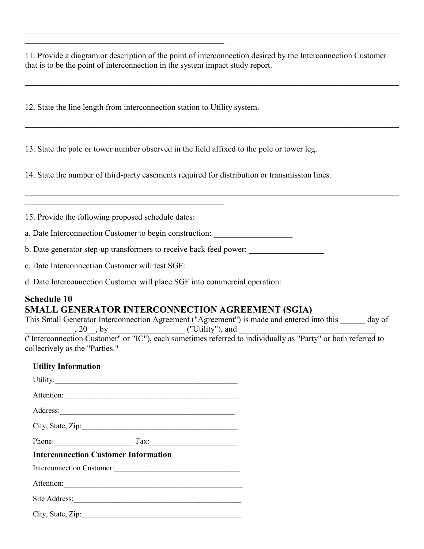11. Provide a diagram or description of the point of interconnection desired by the Interconnection Customer that is to be the point of interconnection in the system impact study report.

 $\mathcal{L}_\mathcal{L} = \{ \mathcal{L}_\mathcal{L} = \{ \mathcal{L}_\mathcal{L} = \{ \mathcal{L}_\mathcal{L} = \{ \mathcal{L}_\mathcal{L} = \{ \mathcal{L}_\mathcal{L} = \{ \mathcal{L}_\mathcal{L} = \{ \mathcal{L}_\mathcal{L} = \{ \mathcal{L}_\mathcal{L} = \{ \mathcal{L}_\mathcal{L} = \{ \mathcal{L}_\mathcal{L} = \{ \mathcal{L}_\mathcal{L} = \{ \mathcal{L}_\mathcal{L} = \{ \mathcal{L}_\mathcal{L} = \{ \mathcal{L}_\mathcal{$ 

12. State the line length from interconnection station to Utility system.

 $\mathcal{L}_\mathcal{L}$ 

 $\mathcal{L}_\mathcal{L}$ 

 $\mathcal{L}_\mathcal{L}$ 

 $\mathcal{L}_\mathcal{L}$ 

13. State the pole or tower number observed in the field affixed to the pole or tower leg.

14. State the number of third-party easements required for distribution or transmission lines.

15. Provide the following proposed schedule dates:

a. Date Interconnection Customer to begin construction:

b. Date generator step-up transformers to receive back feed power: \_\_\_\_\_\_\_\_\_\_\_\_\_

c. Date Interconnection Customer will test SGF: \_\_\_\_\_\_\_\_\_\_\_\_\_\_\_\_\_\_\_\_\_\_

d. Date Interconnection Customer will place SGF into commercial operation:

#### **Schedule 10 SMALL GENERATOR INTERCONNECTION AGREEMENT (SGIA)**

This Small Generator Interconnection Agreement ("Agreement") is made and entered into this \_\_\_\_\_\_ day of  $\ldots$ , 20, by  $\ldots$  ("Utility"), and  $\ldots$ ("Interconnection Customer" or "IC"), each sometimes referred to individually as "Party" or both referred to

collectively as the "Parties."

#### **Utility Information**

| Utility:                                                                                                       |  |  |
|----------------------------------------------------------------------------------------------------------------|--|--|
| Attention:                                                                                                     |  |  |
| Address: 2008 and 2008 and 2008 and 2008 and 2008 and 2008 and 2008 and 2008 and 2008 and 2008 and 2008 and 20 |  |  |
| City, State, Zip:                                                                                              |  |  |
| Phone: Fax: Fax:                                                                                               |  |  |
| <b>Interconnection Customer Information</b>                                                                    |  |  |
| Interconnection Customer:                                                                                      |  |  |
| Attention:                                                                                                     |  |  |
| Site Address:                                                                                                  |  |  |
| City, State, Zip:                                                                                              |  |  |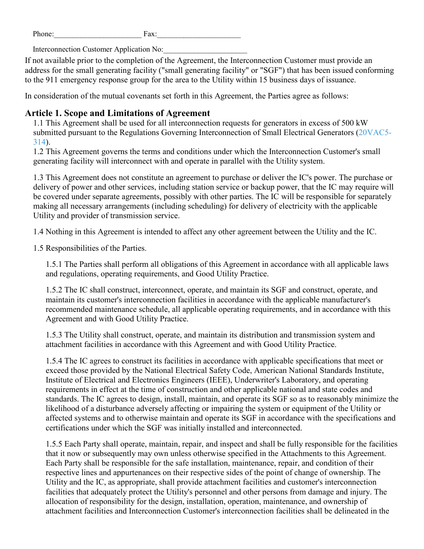| $\mathbf{r}$<br>one.<br>н | я<br>wzx. |
|---------------------------|-----------|
|                           |           |

Interconnection Customer Application No:

If not available prior to the completion of the Agreement, the Interconnection Customer must provide an address for the small generating facility ("small generating facility" or "SGF") that has been issued conforming to the 911 emergency response group for the area to the Utility within 15 business days of issuance.

In consideration of the mutual covenants set forth in this Agreement, the Parties agree as follows:

#### **Article 1. Scope and Limitations of Agreement**

1.1 This Agreement shall be used for all interconnection requests for generators in excess of 500 kW submitted pursuant to the Regulations Governing Interconnection of Small Electrical Generators [\(20VAC5-](https://law.lis.virginia.gov/admincode/title20/agency5/chapter314/) [314\)](https://law.lis.virginia.gov/admincode/title20/agency5/chapter314/).

1.2 This Agreement governs the terms and conditions under which the Interconnection Customer's small generating facility will interconnect with and operate in parallel with the Utility system.

1.3 This Agreement does not constitute an agreement to purchase or deliver the IC's power. The purchase or delivery of power and other services, including station service or backup power, that the IC may require will be covered under separate agreements, possibly with other parties. The IC will be responsible for separately making all necessary arrangements (including scheduling) for delivery of electricity with the applicable Utility and provider of transmission service.

1.4 Nothing in this Agreement is intended to affect any other agreement between the Utility and the IC.

1.5 Responsibilities of the Parties.

1.5.1 The Parties shall perform all obligations of this Agreement in accordance with all applicable laws and regulations, operating requirements, and Good Utility Practice.

1.5.2 The IC shall construct, interconnect, operate, and maintain its SGF and construct, operate, and maintain its customer's interconnection facilities in accordance with the applicable manufacturer's recommended maintenance schedule, all applicable operating requirements, and in accordance with this Agreement and with Good Utility Practice.

1.5.3 The Utility shall construct, operate, and maintain its distribution and transmission system and attachment facilities in accordance with this Agreement and with Good Utility Practice.

1.5.4 The IC agrees to construct its facilities in accordance with applicable specifications that meet or exceed those provided by the National Electrical Safety Code, American National Standards Institute, Institute of Electrical and Electronics Engineers (IEEE), Underwriter's Laboratory, and operating requirements in effect at the time of construction and other applicable national and state codes and standards. The IC agrees to design, install, maintain, and operate its SGF so as to reasonably minimize the likelihood of a disturbance adversely affecting or impairing the system or equipment of the Utility or affected systems and to otherwise maintain and operate its SGF in accordance with the specifications and certifications under which the SGF was initially installed and interconnected.

1.5.5 Each Party shall operate, maintain, repair, and inspect and shall be fully responsible for the facilities that it now or subsequently may own unless otherwise specified in the Attachments to this Agreement. Each Party shall be responsible for the safe installation, maintenance, repair, and condition of their respective lines and appurtenances on their respective sides of the point of change of ownership. The Utility and the IC, as appropriate, shall provide attachment facilities and customer's interconnection facilities that adequately protect the Utility's personnel and other persons from damage and injury. The allocation of responsibility for the design, installation, operation, maintenance, and ownership of attachment facilities and Interconnection Customer's interconnection facilities shall be delineated in the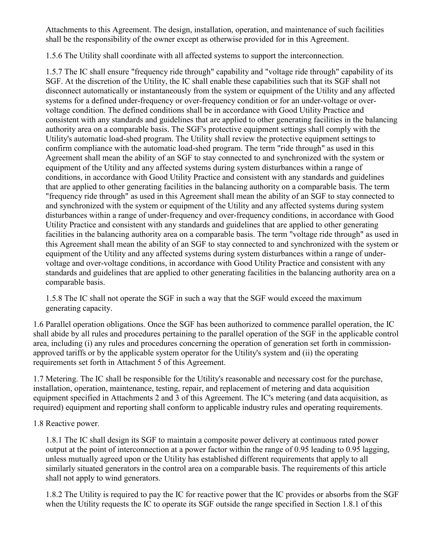Attachments to this Agreement. The design, installation, operation, and maintenance of such facilities shall be the responsibility of the owner except as otherwise provided for in this Agreement.

1.5.6 The Utility shall coordinate with all affected systems to support the interconnection.

1.5.7 The IC shall ensure "frequency ride through" capability and "voltage ride through" capability of its SGF. At the discretion of the Utility, the IC shall enable these capabilities such that its SGF shall not disconnect automatically or instantaneously from the system or equipment of the Utility and any affected systems for a defined under-frequency or over-frequency condition or for an under-voltage or overvoltage condition. The defined conditions shall be in accordance with Good Utility Practice and consistent with any standards and guidelines that are applied to other generating facilities in the balancing authority area on a comparable basis. The SGF's protective equipment settings shall comply with the Utility's automatic load-shed program. The Utility shall review the protective equipment settings to confirm compliance with the automatic load-shed program. The term "ride through" as used in this Agreement shall mean the ability of an SGF to stay connected to and synchronized with the system or equipment of the Utility and any affected systems during system disturbances within a range of conditions, in accordance with Good Utility Practice and consistent with any standards and guidelines that are applied to other generating facilities in the balancing authority on a comparable basis. The term "frequency ride through" as used in this Agreement shall mean the ability of an SGF to stay connected to and synchronized with the system or equipment of the Utility and any affected systems during system disturbances within a range of under-frequency and over-frequency conditions, in accordance with Good Utility Practice and consistent with any standards and guidelines that are applied to other generating facilities in the balancing authority area on a comparable basis. The term "voltage ride through" as used in this Agreement shall mean the ability of an SGF to stay connected to and synchronized with the system or equipment of the Utility and any affected systems during system disturbances within a range of undervoltage and over-voltage conditions, in accordance with Good Utility Practice and consistent with any standards and guidelines that are applied to other generating facilities in the balancing authority area on a comparable basis.

1.5.8 The IC shall not operate the SGF in such a way that the SGF would exceed the maximum generating capacity.

1.6 Parallel operation obligations. Once the SGF has been authorized to commence parallel operation, the IC shall abide by all rules and procedures pertaining to the parallel operation of the SGF in the applicable control area, including (i) any rules and procedures concerning the operation of generation set forth in commissionapproved tariffs or by the applicable system operator for the Utility's system and (ii) the operating requirements set forth in Attachment 5 of this Agreement.

1.7 Metering. The IC shall be responsible for the Utility's reasonable and necessary cost for the purchase, installation, operation, maintenance, testing, repair, and replacement of metering and data acquisition equipment specified in Attachments 2 and 3 of this Agreement. The IC's metering (and data acquisition, as required) equipment and reporting shall conform to applicable industry rules and operating requirements.

#### 1.8 Reactive power.

1.8.1 The IC shall design its SGF to maintain a composite power delivery at continuous rated power output at the point of interconnection at a power factor within the range of 0.95 leading to 0.95 lagging, unless mutually agreed upon or the Utility has established different requirements that apply to all similarly situated generators in the control area on a comparable basis. The requirements of this article shall not apply to wind generators.

1.8.2 The Utility is required to pay the IC for reactive power that the IC provides or absorbs from the SGF when the Utility requests the IC to operate its SGF outside the range specified in Section 1.8.1 of this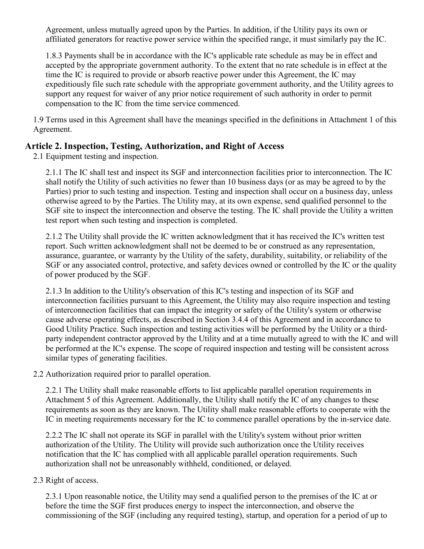Agreement, unless mutually agreed upon by the Parties. In addition, if the Utility pays its own or affiliated generators for reactive power service within the specified range, it must similarly pay the IC.

1.8.3 Payments shall be in accordance with the IC's applicable rate schedule as may be in effect and accepted by the appropriate government authority. To the extent that no rate schedule is in effect at the time the IC is required to provide or absorb reactive power under this Agreement, the IC may expeditiously file such rate schedule with the appropriate government authority, and the Utility agrees to support any request for waiver of any prior notice requirement of such authority in order to permit compensation to the IC from the time service commenced.

1.9 Terms used in this Agreement shall have the meanings specified in the definitions in Attachment 1 of this Agreement.

#### **Article 2. Inspection, Testing, Authorization, and Right of Access**

2.1 Equipment testing and inspection.

2.1.1 The IC shall test and inspect its SGF and interconnection facilities prior to interconnection. The IC shall notify the Utility of such activities no fewer than 10 business days (or as may be agreed to by the Parties) prior to such testing and inspection. Testing and inspection shall occur on a business day, unless otherwise agreed to by the Parties. The Utility may, at its own expense, send qualified personnel to the SGF site to inspect the interconnection and observe the testing. The IC shall provide the Utility a written test report when such testing and inspection is completed.

2.1.2 The Utility shall provide the IC written acknowledgment that it has received the IC's written test report. Such written acknowledgment shall not be deemed to be or construed as any representation, assurance, guarantee, or warranty by the Utility of the safety, durability, suitability, or reliability of the SGF or any associated control, protective, and safety devices owned or controlled by the IC or the quality of power produced by the SGF.

2.1.3 In addition to the Utility's observation of this IC's testing and inspection of its SGF and interconnection facilities pursuant to this Agreement, the Utility may also require inspection and testing of interconnection facilities that can impact the integrity or safety of the Utility's system or otherwise cause adverse operating effects, as described in Section 3.4.4 of this Agreement and in accordance to Good Utility Practice. Such inspection and testing activities will be performed by the Utility or a thirdparty independent contractor approved by the Utility and at a time mutually agreed to with the IC and will be performed at the IC's expense. The scope of required inspection and testing will be consistent across similar types of generating facilities.

2.2 Authorization required prior to parallel operation.

2.2.1 The Utility shall make reasonable efforts to list applicable parallel operation requirements in Attachment 5 of this Agreement. Additionally, the Utility shall notify the IC of any changes to these requirements as soon as they are known. The Utility shall make reasonable efforts to cooperate with the IC in meeting requirements necessary for the IC to commence parallel operations by the in-service date.

2.2.2 The IC shall not operate its SGF in parallel with the Utility's system without prior written authorization of the Utility. The Utility will provide such authorization once the Utility receives notification that the IC has complied with all applicable parallel operation requirements. Such authorization shall not be unreasonably withheld, conditioned, or delayed.

#### 2.3 Right of access.

2.3.1 Upon reasonable notice, the Utility may send a qualified person to the premises of the IC at or before the time the SGF first produces energy to inspect the interconnection, and observe the commissioning of the SGF (including any required testing), startup, and operation for a period of up to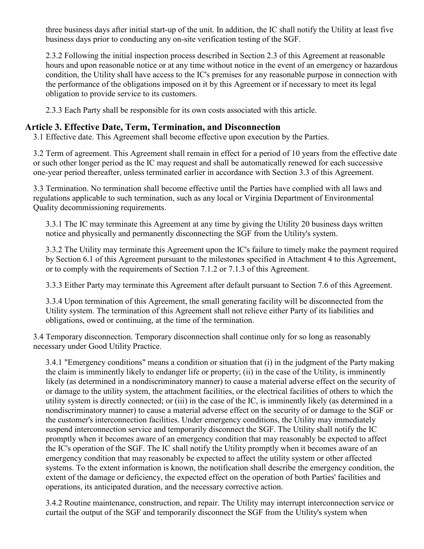three business days after initial start-up of the unit. In addition, the IC shall notify the Utility at least five business days prior to conducting any on-site verification testing of the SGF.

2.3.2 Following the initial inspection process described in Section 2.3 of this Agreement at reasonable hours and upon reasonable notice or at any time without notice in the event of an emergency or hazardous condition, the Utility shall have access to the IC's premises for any reasonable purpose in connection with the performance of the obligations imposed on it by this Agreement or if necessary to meet its legal obligation to provide service to its customers.

2.3.3 Each Party shall be responsible for its own costs associated with this article.

#### **Article 3. Effective Date, Term, Termination, and Disconnection**

3.1 Effective date. This Agreement shall become effective upon execution by the Parties.

3.2 Term of agreement. This Agreement shall remain in effect for a period of 10 years from the effective date or such other longer period as the IC may request and shall be automatically renewed for each successive one-year period thereafter, unless terminated earlier in accordance with Section 3.3 of this Agreement.

3.3 Termination. No termination shall become effective until the Parties have complied with all laws and regulations applicable to such termination, such as any local or Virginia Department of Environmental Quality decommissioning requirements.

3.3.1 The IC may terminate this Agreement at any time by giving the Utility 20 business days written notice and physically and permanently disconnecting the SGF from the Utility's system.

3.3.2 The Utility may terminate this Agreement upon the IC's failure to timely make the payment required by Section 6.1 of this Agreement pursuant to the milestones specified in Attachment 4 to this Agreement, or to comply with the requirements of Section 7.1.2 or 7.1.3 of this Agreement.

3.3.3 Either Party may terminate this Agreement after default pursuant to Section 7.6 of this Agreement.

3.3.4 Upon termination of this Agreement, the small generating facility will be disconnected from the Utility system. The termination of this Agreement shall not relieve either Party of its liabilities and obligations, owed or continuing, at the time of the termination.

3.4 Temporary disconnection. Temporary disconnection shall continue only for so long as reasonably necessary under Good Utility Practice.

3.4.1 "Emergency conditions" means a condition or situation that (i) in the judgment of the Party making the claim is imminently likely to endanger life or property; (ii) in the case of the Utility, is imminently likely (as determined in a nondiscriminatory manner) to cause a material adverse effect on the security of or damage to the utility system, the attachment facilities, or the electrical facilities of others to which the utility system is directly connected; or (iii) in the case of the IC, is imminently likely (as determined in a nondiscriminatory manner) to cause a material adverse effect on the security of or damage to the SGF or the customer's interconnection facilities. Under emergency conditions, the Utility may immediately suspend interconnection service and temporarily disconnect the SGF. The Utility shall notify the IC promptly when it becomes aware of an emergency condition that may reasonably be expected to affect the IC's operation of the SGF. The IC shall notify the Utility promptly when it becomes aware of an emergency condition that may reasonably be expected to affect the utility system or other affected systems. To the extent information is known, the notification shall describe the emergency condition, the extent of the damage or deficiency, the expected effect on the operation of both Parties' facilities and operations, its anticipated duration, and the necessary corrective action.

3.4.2 Routine maintenance, construction, and repair. The Utility may interrupt interconnection service or curtail the output of the SGF and temporarily disconnect the SGF from the Utility's system when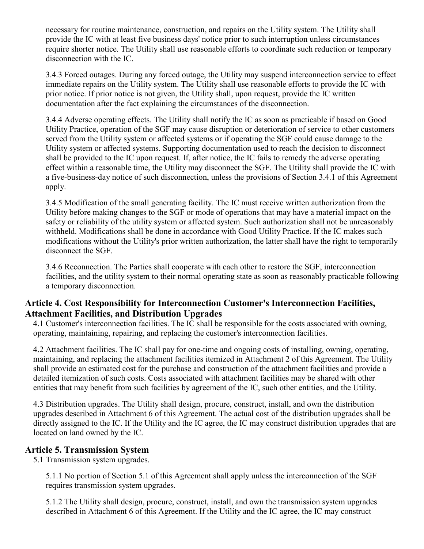necessary for routine maintenance, construction, and repairs on the Utility system. The Utility shall provide the IC with at least five business days' notice prior to such interruption unless circumstances require shorter notice. The Utility shall use reasonable efforts to coordinate such reduction or temporary disconnection with the IC.

3.4.3 Forced outages. During any forced outage, the Utility may suspend interconnection service to effect immediate repairs on the Utility system. The Utility shall use reasonable efforts to provide the IC with prior notice. If prior notice is not given, the Utility shall, upon request, provide the IC written documentation after the fact explaining the circumstances of the disconnection.

3.4.4 Adverse operating effects. The Utility shall notify the IC as soon as practicable if based on Good Utility Practice, operation of the SGF may cause disruption or deterioration of service to other customers served from the Utility system or affected systems or if operating the SGF could cause damage to the Utility system or affected systems. Supporting documentation used to reach the decision to disconnect shall be provided to the IC upon request. If, after notice, the IC fails to remedy the adverse operating effect within a reasonable time, the Utility may disconnect the SGF. The Utility shall provide the IC with a five-business-day notice of such disconnection, unless the provisions of Section 3.4.1 of this Agreement apply.

3.4.5 Modification of the small generating facility. The IC must receive written authorization from the Utility before making changes to the SGF or mode of operations that may have a material impact on the safety or reliability of the utility system or affected system. Such authorization shall not be unreasonably withheld. Modifications shall be done in accordance with Good Utility Practice. If the IC makes such modifications without the Utility's prior written authorization, the latter shall have the right to temporarily disconnect the SGF.

3.4.6 Reconnection. The Parties shall cooperate with each other to restore the SGF, interconnection facilities, and the utility system to their normal operating state as soon as reasonably practicable following a temporary disconnection.

### **Article 4. Cost Responsibility for Interconnection Customer's Interconnection Facilities, Attachment Facilities, and Distribution Upgrades**

4.1 Customer's interconnection facilities. The IC shall be responsible for the costs associated with owning, operating, maintaining, repairing, and replacing the customer's interconnection facilities.

4.2 Attachment facilities. The IC shall pay for one-time and ongoing costs of installing, owning, operating, maintaining, and replacing the attachment facilities itemized in Attachment 2 of this Agreement. The Utility shall provide an estimated cost for the purchase and construction of the attachment facilities and provide a detailed itemization of such costs. Costs associated with attachment facilities may be shared with other entities that may benefit from such facilities by agreement of the IC, such other entities, and the Utility.

4.3 Distribution upgrades. The Utility shall design, procure, construct, install, and own the distribution upgrades described in Attachment 6 of this Agreement. The actual cost of the distribution upgrades shall be directly assigned to the IC. If the Utility and the IC agree, the IC may construct distribution upgrades that are located on land owned by the IC.

#### **Article 5. Transmission System**

5.1 Transmission system upgrades.

5.1.1 No portion of Section 5.1 of this Agreement shall apply unless the interconnection of the SGF requires transmission system upgrades.

5.1.2 The Utility shall design, procure, construct, install, and own the transmission system upgrades described in Attachment 6 of this Agreement. If the Utility and the IC agree, the IC may construct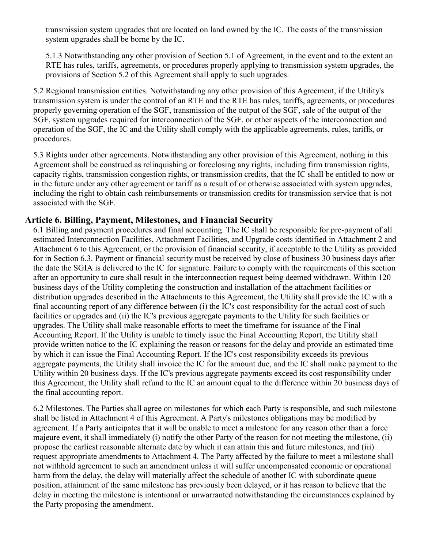transmission system upgrades that are located on land owned by the IC. The costs of the transmission system upgrades shall be borne by the IC.

5.1.3 Notwithstanding any other provision of Section 5.1 of Agreement, in the event and to the extent an RTE has rules, tariffs, agreements, or procedures properly applying to transmission system upgrades, the provisions of Section 5.2 of this Agreement shall apply to such upgrades.

5.2 Regional transmission entities. Notwithstanding any other provision of this Agreement, if the Utility's transmission system is under the control of an RTE and the RTE has rules, tariffs, agreements, or procedures properly governing operation of the SGF, transmission of the output of the SGF, sale of the output of the SGF, system upgrades required for interconnection of the SGF, or other aspects of the interconnection and operation of the SGF, the IC and the Utility shall comply with the applicable agreements, rules, tariffs, or procedures.

5.3 Rights under other agreements. Notwithstanding any other provision of this Agreement, nothing in this Agreement shall be construed as relinquishing or foreclosing any rights, including firm transmission rights, capacity rights, transmission congestion rights, or transmission credits, that the IC shall be entitled to now or in the future under any other agreement or tariff as a result of or otherwise associated with system upgrades, including the right to obtain cash reimbursements or transmission credits for transmission service that is not associated with the SGF.

#### **Article 6. Billing, Payment, Milestones, and Financial Security**

6.1 Billing and payment procedures and final accounting. The IC shall be responsible for pre-payment of all estimated Interconnection Facilities, Attachment Facilities, and Upgrade costs identified in Attachment 2 and Attachment 6 to this Agreement, or the provision of financial security, if acceptable to the Utility as provided for in Section 6.3. Payment or financial security must be received by close of business 30 business days after the date the SGIA is delivered to the IC for signature. Failure to comply with the requirements of this section after an opportunity to cure shall result in the interconnection request being deemed withdrawn. Within 120 business days of the Utility completing the construction and installation of the attachment facilities or distribution upgrades described in the Attachments to this Agreement, the Utility shall provide the IC with a final accounting report of any difference between (i) the IC's cost responsibility for the actual cost of such facilities or upgrades and (ii) the IC's previous aggregate payments to the Utility for such facilities or upgrades. The Utility shall make reasonable efforts to meet the timeframe for issuance of the Final Accounting Report. If the Utility is unable to timely issue the Final Accounting Report, the Utility shall provide written notice to the IC explaining the reason or reasons for the delay and provide an estimated time by which it can issue the Final Accounting Report. If the IC's cost responsibility exceeds its previous aggregate payments, the Utility shall invoice the IC for the amount due, and the IC shall make payment to the Utility within 20 business days. If the IC's previous aggregate payments exceed its cost responsibility under this Agreement, the Utility shall refund to the IC an amount equal to the difference within 20 business days of the final accounting report.

6.2 Milestones. The Parties shall agree on milestones for which each Party is responsible, and such milestone shall be listed in Attachment 4 of this Agreement. A Party's milestones obligations may be modified by agreement. If a Party anticipates that it will be unable to meet a milestone for any reason other than a force majeure event, it shall immediately (i) notify the other Party of the reason for not meeting the milestone, (ii) propose the earliest reasonable alternate date by which it can attain this and future milestones, and (iii) request appropriate amendments to Attachment 4. The Party affected by the failure to meet a milestone shall not withhold agreement to such an amendment unless it will suffer uncompensated economic or operational harm from the delay, the delay will materially affect the schedule of another IC with subordinate queue position, attainment of the same milestone has previously been delayed, or it has reason to believe that the delay in meeting the milestone is intentional or unwarranted notwithstanding the circumstances explained by the Party proposing the amendment.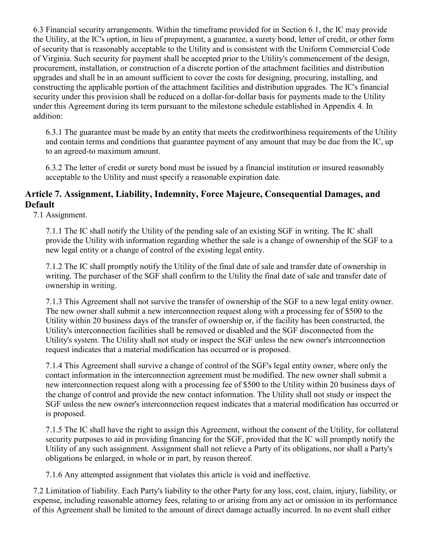6.3 Financial security arrangements. Within the timeframe provided for in Section 6.1, the IC may provide the Utility, at the IC's option, in lieu of prepayment, a guarantee, a surety bond, letter of credit, or other form of security that is reasonably acceptable to the Utility and is consistent with the Uniform Commercial Code of Virginia. Such security for payment shall be accepted prior to the Utility's commencement of the design, procurement, installation, or construction of a discrete portion of the attachment facilities and distribution upgrades and shall be in an amount sufficient to cover the costs for designing, procuring, installing, and constructing the applicable portion of the attachment facilities and distribution upgrades. The IC's financial security under this provision shall be reduced on a dollar-for-dollar basis for payments made to the Utility under this Agreement during its term pursuant to the milestone schedule established in Appendix 4. In addition:

6.3.1 The guarantee must be made by an entity that meets the creditworthiness requirements of the Utility and contain terms and conditions that guarantee payment of any amount that may be due from the IC, up to an agreed-to maximum amount.

6.3.2 The letter of credit or surety bond must be issued by a financial institution or insured reasonably acceptable to the Utility and must specify a reasonable expiration date.

## **Article 7. Assignment, Liability, Indemnity, Force Majeure, Consequential Damages, and Default**

7.1 Assignment.

7.1.1 The IC shall notify the Utility of the pending sale of an existing SGF in writing. The IC shall provide the Utility with information regarding whether the sale is a change of ownership of the SGF to a new legal entity or a change of control of the existing legal entity.

7.1.2 The IC shall promptly notify the Utility of the final date of sale and transfer date of ownership in writing. The purchaser of the SGF shall confirm to the Utility the final date of sale and transfer date of ownership in writing.

7.1.3 This Agreement shall not survive the transfer of ownership of the SGF to a new legal entity owner. The new owner shall submit a new interconnection request along with a processing fee of \$500 to the Utility within 20 business days of the transfer of ownership or, if the facility has been constructed, the Utility's interconnection facilities shall be removed or disabled and the SGF disconnected from the Utility's system. The Utility shall not study or inspect the SGF unless the new owner's interconnection request indicates that a material modification has occurred or is proposed.

7.1.4 This Agreement shall survive a change of control of the SGF's legal entity owner, where only the contact information in the interconnection agreement must be modified. The new owner shall submit a new interconnection request along with a processing fee of \$500 to the Utility within 20 business days of the change of control and provide the new contact information. The Utility shall not study or inspect the SGF unless the new owner's interconnection request indicates that a material modification has occurred or is proposed.

7.1.5 The IC shall have the right to assign this Agreement, without the consent of the Utility, for collateral security purposes to aid in providing financing for the SGF, provided that the IC will promptly notify the Utility of any such assignment. Assignment shall not relieve a Party of its obligations, nor shall a Party's obligations be enlarged, in whole or in part, by reason thereof.

7.1.6 Any attempted assignment that violates this article is void and ineffective.

7.2 Limitation of liability. Each Party's liability to the other Party for any loss, cost, claim, injury, liability, or expense, including reasonable attorney fees, relating to or arising from any act or omission in its performance of this Agreement shall be limited to the amount of direct damage actually incurred. In no event shall either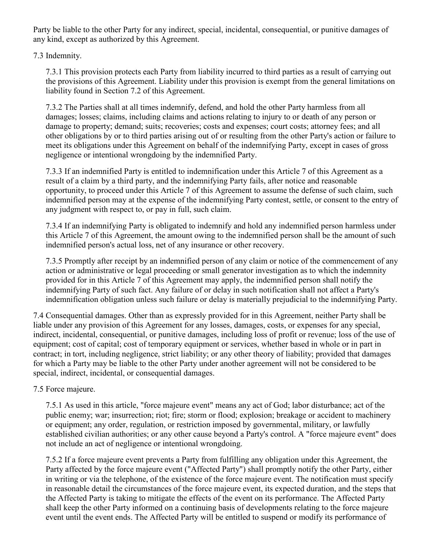Party be liable to the other Party for any indirect, special, incidental, consequential, or punitive damages of any kind, except as authorized by this Agreement.

7.3 Indemnity.

7.3.1 This provision protects each Party from liability incurred to third parties as a result of carrying out the provisions of this Agreement. Liability under this provision is exempt from the general limitations on liability found in Section 7.2 of this Agreement.

7.3.2 The Parties shall at all times indemnify, defend, and hold the other Party harmless from all damages; losses; claims, including claims and actions relating to injury to or death of any person or damage to property; demand; suits; recoveries; costs and expenses; court costs; attorney fees; and all other obligations by or to third parties arising out of or resulting from the other Party's action or failure to meet its obligations under this Agreement on behalf of the indemnifying Party, except in cases of gross negligence or intentional wrongdoing by the indemnified Party.

7.3.3 If an indemnified Party is entitled to indemnification under this Article 7 of this Agreement as a result of a claim by a third party, and the indemnifying Party fails, after notice and reasonable opportunity, to proceed under this Article 7 of this Agreement to assume the defense of such claim, such indemnified person may at the expense of the indemnifying Party contest, settle, or consent to the entry of any judgment with respect to, or pay in full, such claim.

7.3.4 If an indemnifying Party is obligated to indemnify and hold any indemnified person harmless under this Article 7 of this Agreement, the amount owing to the indemnified person shall be the amount of such indemnified person's actual loss, net of any insurance or other recovery.

7.3.5 Promptly after receipt by an indemnified person of any claim or notice of the commencement of any action or administrative or legal proceeding or small generator investigation as to which the indemnity provided for in this Article 7 of this Agreement may apply, the indemnified person shall notify the indemnifying Party of such fact. Any failure of or delay in such notification shall not affect a Party's indemnification obligation unless such failure or delay is materially prejudicial to the indemnifying Party.

7.4 Consequential damages. Other than as expressly provided for in this Agreement, neither Party shall be liable under any provision of this Agreement for any losses, damages, costs, or expenses for any special, indirect, incidental, consequential, or punitive damages, including loss of profit or revenue; loss of the use of equipment; cost of capital; cost of temporary equipment or services, whether based in whole or in part in contract; in tort, including negligence, strict liability; or any other theory of liability; provided that damages for which a Party may be liable to the other Party under another agreement will not be considered to be special, indirect, incidental, or consequential damages.

#### 7.5 Force majeure.

7.5.1 As used in this article, "force majeure event" means any act of God; labor disturbance; act of the public enemy; war; insurrection; riot; fire; storm or flood; explosion; breakage or accident to machinery or equipment; any order, regulation, or restriction imposed by governmental, military, or lawfully established civilian authorities; or any other cause beyond a Party's control. A "force majeure event" does not include an act of negligence or intentional wrongdoing.

7.5.2 If a force majeure event prevents a Party from fulfilling any obligation under this Agreement, the Party affected by the force majeure event ("Affected Party") shall promptly notify the other Party, either in writing or via the telephone, of the existence of the force majeure event. The notification must specify in reasonable detail the circumstances of the force majeure event, its expected duration, and the steps that the Affected Party is taking to mitigate the effects of the event on its performance. The Affected Party shall keep the other Party informed on a continuing basis of developments relating to the force majeure event until the event ends. The Affected Party will be entitled to suspend or modify its performance of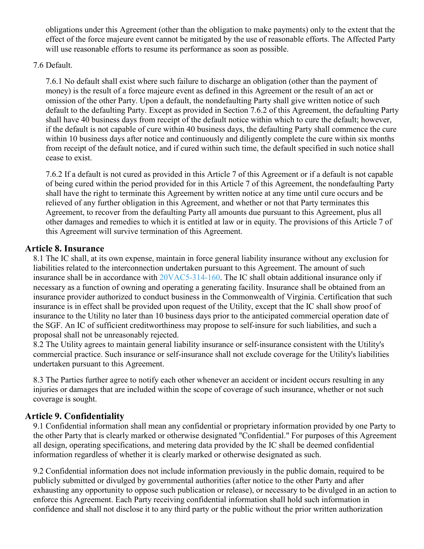obligations under this Agreement (other than the obligation to make payments) only to the extent that the effect of the force majeure event cannot be mitigated by the use of reasonable efforts. The Affected Party will use reasonable efforts to resume its performance as soon as possible.

#### 7.6 Default.

7.6.1 No default shall exist where such failure to discharge an obligation (other than the payment of money) is the result of a force majeure event as defined in this Agreement or the result of an act or omission of the other Party. Upon a default, the nondefaulting Party shall give written notice of such default to the defaulting Party. Except as provided in Section 7.6.2 of this Agreement, the defaulting Party shall have 40 business days from receipt of the default notice within which to cure the default; however, if the default is not capable of cure within 40 business days, the defaulting Party shall commence the cure within 10 business days after notice and continuously and diligently complete the cure within six months from receipt of the default notice, and if cured within such time, the default specified in such notice shall cease to exist.

7.6.2 If a default is not cured as provided in this Article 7 of this Agreement or if a default is not capable of being cured within the period provided for in this Article 7 of this Agreement, the nondefaulting Party shall have the right to terminate this Agreement by written notice at any time until cure occurs and be relieved of any further obligation in this Agreement, and whether or not that Party terminates this Agreement, to recover from the defaulting Party all amounts due pursuant to this Agreement, plus all other damages and remedies to which it is entitled at law or in equity. The provisions of this Article 7 of this Agreement will survive termination of this Agreement.

#### **Article 8. Insurance**

8.1 The IC shall, at its own expense, maintain in force general liability insurance without any exclusion for liabilities related to the interconnection undertaken pursuant to this Agreement. The amount of such insurance shall be in accordance with [20VAC5-314-160.](https://law.lis.virginia.gov/admincode/title20/agency5/chapter314/section160/) The IC shall obtain additional insurance only if necessary as a function of owning and operating a generating facility. Insurance shall be obtained from an insurance provider authorized to conduct business in the Commonwealth of Virginia. Certification that such insurance is in effect shall be provided upon request of the Utility, except that the IC shall show proof of insurance to the Utility no later than 10 business days prior to the anticipated commercial operation date of the SGF. An IC of sufficient creditworthiness may propose to self-insure for such liabilities, and such a proposal shall not be unreasonably rejected.

8.2 The Utility agrees to maintain general liability insurance or self-insurance consistent with the Utility's commercial practice. Such insurance or self-insurance shall not exclude coverage for the Utility's liabilities undertaken pursuant to this Agreement.

8.3 The Parties further agree to notify each other whenever an accident or incident occurs resulting in any injuries or damages that are included within the scope of coverage of such insurance, whether or not such coverage is sought.

## **Article 9. Confidentiality**

9.1 Confidential information shall mean any confidential or proprietary information provided by one Party to the other Party that is clearly marked or otherwise designated "Confidential." For purposes of this Agreement all design, operating specifications, and metering data provided by the IC shall be deemed confidential information regardless of whether it is clearly marked or otherwise designated as such.

9.2 Confidential information does not include information previously in the public domain, required to be publicly submitted or divulged by governmental authorities (after notice to the other Party and after exhausting any opportunity to oppose such publication or release), or necessary to be divulged in an action to enforce this Agreement. Each Party receiving confidential information shall hold such information in confidence and shall not disclose it to any third party or the public without the prior written authorization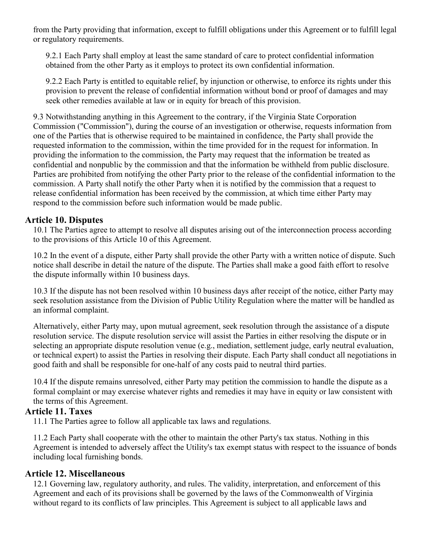from the Party providing that information, except to fulfill obligations under this Agreement or to fulfill legal or regulatory requirements.

9.2.1 Each Party shall employ at least the same standard of care to protect confidential information obtained from the other Party as it employs to protect its own confidential information.

9.2.2 Each Party is entitled to equitable relief, by injunction or otherwise, to enforce its rights under this provision to prevent the release of confidential information without bond or proof of damages and may seek other remedies available at law or in equity for breach of this provision.

9.3 Notwithstanding anything in this Agreement to the contrary, if the Virginia State Corporation Commission ("Commission"), during the course of an investigation or otherwise, requests information from one of the Parties that is otherwise required to be maintained in confidence, the Party shall provide the requested information to the commission, within the time provided for in the request for information. In providing the information to the commission, the Party may request that the information be treated as confidential and nonpublic by the commission and that the information be withheld from public disclosure. Parties are prohibited from notifying the other Party prior to the release of the confidential information to the commission. A Party shall notify the other Party when it is notified by the commission that a request to release confidential information has been received by the commission, at which time either Party may respond to the commission before such information would be made public.

### **Article 10. Disputes**

10.1 The Parties agree to attempt to resolve all disputes arising out of the interconnection process according to the provisions of this Article 10 of this Agreement.

10.2 In the event of a dispute, either Party shall provide the other Party with a written notice of dispute. Such notice shall describe in detail the nature of the dispute. The Parties shall make a good faith effort to resolve the dispute informally within 10 business days.

10.3 If the dispute has not been resolved within 10 business days after receipt of the notice, either Party may seek resolution assistance from the Division of Public Utility Regulation where the matter will be handled as an informal complaint.

Alternatively, either Party may, upon mutual agreement, seek resolution through the assistance of a dispute resolution service. The dispute resolution service will assist the Parties in either resolving the dispute or in selecting an appropriate dispute resolution venue (e.g., mediation, settlement judge, early neutral evaluation, or technical expert) to assist the Parties in resolving their dispute. Each Party shall conduct all negotiations in good faith and shall be responsible for one-half of any costs paid to neutral third parties.

10.4 If the dispute remains unresolved, either Party may petition the commission to handle the dispute as a formal complaint or may exercise whatever rights and remedies it may have in equity or law consistent with the terms of this Agreement.

#### **Article 11. Taxes**

11.1 The Parties agree to follow all applicable tax laws and regulations.

11.2 Each Party shall cooperate with the other to maintain the other Party's tax status. Nothing in this Agreement is intended to adversely affect the Utility's tax exempt status with respect to the issuance of bonds including local furnishing bonds.

## **Article 12. Miscellaneous**

12.1 Governing law, regulatory authority, and rules. The validity, interpretation, and enforcement of this Agreement and each of its provisions shall be governed by the laws of the Commonwealth of Virginia without regard to its conflicts of law principles. This Agreement is subject to all applicable laws and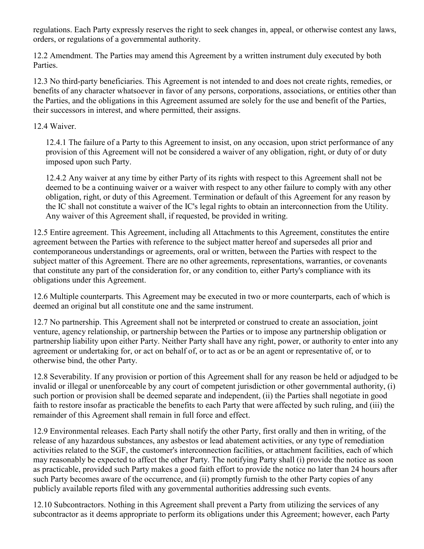regulations. Each Party expressly reserves the right to seek changes in, appeal, or otherwise contest any laws, orders, or regulations of a governmental authority.

12.2 Amendment. The Parties may amend this Agreement by a written instrument duly executed by both Parties.

12.3 No third-party beneficiaries. This Agreement is not intended to and does not create rights, remedies, or benefits of any character whatsoever in favor of any persons, corporations, associations, or entities other than the Parties, and the obligations in this Agreement assumed are solely for the use and benefit of the Parties, their successors in interest, and where permitted, their assigns.

#### 12.4 Waiver.

12.4.1 The failure of a Party to this Agreement to insist, on any occasion, upon strict performance of any provision of this Agreement will not be considered a waiver of any obligation, right, or duty of or duty imposed upon such Party.

12.4.2 Any waiver at any time by either Party of its rights with respect to this Agreement shall not be deemed to be a continuing waiver or a waiver with respect to any other failure to comply with any other obligation, right, or duty of this Agreement. Termination or default of this Agreement for any reason by the IC shall not constitute a waiver of the IC's legal rights to obtain an interconnection from the Utility. Any waiver of this Agreement shall, if requested, be provided in writing.

12.5 Entire agreement. This Agreement, including all Attachments to this Agreement, constitutes the entire agreement between the Parties with reference to the subject matter hereof and supersedes all prior and contemporaneous understandings or agreements, oral or written, between the Parties with respect to the subject matter of this Agreement. There are no other agreements, representations, warranties, or covenants that constitute any part of the consideration for, or any condition to, either Party's compliance with its obligations under this Agreement.

12.6 Multiple counterparts. This Agreement may be executed in two or more counterparts, each of which is deemed an original but all constitute one and the same instrument.

12.7 No partnership. This Agreement shall not be interpreted or construed to create an association, joint venture, agency relationship, or partnership between the Parties or to impose any partnership obligation or partnership liability upon either Party. Neither Party shall have any right, power, or authority to enter into any agreement or undertaking for, or act on behalf of, or to act as or be an agent or representative of, or to otherwise bind, the other Party.

12.8 Severability. If any provision or portion of this Agreement shall for any reason be held or adjudged to be invalid or illegal or unenforceable by any court of competent jurisdiction or other governmental authority, (i) such portion or provision shall be deemed separate and independent, (ii) the Parties shall negotiate in good faith to restore insofar as practicable the benefits to each Party that were affected by such ruling, and (iii) the remainder of this Agreement shall remain in full force and effect.

12.9 Environmental releases. Each Party shall notify the other Party, first orally and then in writing, of the release of any hazardous substances, any asbestos or lead abatement activities, or any type of remediation activities related to the SGF, the customer's interconnection facilities, or attachment facilities, each of which may reasonably be expected to affect the other Party. The notifying Party shall (i) provide the notice as soon as practicable, provided such Party makes a good faith effort to provide the notice no later than 24 hours after such Party becomes aware of the occurrence, and (ii) promptly furnish to the other Party copies of any publicly available reports filed with any governmental authorities addressing such events.

12.10 Subcontractors. Nothing in this Agreement shall prevent a Party from utilizing the services of any subcontractor as it deems appropriate to perform its obligations under this Agreement; however, each Party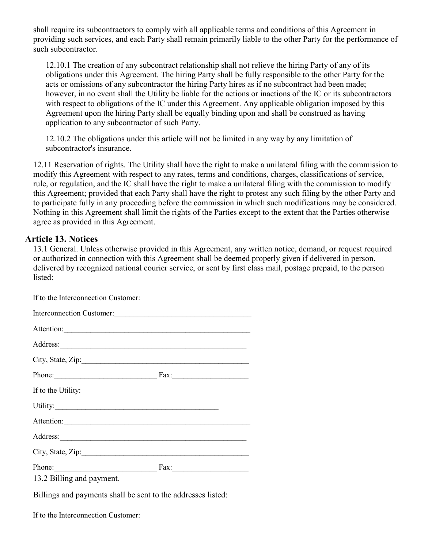shall require its subcontractors to comply with all applicable terms and conditions of this Agreement in providing such services, and each Party shall remain primarily liable to the other Party for the performance of such subcontractor.

12.10.1 The creation of any subcontract relationship shall not relieve the hiring Party of any of its obligations under this Agreement. The hiring Party shall be fully responsible to the other Party for the acts or omissions of any subcontractor the hiring Party hires as if no subcontract had been made; however, in no event shall the Utility be liable for the actions or inactions of the IC or its subcontractors with respect to obligations of the IC under this Agreement. Any applicable obligation imposed by this Agreement upon the hiring Party shall be equally binding upon and shall be construed as having application to any subcontractor of such Party.

12.10.2 The obligations under this article will not be limited in any way by any limitation of subcontractor's insurance.

12.11 Reservation of rights. The Utility shall have the right to make a unilateral filing with the commission to modify this Agreement with respect to any rates, terms and conditions, charges, classifications of service, rule, or regulation, and the IC shall have the right to make a unilateral filing with the commission to modify this Agreement; provided that each Party shall have the right to protest any such filing by the other Party and to participate fully in any proceeding before the commission in which such modifications may be considered. Nothing in this Agreement shall limit the rights of the Parties except to the extent that the Parties otherwise agree as provided in this Agreement.

#### **Article 13. Notices**

13.1 General. Unless otherwise provided in this Agreement, any written notice, demand, or request required or authorized in connection with this Agreement shall be deemed properly given if delivered in person, delivered by recognized national courier service, or sent by first class mail, postage prepaid, to the person listed:

| If to the Interconnection Customer: |  |
|-------------------------------------|--|
| Interconnection Customer:           |  |
| Attention:                          |  |
| Address:                            |  |
| City, State, Zip:                   |  |
|                                     |  |
| If to the Utility:                  |  |
|                                     |  |
| Attention:                          |  |
|                                     |  |
|                                     |  |
| Phone: Fax: Fax:                    |  |
| 13.2 Billing and payment.           |  |
|                                     |  |

Billings and payments shall be sent to the addresses listed:

If to the Interconnection Customer: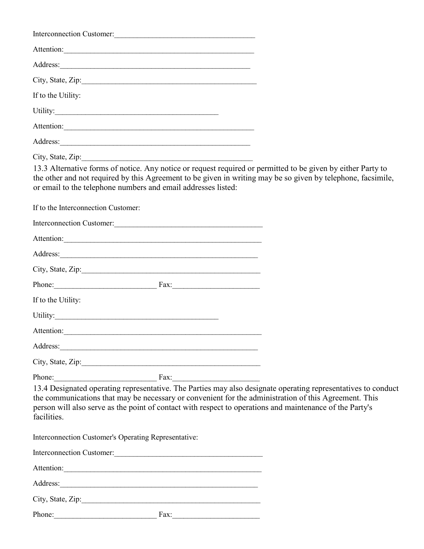| Interconnection Customer:                                                                                                                                                                                                                                                                                          |                                                                                                               |
|--------------------------------------------------------------------------------------------------------------------------------------------------------------------------------------------------------------------------------------------------------------------------------------------------------------------|---------------------------------------------------------------------------------------------------------------|
| Attention:                                                                                                                                                                                                                                                                                                         |                                                                                                               |
|                                                                                                                                                                                                                                                                                                                    |                                                                                                               |
|                                                                                                                                                                                                                                                                                                                    |                                                                                                               |
| If to the Utility:                                                                                                                                                                                                                                                                                                 |                                                                                                               |
|                                                                                                                                                                                                                                                                                                                    |                                                                                                               |
| Attention:                                                                                                                                                                                                                                                                                                         |                                                                                                               |
| Address: 2008 and 2008 and 2008 and 2008 and 2008 and 2008 and 2008 and 2008 and 2008 and 2008 and 2008 and 2008 and 2008 and 2008 and 2008 and 2008 and 2008 and 2008 and 2008 and 2008 and 2008 and 2008 and 2008 and 2008 a                                                                                     |                                                                                                               |
| City, State, Zip:<br>13.3 Alternative forms of notice. Any notice or request required or permitted to be given by either Party to<br>the other and not required by this Agreement to be given in writing may be so given by telephone, facsimile,<br>or email to the telephone numbers and email addresses listed: |                                                                                                               |
| If to the Interconnection Customer:                                                                                                                                                                                                                                                                                |                                                                                                               |
|                                                                                                                                                                                                                                                                                                                    |                                                                                                               |
| Attention:                                                                                                                                                                                                                                                                                                         |                                                                                                               |
| Address: Note and the contract of the contract of the contract of the contract of the contract of the contract of the contract of the contract of the contract of the contract of the contract of the contract of the contract                                                                                     |                                                                                                               |
|                                                                                                                                                                                                                                                                                                                    |                                                                                                               |
| Phone: Fax: Fax:                                                                                                                                                                                                                                                                                                   |                                                                                                               |
| If to the Utility:                                                                                                                                                                                                                                                                                                 |                                                                                                               |
| Utility:                                                                                                                                                                                                                                                                                                           |                                                                                                               |
| Attention:                                                                                                                                                                                                                                                                                                         |                                                                                                               |
| Address: <u>Address:</u>                                                                                                                                                                                                                                                                                           |                                                                                                               |
|                                                                                                                                                                                                                                                                                                                    |                                                                                                               |
| Phone: Fax: Fax:                                                                                                                                                                                                                                                                                                   |                                                                                                               |
| the communications that may be necessary or convenient for the administration of this Agreement. This<br>person will also serve as the point of contact with respect to operations and maintenance of the Party's<br>facilities.                                                                                   | 13.4 Designated operating representative. The Parties may also designate operating representatives to conduct |
| Interconnection Customer's Operating Representative:                                                                                                                                                                                                                                                               |                                                                                                               |
| Interconnection Customer:<br><u> </u>                                                                                                                                                                                                                                                                              |                                                                                                               |
| Attention:                                                                                                                                                                                                                                                                                                         |                                                                                                               |
|                                                                                                                                                                                                                                                                                                                    |                                                                                                               |
|                                                                                                                                                                                                                                                                                                                    |                                                                                                               |
| Phone:                                                                                                                                                                                                                                                                                                             |                                                                                                               |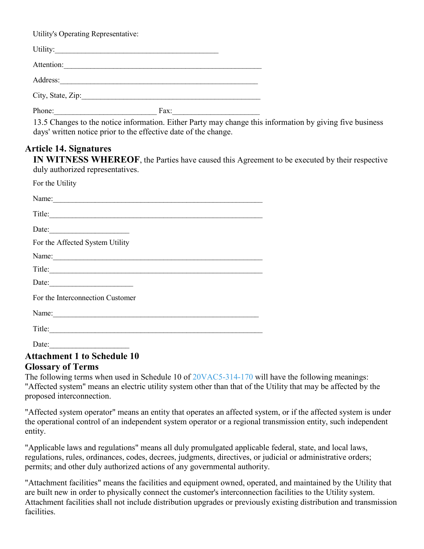Utility's Operating Representative:

| Utility:          |      |
|-------------------|------|
| Attention:        |      |
| Address:          |      |
| City, State, Zip: |      |
| Phone:            | Fax: |

13.5 Changes to the notice information. Either Party may change this information by giving five business days' written notice prior to the effective date of the change.

### **Article 14. Signatures**

**IN WITNESS WHEREOF**, the Parties have caused this Agreement to be executed by their respective duly authorized representatives.

| For the Utility                  |
|----------------------------------|
| Name:                            |
| Title:                           |
| Date:                            |
| For the Affected System Utility  |
|                                  |
| Title:                           |
| Date: $\qquad \qquad$            |
| For the Interconnection Customer |
|                                  |
| Title:                           |
| Date:                            |

# **Attachment 1 to Schedule 10**

#### **Glossary of Terms**

The following terms when used in Schedule 10 of [20VAC5-314-170](https://law.lis.virginia.gov/admincode/title20/agency5/chapter314/section170/) will have the following meanings: "Affected system" means an electric utility system other than that of the Utility that may be affected by the proposed interconnection.

"Affected system operator" means an entity that operates an affected system, or if the affected system is under the operational control of an independent system operator or a regional transmission entity, such independent entity.

"Applicable laws and regulations" means all duly promulgated applicable federal, state, and local laws, regulations, rules, ordinances, codes, decrees, judgments, directives, or judicial or administrative orders; permits; and other duly authorized actions of any governmental authority.

"Attachment facilities" means the facilities and equipment owned, operated, and maintained by the Utility that are built new in order to physically connect the customer's interconnection facilities to the Utility system. Attachment facilities shall not include distribution upgrades or previously existing distribution and transmission facilities.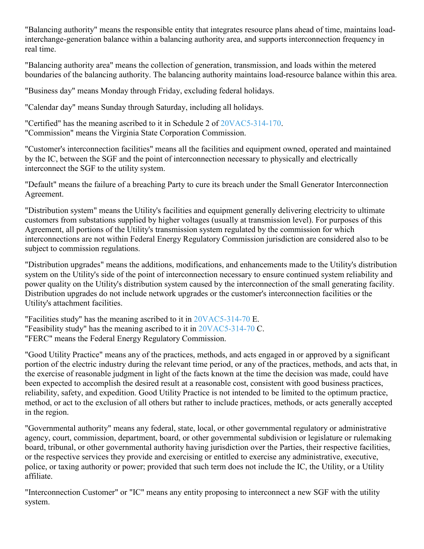"Balancing authority" means the responsible entity that integrates resource plans ahead of time, maintains loadinterchange-generation balance within a balancing authority area, and supports interconnection frequency in real time.

"Balancing authority area" means the collection of generation, transmission, and loads within the metered boundaries of the balancing authority. The balancing authority maintains load-resource balance within this area.

"Business day" means Monday through Friday, excluding federal holidays.

"Calendar day" means Sunday through Saturday, including all holidays.

"Certified" has the meaning ascribed to it in Schedule 2 of [20VAC5-314-170.](https://law.lis.virginia.gov/admincode/title20/agency5/chapter314/section170/) "Commission" means the Virginia State Corporation Commission.

"Customer's interconnection facilities" means all the facilities and equipment owned, operated and maintained by the IC, between the SGF and the point of interconnection necessary to physically and electrically interconnect the SGF to the utility system.

"Default" means the failure of a breaching Party to cure its breach under the Small Generator Interconnection Agreement.

"Distribution system" means the Utility's facilities and equipment generally delivering electricity to ultimate customers from substations supplied by higher voltages (usually at transmission level). For purposes of this Agreement, all portions of the Utility's transmission system regulated by the commission for which interconnections are not within Federal Energy Regulatory Commission jurisdiction are considered also to be subject to commission regulations.

"Distribution upgrades" means the additions, modifications, and enhancements made to the Utility's distribution system on the Utility's side of the point of interconnection necessary to ensure continued system reliability and power quality on the Utility's distribution system caused by the interconnection of the small generating facility. Distribution upgrades do not include network upgrades or the customer's interconnection facilities or the Utility's attachment facilities.

"Facilities study" has the meaning ascribed to it in [20VAC5-314-70](https://law.lis.virginia.gov/admincode/title20/agency5/chapter314/section70/) E. "Feasibility study" has the meaning ascribed to it in [20VAC5-314-70](https://law.lis.virginia.gov/admincode/title20/agency5/chapter314/section70/) C. "FERC" means the Federal Energy Regulatory Commission.

"Good Utility Practice" means any of the practices, methods, and acts engaged in or approved by a significant portion of the electric industry during the relevant time period, or any of the practices, methods, and acts that, in the exercise of reasonable judgment in light of the facts known at the time the decision was made, could have been expected to accomplish the desired result at a reasonable cost, consistent with good business practices, reliability, safety, and expedition. Good Utility Practice is not intended to be limited to the optimum practice, method, or act to the exclusion of all others but rather to include practices, methods, or acts generally accepted in the region.

"Governmental authority" means any federal, state, local, or other governmental regulatory or administrative agency, court, commission, department, board, or other governmental subdivision or legislature or rulemaking board, tribunal, or other governmental authority having jurisdiction over the Parties, their respective facilities, or the respective services they provide and exercising or entitled to exercise any administrative, executive, police, or taxing authority or power; provided that such term does not include the IC, the Utility, or a Utility affiliate.

"Interconnection Customer" or "IC" means any entity proposing to interconnect a new SGF with the utility system.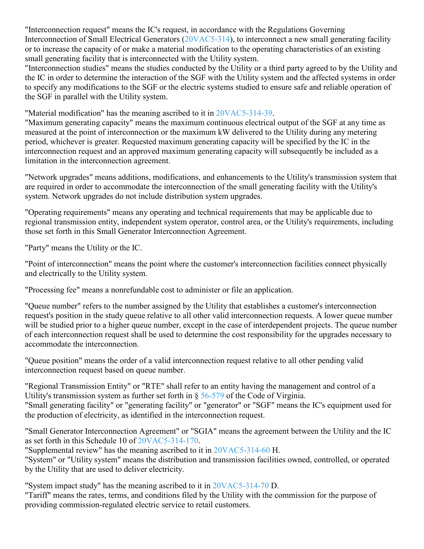"Interconnection request" means the IC's request, in accordance with the Regulations Governing Interconnection of Small Electrical Generators [\(20VAC5-314\)](https://law.lis.virginia.gov/admincode/title20/agency5/chapter314/), to interconnect a new small generating facility or to increase the capacity of or make a material modification to the operating characteristics of an existing small generating facility that is interconnected with the Utility system.

"Interconnection studies" means the studies conducted by the Utility or a third party agreed to by the Utility and the IC in order to determine the interaction of the SGF with the Utility system and the affected systems in order to specify any modifications to the SGF or the electric systems studied to ensure safe and reliable operation of the SGF in parallel with the Utility system.

"Material modification" has the meaning ascribed to it in [20VAC5-314-39.](https://law.lis.virginia.gov/admincode/title20/agency5/chapter314/section39/)

"Maximum generating capacity" means the maximum continuous electrical output of the SGF at any time as measured at the point of interconnection or the maximum kW delivered to the Utility during any metering period, whichever is greater. Requested maximum generating capacity will be specified by the IC in the interconnection request and an approved maximum generating capacity will subsequently be included as a limitation in the interconnection agreement.

"Network upgrades" means additions, modifications, and enhancements to the Utility's transmission system that are required in order to accommodate the interconnection of the small generating facility with the Utility's system. Network upgrades do not include distribution system upgrades.

"Operating requirements" means any operating and technical requirements that may be applicable due to regional transmission entity, independent system operator, control area, or the Utility's requirements, including those set forth in this Small Generator Interconnection Agreement.

"Party" means the Utility or the IC.

"Point of interconnection" means the point where the customer's interconnection facilities connect physically and electrically to the Utility system.

"Processing fee" means a nonrefundable cost to administer or file an application.

"Queue number" refers to the number assigned by the Utility that establishes a customer's interconnection request's position in the study queue relative to all other valid interconnection requests. A lower queue number will be studied prior to a higher queue number, except in the case of interdependent projects. The queue number of each interconnection request shall be used to determine the cost responsibility for the upgrades necessary to accommodate the interconnection.

"Queue position" means the order of a valid interconnection request relative to all other pending valid interconnection request based on queue number.

"Regional Transmission Entity" or "RTE" shall refer to an entity having the management and control of a Utility's transmission system as further set forth in § [56-579](https://law.lis.virginia.gov/vacode/56-579/) of the Code of Virginia. "Small generating facility" or "generating facility" or "generator" or "SGF" means the IC's equipment used for the production of electricity, as identified in the interconnection request.

"Small Generator Interconnection Agreement" or "SGIA" means the agreement between the Utility and the IC as set forth in this Schedule 10 of [20VAC5-314-170.](https://law.lis.virginia.gov/admincode/title20/agency5/chapter314/section170/)

"Supplemental review" has the meaning ascribed to it in [20VAC5-314-60](https://law.lis.virginia.gov/admincode/title20/agency5/chapter314/section60/) H.

"System" or "Utility system" means the distribution and transmission facilities owned, controlled, or operated by the Utility that are used to deliver electricity.

"System impact study" has the meaning ascribed to it in [20VAC5-314-70](https://law.lis.virginia.gov/admincode/title20/agency5/chapter314/section70/) D.

"Tariff" means the rates, terms, and conditions filed by the Utility with the commission for the purpose of providing commission-regulated electric service to retail customers.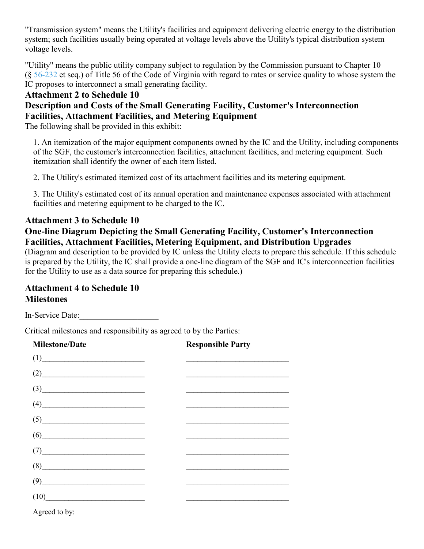"Transmission system" means the Utility's facilities and equipment delivering electric energy to the distribution system; such facilities usually being operated at voltage levels above the Utility's typical distribution system voltage levels.

"Utility" means the public utility company subject to regulation by the Commission pursuant to Chapter 10  $(\S 56-232$  $(\S 56-232$  et seq.) of Title 56 of the Code of Virginia with regard to rates or service quality to whose system the IC proposes to interconnect a small generating facility.

## **Attachment 2 to Schedule 10**

## **Description and Costs of the Small Generating Facility, Customer's Interconnection Facilities, Attachment Facilities, and Metering Equipment**

The following shall be provided in this exhibit:

1. An itemization of the major equipment components owned by the IC and the Utility, including components of the SGF, the customer's interconnection facilities, attachment facilities, and metering equipment. Such itemization shall identify the owner of each item listed.

2. The Utility's estimated itemized cost of its attachment facilities and its metering equipment.

3. The Utility's estimated cost of its annual operation and maintenance expenses associated with attachment facilities and metering equipment to be charged to the IC.

## **Attachment 3 to Schedule 10**

## **One-line Diagram Depicting the Small Generating Facility, Customer's Interconnection Facilities, Attachment Facilities, Metering Equipment, and Distribution Upgrades**

(Diagram and description to be provided by IC unless the Utility elects to prepare this schedule. If this schedule is prepared by the Utility, the IC shall provide a one-line diagram of the SGF and IC's interconnection facilities for the Utility to use as a data source for preparing this schedule.)

## **Attachment 4 to Schedule 10 Milestones**

In-Service Date:

Critical milestones and responsibility as agreed to by the Parties:

| <b>Milestone/Date</b>                                     | <b>Responsible Party</b> |
|-----------------------------------------------------------|--------------------------|
| (1)                                                       |                          |
| (2)                                                       |                          |
| $\left(3\right)$                                          |                          |
| $\begin{array}{c} \hline \text{(4)} \\\hline \end{array}$ |                          |
| (5)                                                       |                          |
| $(6) \qquad \qquad \overbrace{\qquad \qquad }$            |                          |
| $(7) \qquad \qquad \overbrace{\qquad \qquad }$            |                          |
| (8)                                                       |                          |
| (9)                                                       |                          |
| (10)                                                      |                          |
| Agreed to by:                                             |                          |